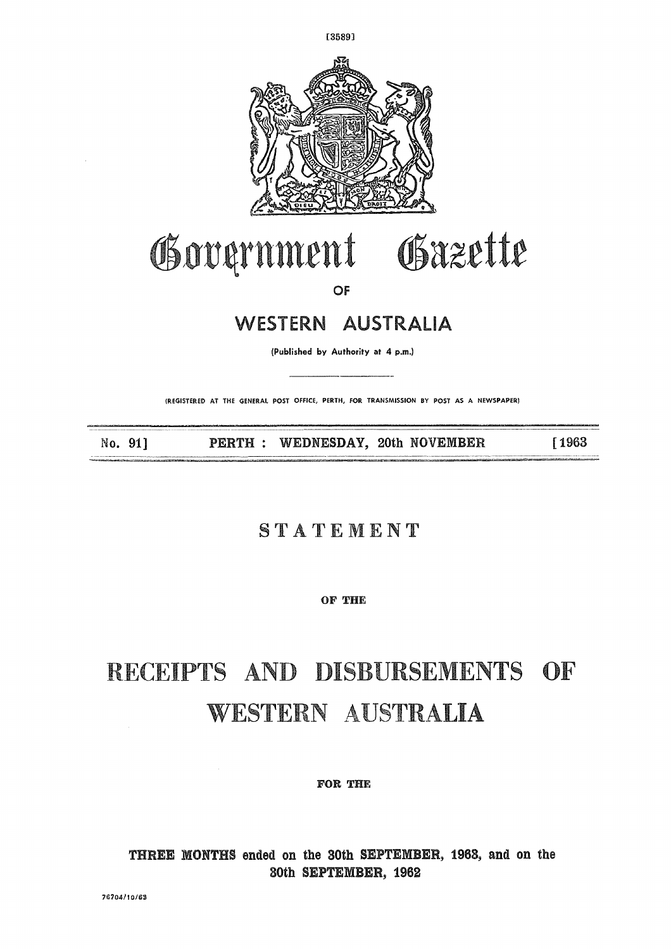

#### Gazette Government

OF

#### WESTERN AUSTRALIA

(Published by Authority at 4 p.m.)

(REGISTERED AT THE GENERAL POST OFFICE, PERTH, FOR TRANSMISSION BY POST AS A NEWSPAPER)

PERTH : WEDNESDAY, 20th NOVEMBER No. 91] [1963

#### STATEMENT

OF THE

### RECEIPTS AND DISBURSEMENTS OF WESTERN AUSTRALIA

FOR THE

THREE MONTHS ended on the 30th SEPTEMBER, 1963, and on the 30th SEPTEMBER, 1962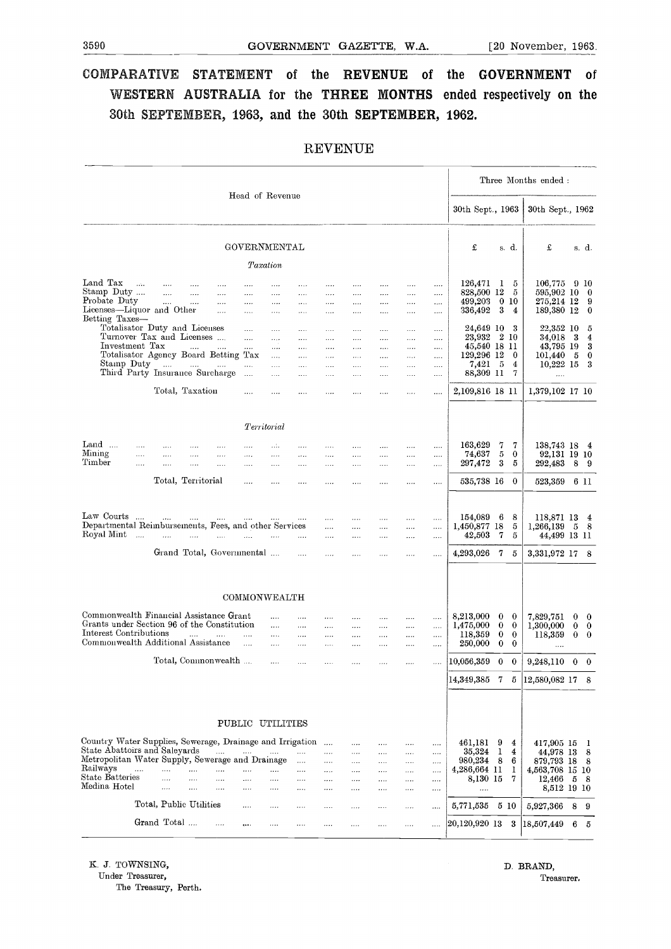## 3590<br>
GOVERNMENT GAZETTE, W.A. [20 November, 1963.<br>
COMPARATIVE STATEMENT of the REVENUE of the GOVERNMENT of **COMPARATIVE STATEMENT of the REVENUE of the GOVERNMENT of WESTERN AUSTRALIA for the THREE MONTHS ended respectively on the 30th SEPTEMBER, 1963, and the 30th SEPTEMBER, 1962.**

|                                                                                                                  |                            |                          |                                                                                                                                                                                                                                                                                                                                                                                                                                                             |                                                       |                                      |                                                                                                    |                          |                           |                  |                           |                                  |                    |                                     |                      |                           | Three Months ended:                      |                                       |
|------------------------------------------------------------------------------------------------------------------|----------------------------|--------------------------|-------------------------------------------------------------------------------------------------------------------------------------------------------------------------------------------------------------------------------------------------------------------------------------------------------------------------------------------------------------------------------------------------------------------------------------------------------------|-------------------------------------------------------|--------------------------------------|----------------------------------------------------------------------------------------------------|--------------------------|---------------------------|------------------|---------------------------|----------------------------------|--------------------|-------------------------------------|----------------------|---------------------------|------------------------------------------|---------------------------------------|
|                                                                                                                  |                            |                          |                                                                                                                                                                                                                                                                                                                                                                                                                                                             |                                                       |                                      | Head of Revenue                                                                                    |                          |                           |                  |                           |                                  |                    | 30th Sept., 1963                    |                      |                           | 30th Sept., 1962                         |                                       |
|                                                                                                                  |                            |                          |                                                                                                                                                                                                                                                                                                                                                                                                                                                             |                                                       |                                      | GOVERNMENTAL                                                                                       |                          |                           |                  |                           |                                  |                    | £                                   |                      | s. d.                     | £                                        | s. d.                                 |
|                                                                                                                  |                            |                          |                                                                                                                                                                                                                                                                                                                                                                                                                                                             |                                                       |                                      | Taxation                                                                                           |                          |                           |                  |                           |                                  |                    |                                     |                      |                           |                                          |                                       |
| Land Tax<br>Stamp Duty                                                                                           | $\mathcal{L}_{\text{max}}$ | $\cdots$<br>$\cdots$     | $\cdots$<br>$\cdots$                                                                                                                                                                                                                                                                                                                                                                                                                                        | <br>$\cdots$                                          | <br>$\cdots$                         | <br>.                                                                                              | .<br>$\cdots$            | $\cdots$<br>$\cdots$      | <br>.            | <br>.                     | <br>$\ldots$                     | <br>               | 126,471<br>828,500 12               | $\mathbf{I}$         | 5<br>5                    | 106,775<br>595,902 10                    | 9 <sub>10</sub><br>- 0                |
| Probate Duty<br>Licenses-Liquor and Other<br>Betting Taxes—                                                      |                            | <b>Contract Contract</b> | $\ldots$                                                                                                                                                                                                                                                                                                                                                                                                                                                    | $\ldots$<br>$\cdots$                                  | $\ldots$<br>$\ldots$                 | <br>                                                                                               | $\ldots$<br>$\ldots$     | <br>$\cdots$              | <br>$\cdots$     | <br>$\cdots$              | <br>                             | .<br>$\cdots$      | 499,203<br>336,492                  | 3                    | $0\,10$<br>$\overline{4}$ | 275,214 12<br>189,380 12                 | -9<br>$\bf{0}$                        |
| Totalisator Duty and Licenses<br>Turnover Tax and Licenses<br>Investment Tax                                     |                            |                          | $\mathcal{L}(\mathcal{L}(\mathcal{L}(\mathcal{L}(\mathcal{L}(\mathcal{L}(\mathcal{L}(\mathcal{L}(\mathcal{L}(\mathcal{L}(\mathcal{L}(\mathcal{L}(\mathcal{L}(\mathcal{L}(\mathcal{L}(\mathcal{L}(\mathcal{L}(\mathcal{L}(\mathcal{L}(\mathcal{L}(\mathcal{L}(\mathcal{L}(\mathcal{L}(\mathcal{L}(\mathcal{L}(\mathcal{L}(\mathcal{L}(\mathcal{L}(\mathcal{L}(\mathcal{L}(\mathcal{L}(\mathcal{L}(\mathcal{L}(\mathcal{L}(\mathcal{L}(\mathcal{L}(\mathcal{$ |                                                       | $\cdots$<br>$\cdots$<br>$\mathbf{r}$ | <br><br>                                                                                           | <br>$\ldots$<br>$\cdots$ | .<br>$\ldots$<br>$\cdots$ | <br><br>$\ldots$ | $\cdots$<br>.<br>$\cdots$ | $\ldots$<br>$\cdots$<br>$\cdots$ | <br><br>$\cdots$   | 24,649 10<br>23,932<br>45,540 18 11 |                      | 3<br>2 10                 | 22,352 10<br>34,018<br>43,795 19         | 5<br>- 3<br>$\overline{4}$<br>3       |
| Stamp Duty<br>Third Party Insurance Surcharge                                                                    |                            |                          | المنتفر المنتفر المنتفر                                                                                                                                                                                                                                                                                                                                                                                                                                     | Totalisator Agency Board Betting Tax                  | $\cdots$                             | $\cdots$<br>.                                                                                      | $\cdots$<br>$\ldots$     | $\cdots$<br>$\cdots$      | $\ldots$ .<br>   | $\ldots$<br>.             | $\sim 100$<br>$\cdots$           | <br>               | 129,296 12<br>7,421                 | - 5                  | $\bf{0}$<br>4<br>7        | 101,440<br>10,222 15                     | - 5<br>$\bf{0}$<br>3                  |
|                                                                                                                  |                            |                          | Total, Taxation                                                                                                                                                                                                                                                                                                                                                                                                                                             |                                                       | $\cdots$<br>$\cdots$                 | $\cdots$<br>                                                                                       | $\cdots$<br>             | $\cdots$                  | $\cdots$         | $\cdots$                  | $\cdots$                         | .<br>.             | 88,309 11<br>2,109,816 18 11        |                      |                           | $\cdots$<br>1,379,102 17 10              |                                       |
|                                                                                                                  |                            |                          |                                                                                                                                                                                                                                                                                                                                                                                                                                                             |                                                       |                                      |                                                                                                    |                          |                           |                  |                           |                                  |                    |                                     |                      |                           |                                          |                                       |
| Land                                                                                                             | $\cdots$                   |                          | .                                                                                                                                                                                                                                                                                                                                                                                                                                                           |                                                       | .                                    | Territorial<br>.                                                                                   | .                        |                           |                  |                           |                                  |                    | 163,629                             | 7                    | 7                         | 138,743 18                               | $\overline{4}$                        |
| Mining<br>Timber                                                                                                 | $\cdots$<br>$\cdots$       | $\cdots$<br>$\cdots$     | .<br>$\cdots$                                                                                                                                                                                                                                                                                                                                                                                                                                               | $\cdots$<br>$\cdots$                                  | $\cdots$<br>$\cdots$                 | .<br>                                                                                              | $\cdots$<br>$\cdots$     | $\cdots$<br>$\cdots$      | <br>             | $\cdots$<br>              | $\cdots$<br>                     | $\cdots$<br>       | 74,637<br>297,472                   | 5<br>3               | 0<br>5                    | 92,131 19 10<br>292,483                  | 8<br>- 9                              |
|                                                                                                                  |                            |                          | Total, Territorial                                                                                                                                                                                                                                                                                                                                                                                                                                          |                                                       | $\cdots$                             | .                                                                                                  |                          | $\cdots$                  |                  |                           |                                  |                    | 535,738 16                          |                      | 0                         | 523,359                                  | 6 II                                  |
| Law Courts<br>Departmental Reimbursements, Fees, and other Services                                              | $\cdots$                   | $\sim$                   | $\cdots$                                                                                                                                                                                                                                                                                                                                                                                                                                                    | $\cdots$                                              | $\cdots$                             | $\mathcal{L}_{\mathcal{F}}$ and $\mathcal{L}_{\mathcal{F}}$ . The same $\mathcal{L}_{\mathcal{F}}$ |                          | $\cdots$<br>$\cdots$      | $\cdots$<br>     | <br>.                     |                                  | <br>               | 154,089<br>1,450,877 18             | 6                    | 8<br>5                    | 118,871 13<br>1,266,139                  | $\overline{4}$<br>5<br>- 8            |
| Royal Mint                                                                                                       | $\dddotsc$                 | $\cdots$                 | $\cdots$                                                                                                                                                                                                                                                                                                                                                                                                                                                    | التبيين المتبرد المتماري<br>Grand Total, Governmental |                                      |                                                                                                    | $\cdots$<br>$\cdots$     | $\cdots$<br>$\cdots$      | .<br>            | <br>                      | <br>                             | <br>               | 42,503<br>4,293,026                 | 7<br>7               | 5<br>5                    | 44,499 13 11<br>3,331,972 17             | 8                                     |
|                                                                                                                  |                            |                          |                                                                                                                                                                                                                                                                                                                                                                                                                                                             |                                                       |                                      |                                                                                                    |                          |                           |                  |                           |                                  |                    |                                     |                      |                           |                                          |                                       |
|                                                                                                                  |                            |                          |                                                                                                                                                                                                                                                                                                                                                                                                                                                             |                                                       |                                      | COMMONWEALTH                                                                                       |                          |                           |                  |                           |                                  |                    |                                     |                      |                           |                                          |                                       |
| Commonwealth Financial Assistance Grant<br>Grants under Section 96 of the Constitution<br>Interest Contributions |                            |                          |                                                                                                                                                                                                                                                                                                                                                                                                                                                             |                                                       |                                      | $\cdots$<br>$\cdots$                                                                               | $\cdots$<br>$\ldots$     | .<br>.                    | .<br>$\cdots$    | .<br>$\cdots$             | <br>$\cdots$                     | .<br>              | 8,213,000<br>1,475,000              | $\bf{0}$<br>$\bf{0}$ | $\bf{0}$<br>$\bf{0}$      | 7,829,751<br>1,300,000                   | 0<br>$\bf{0}$<br>$\bf{0}$<br>$\bf{0}$ |
| Commonwealth Additional Assistance                                                                               |                            |                          | and the                                                                                                                                                                                                                                                                                                                                                                                                                                                     | <b>Sales Common</b>                                   | $\mathbf{r}$<br>$\cdots$             | <br>$\cdots$                                                                                       | $\cdots$<br>             | $\cdots$<br>              | .<br>.           | <br>.                     | <br>.                            | .<br>              | 118,359<br>250,000                  | $\bf{0}$<br>$\bf{0}$ | $\bf{0}$<br>$\bf{0}$      | 118,359<br>$\cdots$                      | $\bf{0}$<br>$\theta$                  |
|                                                                                                                  |                            |                          |                                                                                                                                                                                                                                                                                                                                                                                                                                                             | Total, Commonwealth                                   |                                      | $\cdots$                                                                                           | $\cdots$                 | $\cdots$                  |                  | $\cdots$                  | .                                | .                  | 10,056,359                          | $\bf{0}$             | $\bf{0}$                  | 9,248,110                                | $\bf{0}$<br>$\bf{0}$                  |
|                                                                                                                  |                            |                          |                                                                                                                                                                                                                                                                                                                                                                                                                                                             |                                                       |                                      |                                                                                                    |                          |                           |                  |                           |                                  |                    | 14,349,385                          | 7                    | 5                         | 12,580,082 17                            | 8                                     |
|                                                                                                                  |                            |                          |                                                                                                                                                                                                                                                                                                                                                                                                                                                             |                                                       |                                      | PUBLIC UTILITIES                                                                                   |                          |                           |                  |                           |                                  |                    |                                     |                      |                           |                                          |                                       |
| Country Water Supplies, Sewerage, Drainage and Irrigation<br>State Abattoirs and Saleyards                       |                            |                          |                                                                                                                                                                                                                                                                                                                                                                                                                                                             | $\cdots$                                              | $\cdots$                             |                                                                                                    |                          | $\cdots$<br>              | $\cdots$<br>     | .<br>                     | $\cdots$<br>.                    | $\cdots$           | 461,181<br>35,324                   | 9<br>1               | 4<br>4                    | 417,905 15<br>44,978 13                  | -1<br>8                               |
| Metropolitan Water Supply, Sewerage and Drainage<br>Railways                                                     | .                          |                          | .                                                                                                                                                                                                                                                                                                                                                                                                                                                           | .                                                     | .                                    | .                                                                                                  |                          |                           |                  | .                         |                                  | <br>               | 980,234<br>4,286,664 11             | 8                    | 6<br>1                    | 879,793 18                               | 8                                     |
| State Batteries<br>Medina Hotel                                                                                  |                            | $\cdots$<br>             | .<br>                                                                                                                                                                                                                                                                                                                                                                                                                                                       | <br>                                                  | $\ldots$<br>                         | <br>                                                                                               | <br><br>                 | <br><br>                  | <br>.<br>.       | <br><br>.                 | <br>.                            | <br><br>$\ldots$ . | 8,130 15<br>                        |                      | 7                         | 4,563,708 15 10<br>12,466<br>8,512 19 10 | 5<br>8                                |
|                                                                                                                  |                            |                          | Total, Public Utilities                                                                                                                                                                                                                                                                                                                                                                                                                                     |                                                       | .                                    |                                                                                                    |                          |                           | .                | .                         | $\cdots$                         | $\cdots$           | 5,771,535                           | 5 10                 |                           | 5,927,366                                | 8<br>-9                               |
|                                                                                                                  |                            | Grand Total              |                                                                                                                                                                                                                                                                                                                                                                                                                                                             | .                                                     |                                      |                                                                                                    | .                        | $\cdots$                  | $\cdots$         |                           |                                  |                    | 20,120,920 13                       |                      | 3                         | 18,507,449                               | 6<br>5                                |

#### REVENUE

K. *J.* TOWNSING, Under Treasurer, The Treasury, Perth. D. BRAND, Treasurer.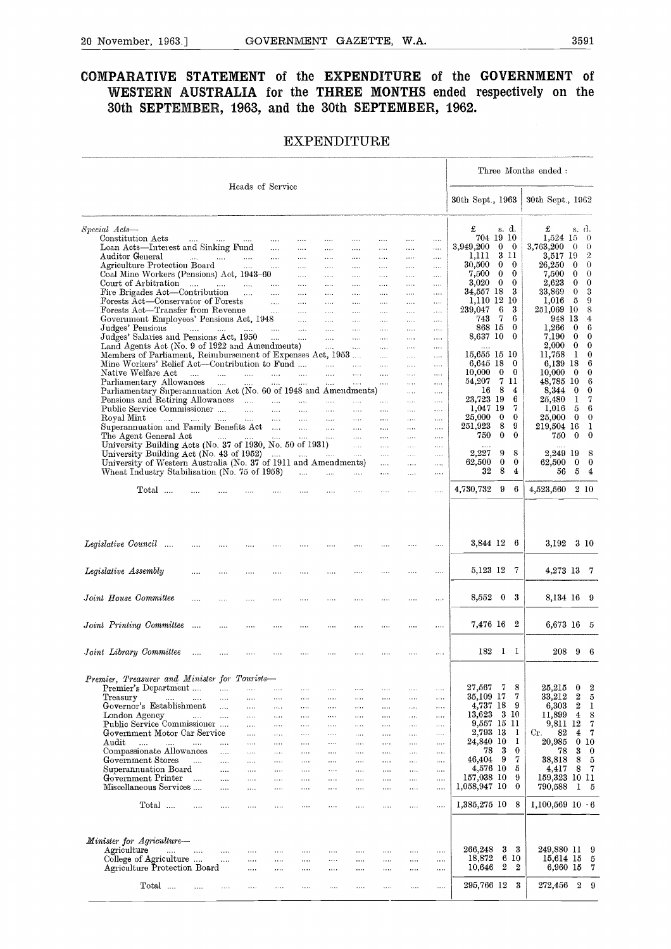## 20 November, 1963.] GOVERNMENT GAZETTE, W.A. 3591<br>COMPARATIVE STATEMENT of the EXPENDITURE of the GOVERNMENT of **COMPARATIVE STATEMENT of the EXPENDITURE of the GOVERNMENT of WESTERN AUSTRALIA for the THREE MONTHS ended respectively on the 30th SEPTEMBER, 1963, and the 30th SEPTEMBER, 1962.**

#### **EXPENDITURE**

|                                                                                              |                                         |                      |                      |                                           |                    |                             | <b>EXPENDITURE</b>                                  |                      |                             |                                 |                        |                                  |                  |                          |                      |                                             |
|----------------------------------------------------------------------------------------------|-----------------------------------------|----------------------|----------------------|-------------------------------------------|--------------------|-----------------------------|-----------------------------------------------------|----------------------|-----------------------------|---------------------------------|------------------------|----------------------------------|------------------|--------------------------|----------------------|---------------------------------------------|
|                                                                                              |                                         |                      |                      |                                           |                    |                             |                                                     |                      |                             |                                 |                        |                                  |                  | Three Months ended:      |                      |                                             |
|                                                                                              |                                         |                      | Heads of Service     |                                           |                    |                             |                                                     |                      |                             |                                 | 30th Sept., 1963       |                                  |                  | 30th Sept., 1962         |                      |                                             |
| Special Acts—                                                                                |                                         |                      |                      |                                           |                    |                             |                                                     |                      |                             |                                 | £                      | s. d.                            |                  | £                        |                      | s d.                                        |
| Constitution Acts                                                                            | التبيدات التبيدات المتداد المتند        |                      |                      |                                           | $\cdots$           | $\cdots$                    | $\cdots$                                            | $\cdots$             | $\cdots$                    | $\cdots$                        | 704 19 10              |                                  |                  | 1,524 15                 |                      | $\theta$                                    |
| Loan Acts—Interest and Sinking Fund<br>Auditor General                                       | المماري المماري المقدري المماري         |                      |                      |                                           | $\cdots$<br>$\sim$ | $\cdots$<br>$\ldots$        | $\cdots$<br>$\cdots$                                | $\cdots$<br>$\ldots$ | $\cdots$<br>$\sim$ . $\sim$ | $\bar{\mathcal{L}}$<br>$\cdots$ | 3,949,200<br>1,111     | $\bf{0}$<br>$\mathbf{0}$<br>3 11 |                  | 3,763,200<br>3,517 19    | $\overline{0}$       | - 0<br>$\overline{2}$                       |
| Agriculture Protection Board                                                                 |                                         |                      |                      |                                           |                    | $\cdots$                    | $\ldots$                                            | $\ldots$             | $\cdots$                    | $\ldots$                        | 30,500                 | $\bf{0}$                         | $\overline{0}$   | 26,250                   | - 0                  | $\theta$                                    |
| Coal Mine Workers (Pensions) Act, 1943-60                                                    |                                         |                      |                      |                                           |                    | $\cdots$                    | $\cdots$                                            | $\cdots$             | $\cdots$                    | $\cdots$                        | 7,500                  | $\bf{0}$                         | $\bf{0}$         | $7{,}500$                | $\bf{0}$             | $\theta$                                    |
| Court of Arbitration                                                                         |                                         |                      |                      |                                           | <b>Contract</b>    | $\cdots$                    | $\ldots$                                            | $\cdots$             | $\ldots$                    | $\ldots$                        | 3,020<br>34,557 18     | $\bf{0}$<br>- 3                  | $\bf{0}$         | 2,623<br>33,869          | $\bf{0}$<br>$\Omega$ | $\bf{0}$<br>-3                              |
| Fire Brigades Act—Contribution                                                               |                                         |                      |                      |                                           |                    | $\cdots$<br>$\sim$          | $\ldots$ .<br>$\cdots$                              | $\cdots$<br>$\ldots$ | $\cdots$<br>$\cdots$        | $\cdots$<br>$\cdots$            | 1,110 12 10            |                                  |                  | 1,016                    | - 5                  | - 9                                         |
| Forests Act—Conservator of Forests<br>Forests Act—Transfer from Revenue                      |                                         |                      |                      |                                           |                    | $\sim 100$                  | $\ldots$ .                                          | $\cdots$             | $\cdots$                    | $\ldots$                        | 239,047                | 6                                | 3                | 251,069 10               |                      | 8                                           |
|                                                                                              |                                         |                      |                      |                                           |                    |                             | $\sim$                                              | $\ldots$             | $\cdots$                    | $\cdots$                        | 743                    | -7                               | 6                | 948 13                   |                      | 4                                           |
| Judges' Pensions                                                                             | المساري المساري المساري المساري المساري |                      |                      |                                           |                    | $\sim$                      | $\ldots$ .                                          | $\ldots$             | $\cdots$                    | $\cdots$                        | 868 15                 |                                  | $\bf{0}$         | 1,266                    | $\bf{0}$             | -6                                          |
| Judges' Salaries and Pensions Act, 1950<br>Land Agents Act (No. 9 of 1922 and Amendments)    |                                         |                      |                      |                                           |                    | $\sim$<br><b>College</b>    | $\cdots$                                            | $\cdots$             | $\cdots$                    | $\cdots$<br>                    | 8,637 10               |                                  | $\bf{0}$         | 7,190<br>2,000           | $\bf{0}$<br>$\Omega$ | $\bf{0}$<br>$\overline{\phantom{0}}$        |
| Members of Parliament, Reimbursement of Expenses Act, 1953                                   |                                         |                      |                      |                                           |                    |                             |                                                     | $\ldots$ .           | $\ldots$ .                  | $\cdots$                        | 15,655 15 10           |                                  |                  | 11,758                   | - 1                  | $\mathbf{0}$                                |
| Mine Workers' Relief Act—Contribution to Fund                                                |                                         |                      |                      |                                           |                    | $\sim$ $\sim$ $\sim$ $\sim$ | $\ldots$                                            | $\ldots$             | $\cdots$                    | $\cdots$                        | 6,645 18               |                                  | - 0              | 6,139 18                 |                      | 6                                           |
| Native Welfare Act                                                                           | $\ldots$ $\ldots$                       |                      | $\sim$               |                                           | $\cdots$ $\cdots$  | $\cdots$                    |                                                     |                      |                             | $\cdots$                        | 10,000                 | $\bf{0}$<br>7 11                 | $\mathbf{0}$     | 10,000                   | $\bf{0}$             | $\bf{0}$                                    |
| Parliamentary Allowances<br>Parliamentary Superannuation Act (No. 60 of 1948 and Amendments) |                                         |                      |                      | $\mathbf{1},\mathbf{1},\mathbf{1},\ldots$ | $\sim$             | $\cdots$                    | $\cdots$                                            | $\ldots$             | $\cdots$<br>$\cdots$        | $\cdots$                        | 54,207<br>16           | -8                               | 4                | 48,785 10<br>8,344       | $\bf{0}$             | - 6<br>$\bf{0}$                             |
| Pensions and Retiring Allowances                                                             |                                         |                      |                      |                                           |                    |                             |                                                     | $\cdots$             | $\ldots$                    | $\cdots$<br>$\ldots$            | 23,723 19              |                                  | 6                | 25,480                   | 1                    | $\overline{7}$                              |
| Public Service Commissioner                                                                  |                                         |                      |                      |                                           |                    |                             | $\cdots$                                            | $\cdots$             | $\cdots$                    | $\cdots$                        | 1,047 19               |                                  | 7                | 1,016                    | 5                    | - 6                                         |
| Royal Mint<br>المساري المساري المساري المساري المساري المساري المساري المساري                |                                         |                      |                      |                                           |                    |                             |                                                     | $\cdots$             | $\ldots$                    | $\cdots$                        | 25,000                 | $\bf{0}$                         | $\bf{0}$         | 25,000                   | $\bf{0}$             | $\mathbf{0}$                                |
| Superannuation and Family Benefits Act<br>The Agent General Act                              |                                         |                      |                      |                                           |                    |                             | المستحدث والمساحي المساحي والمساحي المساحي والمساحي | $\ldots$             | $\cdots$                    | $\ldots$                        | 251,923<br>750         | 8<br>$\bf{0}$                    | 9<br>$\bf{0}$    | 219,504 16<br>750        | $\bf{0}$             | $\mathbf{1}$<br>$\bf{0}$                    |
| University Building Acts (No. 37 of 1930, No. 50 of 1931)                                    |                                         |                      |                      |                                           |                    |                             | $\sim$ $\sim$ $\sim$ $\sim$ $\sim$ $\sim$           | $\cdots$             | $\cdots$<br>$\cdots$        | $\cdots$<br>$\cdots$            |                        |                                  |                  |                          |                      |                                             |
| University Building Act (No. 43 of 1952) $\ldots$ $\ldots$ $\ldots$ $\ldots$                 |                                         |                      |                      |                                           |                    |                             |                                                     | $\cdots$             | $\ldots$                    | $\ldots$                        | 2,227                  | 9                                | 8                | 2,249 19                 |                      | - 8                                         |
| University of Western Australia (No. 37 of 1911 and Amendments)                              |                                         |                      |                      |                                           |                    |                             |                                                     | $\ldots$             | $\ldots$                    | $\cdots$                        | 62,500                 | $\bf{0}$                         | $\bf{0}$         | 62,500                   | $\bf{0}$             | $\overline{\phantom{0}}$                    |
| Wheat Industry Stabilisation (No. 75 of 1958)                                                |                                         |                      |                      |                                           | $\cdots$           |                             | $\cdots$                                            | $\ldots$ .           | $\cdots$                    | $\cdots$                        | 32                     | 8                                | $\overline{4}$   | 56                       | 5                    | $\overline{4}$                              |
| Total                                                                                        |                                         |                      |                      |                                           |                    |                             |                                                     |                      | $\cdots$                    |                                 | 4,730,732              | 9                                | 6                | 4,523,560                |                      | 210                                         |
| Legislative Council<br>Legislative Assembly                                                  | $\cdots$                                |                      |                      |                                           |                    |                             |                                                     |                      |                             | <br>                            | 3,844 12 6<br>5,123 12 |                                  | -7               | 3,192<br>4,273 13 7      |                      | 3 10                                        |
| Joint House Committee                                                                        |                                         |                      |                      |                                           |                    |                             |                                                     |                      |                             |                                 | $8,552$ 0 3            |                                  |                  | 8,134 16 9               |                      |                                             |
| Joint Printing Committee                                                                     | $\sim 100$                              |                      |                      |                                           |                    |                             |                                                     |                      |                             |                                 | 7,476 16 2             |                                  |                  | 6,673 16 5               |                      |                                             |
|                                                                                              |                                         |                      |                      |                                           |                    |                             |                                                     |                      |                             |                                 |                        |                                  |                  |                          |                      |                                             |
| Joint Library Committee                                                                      | $\cdots$                                |                      |                      |                                           |                    |                             |                                                     |                      |                             | $\cdots$                        | 182                    | $1\quad$                         |                  | 208                      | 9                    | -6                                          |
| Premier, Treasurer and Minister for Tourists-                                                |                                         |                      |                      |                                           |                    |                             |                                                     |                      |                             |                                 |                        |                                  |                  |                          |                      |                                             |
| Premier's Department                                                                         |                                         | $\ddotsc$            | .                    |                                           |                    |                             |                                                     |                      |                             |                                 | 27,567<br>35,109 17    | -7                               | 8<br>7           | 25,215<br>33,212         | 0<br>2               | $\boldsymbol{2}$<br>$\overline{\mathbf{5}}$ |
| Treasury<br><b>Contractor</b><br>Governor's Establishment                                    | $\cdots$                                | $\cdots$<br>$\cdots$ | $\cdots$<br>$\cdots$ | $\cdots$<br>$\cdots$                      | <br>               | <br>                        | $\cdots$<br>$\cdots$                                | $\cdots$<br>         | $\cdots$<br>$\ldots$        | $\cdots$<br>$\cdots$            | 4,737 18               |                                  | 9                | $_{6,303}$               | 2                    | 1                                           |
| London Agency                                                                                |                                         | $\ddotsc$            |                      | .                                         |                    |                             | $\cdots$                                            |                      |                             | $\cdots$                        | 13,623                 | 3 10                             |                  | 11,899                   | 4                    | 8                                           |
| Public Service Commissioner                                                                  |                                         |                      | $\cdots$             |                                           |                    | $\cdots$                    | $\cdots$                                            | $\cdots$             | .                           | $\cdots$                        | 9,557 15 11            |                                  |                  | 9,811                    | $_{12}$              | 7                                           |
| Government Motor Car Service<br>$\rm{Audit}$                                                 |                                         |                      | $\cdots$             | $\cdots$                                  |                    | $\cdots$                    | $\cdots$                                            |                      | $\cdots$                    | $\dots$                         | 2,793 13<br>24,840 10  |                                  | 1<br>1           | 82<br>Cr.<br>20.985      | 4                    | 7<br>0 <sub>10</sub>                        |
| $\cdots$<br>$\cdots$<br>Compassionate Allowances                                             | aaa.                                    | $\mathbf{r}$         | $\cdots$<br>$\cdots$ | <br>$\cdots$                              | <br>$\cdots$       | <br>$\cdots$                | $\cdots$<br>$\cdots$                                | $\cdots$<br>$\cdots$ | <br>.                       | $\cdots$<br>$\cdots$            | 78                     | 3                                | $\bf{0}$         | 78                       | 3                    | $\bf{0}$                                    |
| Government Stores                                                                            | $\sim 10^{-11}$                         | $\cdots$             | $\sim$ . $\sim$      | $\cdots$                                  | $\cdots$           | $\cdots$                    |                                                     | $\cdots$             | $\cdots$                    | $\cdots$                        | 46,404                 | 9                                | 7                | 38,818                   | 8                    | $\tilde{0}$                                 |
| Superannuation Board                                                                         |                                         |                      | $\cdots$             |                                           |                    |                             |                                                     |                      |                             | $\cdots$                        | 4,576 10               |                                  | 5                | 4,417                    | 8                    | -7                                          |
| Government Printer                                                                           | $\sim$                                  | $\ddotsc$            | $\cdots$             | $\cdots$                                  | $\cdots$           | $\cdots$                    |                                                     |                      | .                           | $\cdots$                        | 157,038 10             |                                  | 9<br>$\bf{0}$    | 159,323 10 11            |                      | 1 <sub>5</sub>                              |
| Miscellaneous Services                                                                       |                                         | $\cdots$             |                      | $\cdots$                                  |                    | $\cdots$                    |                                                     |                      |                             |                                 | 1,058,947 10           |                                  |                  | 790,588                  |                      |                                             |
| Total                                                                                        | .                                       | $\cdots$             |                      |                                           |                    |                             |                                                     | $\cdots$             |                             |                                 | 1,385,275 10           |                                  | 8                | $1,100,569$ $10 \cdot 6$ |                      |                                             |
|                                                                                              |                                         |                      |                      |                                           |                    |                             |                                                     |                      |                             |                                 |                        |                                  |                  |                          |                      |                                             |
| Minister for Agriculture-<br>Agriculture<br>$\cdots$                                         | $\cdots$                                | $\cdots$             |                      |                                           |                    |                             |                                                     |                      |                             |                                 | 266,248                | 3                                | 3                | 249,880 11 9             |                      |                                             |
| College of Agriculture                                                                       |                                         | $\cdots$             | $\cdots$             |                                           |                    |                             |                                                     |                      | .                           | $\cdots$                        | 18,872                 | 6                                | 10               | 15,614 15 5              |                      |                                             |
| Agriculture Protection Board                                                                 |                                         |                      | .                    | $\cdots$                                  | $\cdots$           | $\cdots$                    |                                                     |                      | $\sim$ $\sim$               | $\sim$                          | 10,646                 | 2                                | $\boldsymbol{2}$ | 6,960 15                 |                      | - 7                                         |
| Total                                                                                        |                                         |                      |                      | .                                         | $\cdots$           |                             |                                                     |                      |                             |                                 | 295,766 12             |                                  | 3                | 272,456                  | $\boldsymbol{2}$     | 9                                           |
|                                                                                              |                                         |                      |                      |                                           |                    |                             |                                                     |                      |                             |                                 |                        |                                  |                  |                          |                      |                                             |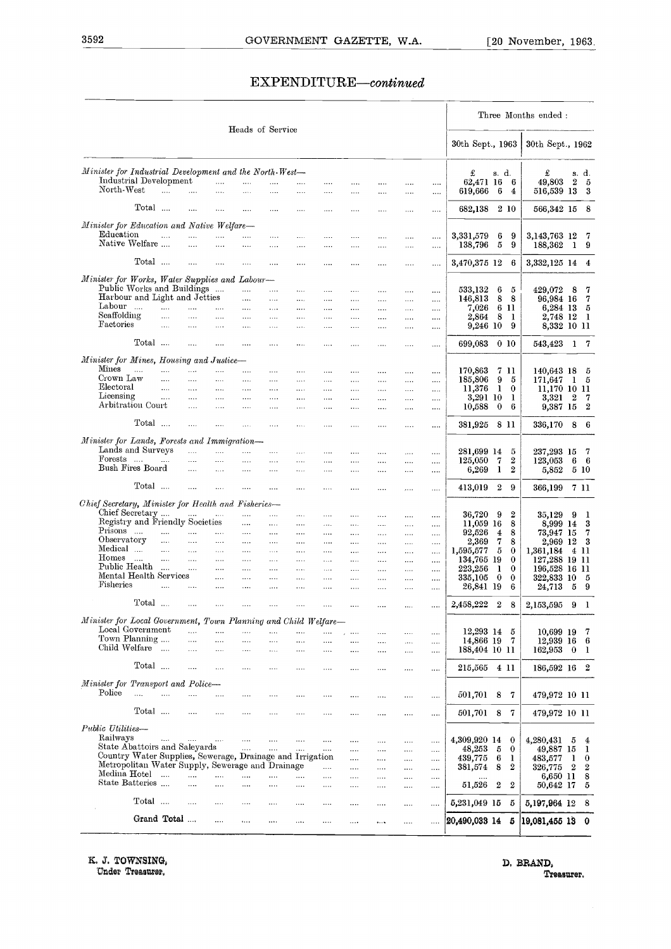#### EXPENDITURE-continued

|                                                                                                               |             |                      |                      |                      | Heads of Service     |                      |                      |                                  |                      |                      |                      |                      |                            |                  |                       | Three Months ended :      |                                           |
|---------------------------------------------------------------------------------------------------------------|-------------|----------------------|----------------------|----------------------|----------------------|----------------------|----------------------|----------------------------------|----------------------|----------------------|----------------------|----------------------|----------------------------|------------------|-----------------------|---------------------------|-------------------------------------------|
|                                                                                                               |             |                      |                      |                      |                      |                      |                      |                                  |                      |                      |                      |                      | 30th Sept., 1963           |                  |                       | 30th Sept., 1962          |                                           |
| Minister for Industrial Development and the North-West-<br>Industrial Development                             |             |                      |                      | $\cdots$             | .                    | $\cdots$             | $\cdots$             | $\cdots$                         |                      | $\cdots$             |                      |                      | £<br>62,471 16             | s. d.            | 6                     | £<br>49,803               | s. d.<br>$\boldsymbol{2}$<br>- 5          |
| North-West                                                                                                    |             | $\ddotsc$            | $\cdots$             | $\cdots$             | $\cdots$             |                      |                      |                                  |                      |                      | $\cdots$             | $\cdots$             | 619,666                    | 6                | 4                     | 516,539 13                | - 3                                       |
|                                                                                                               | Total       |                      | $\cdots$             | .                    | .                    | $\cdots$             | $\cdots$             |                                  |                      | $\cdots$             |                      | $\cdots$             | 682,138                    |                  | 2 10                  | 566,342 15                | - 8                                       |
| Minister for Education and Native Welfare-                                                                    |             |                      |                      |                      |                      |                      |                      |                                  |                      |                      |                      |                      |                            |                  |                       |                           |                                           |
| Education<br>Native Welfare                                                                                   |             | $\cdots$             | $\cdots$<br>$\cdots$ | .<br>$\cdots$        | <br>$\cdots$         | $\cdots$<br>$\cdots$ | $\cdots$<br>$\cdots$ | <br>                             | <br>                 | $\cdots$<br>         | $\cdots$<br>$\cdots$ | $\cdots$<br>$\cdots$ | 3,331,579<br>138,796       | 6<br>5           | 9<br>9                | 3, 143, 763 12<br>188,362 | -7<br>-1<br>- 9                           |
|                                                                                                               | Total       |                      |                      |                      |                      |                      |                      |                                  |                      |                      |                      |                      |                            |                  |                       |                           |                                           |
|                                                                                                               |             |                      | $\cdots$             | .                    | .                    | $\cdots$             | $\cdots$             | $\cdots$                         |                      | $\cdots$             | $\cdots$             | $\cdots$             | 3,470,375 12               |                  | 6                     | 3,332,125 14              | $\overline{4}$                            |
| Minister for Works, Water Supplies and Labour-<br>Public Works and Buildings                                  |             |                      |                      |                      | $\cdots$             | $\cdots$             | $\cdots$             | $\cdots$                         | $\cdots$             |                      | $\cdots$             |                      | 533,132                    | 6                | 5                     | 429,072                   | 7<br>8                                    |
| Harbour and Light and Jetties                                                                                 |             |                      |                      |                      | $\cdots$             | $\cdots$             | $\cdots$             | $\cdots$                         | $\cdots$             | $\cdots$             | $\cdots$             | <br>                 | 146,813                    | 8                | 8                     | 96,984 16                 | $\overline{7}$                            |
| Labour                                                                                                        |             | $\cdots$             |                      | .                    | $\ldots$             | $\ldots$             | $\ldots$ .           | $\cdots$                         | $\cdots$             |                      |                      |                      | 7,026                      |                  | 6 11                  | 6,284 13                  | - 5                                       |
| Seaffolding<br>Factories                                                                                      |             | $\cdots$<br>$\cdots$ | .<br>                | <br>$\cdots$         | $\cdots$<br>$\cdots$ | $\cdots$<br>$\cdots$ | $\cdots$<br>$\cdots$ | $\cdots$<br>$\cdots$             | $\cdots$<br>$\cdots$ | $\cdots$             | $\cdots$             |                      | 2,864<br>9,246 10          | 8                | -1<br>9               | 2,748 12<br>8,332 10 11   | - 1                                       |
|                                                                                                               |             |                      |                      |                      |                      |                      |                      |                                  |                      |                      |                      | $\cdots$             |                            |                  |                       |                           |                                           |
|                                                                                                               | Total       |                      | $\cdots$             | $\cdots$             |                      |                      |                      | $\cdots$                         | $\cdots$             | $\cdots$             |                      | $\cdots$             | 699.083                    |                  | 0 <sub>10</sub>       | 543,423                   | $\mathbf{1}$<br>- 7                       |
| Minister for Mines, Housing and Justice-<br>Mines                                                             |             |                      |                      |                      |                      |                      |                      |                                  |                      |                      |                      |                      |                            |                  |                       |                           |                                           |
| Crown Law                                                                                                     | $\cdots$    | $\cdots$<br>         | <br>$\cdots$         | $\cdots$<br>$\cdots$ | $\cdots$<br>$\cdots$ |                      | $\cdots$             | $\cdots$                         | $\cdots$             | $\cdots$             |                      |                      | 170,863<br>185,806         | 9                | 7 11<br>5             | 140,643 18                | - 5<br>- 5                                |
| Electoral                                                                                                     |             |                      | $\cdots$             | $\cdots$             | $\cdots$             | $\cdots$<br>$\cdots$ | $\cdots$<br>         | $\cdots$<br>                     | $\cdots$<br>$\cdots$ | $\cdots$<br>$\ldots$ | <br>                 | <br>                 | 11,376                     | $\mathbf{1}$     | $\bf{0}$              | 171,647<br>11,170 10 11   | 1                                         |
| Licensing                                                                                                     |             | $\cdots$             | $\cdots$             | $\cdots$             | $\cdots$             | $\ldots$ .           | $\cdots$             |                                  | $\cdots$             | $\ldots$ .           |                      | $\cdots$             | 3,291 10                   |                  | 1                     | 3,321                     | $\boldsymbol{2}$<br>-7                    |
| Arbitration Court                                                                                             |             |                      | $\cdots$             | $\cdots$             | $\cdots$             | $\cdots$             | $\cdots$             | $\cdots$                         | $\cdots$             | $\cdots$             |                      |                      | 10,588                     | $\bf{0}$         | 6                     | 9,387 15                  | $\overline{2}$                            |
|                                                                                                               | Total       |                      | $\cdots$             | $\cdots$             | $\cdots$             | $\cdots$             | $\cdots$             |                                  | $\cdots$             |                      | $\cdots$             |                      | 381,925 8 11               |                  |                       | 336,170                   | 8<br>- 6                                  |
| Minister for Lands, Forests and Immigration—                                                                  |             |                      |                      |                      |                      |                      |                      |                                  |                      |                      |                      |                      |                            |                  |                       |                           |                                           |
| Lands and Surveys                                                                                             |             |                      | $\mathbf{r}$         | $\cdots$             | $\cdots$             | $\cdots$             | $\cdots$             | $\cdots$                         | $\cdots$             | $\sim 100$           | $\cdots$             |                      | 281,699 14                 |                  | 5                     | 237,293 15                | -7                                        |
| Forests<br>Bush Fires Board                                                                                   |             | $\cdots$             |                      |                      | $\cdots$             | $\cdots$             | $\cdots$             | $\cdots$                         | $\cdots$             | $\cdots$             | $\cdots$             |                      | 125,050                    | 7                | 2                     | 123,053                   | 6<br>- 6                                  |
|                                                                                                               |             |                      |                      | $\cdots$             | $\cdots$             | $\cdots$             | $\cdots$             | $\cdots$                         | $\cdots$             | $\cdots$             | $\cdots$             |                      | 6,269                      | 1                | $\boldsymbol{2}$      | 5,852                     | 5 10                                      |
|                                                                                                               | Total       |                      | $\cdots$             | $\cdots$             |                      |                      | $\cdots$             |                                  | $\cdots$             | $\cdots$             | $\cdots$             | $\cdots$             | 413,019                    | $\boldsymbol{2}$ | 9                     | 366,199                   | 7 11                                      |
| Chief Secretary, Minister for Health and Fisheries-                                                           |             |                      |                      |                      |                      |                      |                      |                                  |                      |                      |                      |                      |                            |                  |                       |                           |                                           |
| Chief Secretary                                                                                               |             |                      |                      |                      |                      | $\cdots$             |                      | $\cdots$                         | $\cdots$             | $\cdots$             | $\cdots$             | $\cdots$             | 36,720                     | 9                | 2                     | 35,129                    | 9<br>-1                                   |
| Registry and Friendly Societies<br>Prisons                                                                    |             | $\cdots$             | $\cdots$             |                      | $\cdots$             | $\cdots$             | $\cdots$             | $\cdots$                         | $\cdots$             | $\cdots$             | $\cdots$             |                      | 11,059 16                  |                  | 8                     | 8,999 14                  | 3                                         |
| Observatory                                                                                                   |             | $\cdots$             | $\cdots$             | $\cdots$<br>$\cdots$ | $\cdots$<br>$\cdots$ | $\cdots$             | $\cdots$<br>$\cdots$ | $\cdots$<br>$\sim$ $\sim$ $\sim$ | $\cdots$<br>$\cdots$ | $\cdots$<br>$\cdots$ | $\cdots$<br>$\cdots$ | $\cdots$<br>.        | 92,526<br>2,369            | 4<br>7           | 8<br>8                | 73,947 15<br>2,969        | 7<br>12<br>- 3                            |
| Medical                                                                                                       |             | $\cdots$             | $\cdots$             | $\cdots$             | $\cdots$             | $\cdots$             | $\cdots$             | $\cdots$                         | $\cdots$             | $\cdots$             | $\cdots$             | $\cdots$             | 1,595,577                  | 5                | 0                     | 1,361,184                 | 4 11                                      |
| Homes                                                                                                         | $\sim$      | $\cdots$             |                      | $\cdots$             | $\cdots$             | $\cdots$             | $\cdots$             | $\cdots$                         | $\cdots$             |                      | $\cdots$             |                      | 134,765 19                 |                  | $\bf{0}$              | 127,288 19 11             |                                           |
| Public Health                                                                                                 |             | $\cdots$             | $\ldots$             |                      |                      |                      |                      | $\cdots$                         |                      | $\cdots$             | $\cdots$             |                      | 223,256                    | 1                | $\bf{0}$              | 196,528 16 11             |                                           |
| Mental Health Services<br><b>Fisheries</b>                                                                    |             | $\ddotsc$            |                      | .                    |                      |                      | $\cdots$             |                                  |                      |                      | $\cdots$             |                      | 335,105                    | $\bf{0}$         | $\bf{0}$              | 322,833 10                | - 5                                       |
|                                                                                                               |             |                      |                      | .                    | .                    | $\cdots$             | $\cdots$             |                                  | .                    |                      | $\cdots$             |                      | 26,841 19                  |                  | 6                     | 24,713                    | 5<br>- 9                                  |
|                                                                                                               | Total       |                      |                      | .                    | .                    |                      | .                    | $\cdots$                         |                      |                      | $\cdots$             | $\cdots$             | 2,458,222                  | $\boldsymbol{2}$ | 8                     | 2,153,595                 | 9<br>- 1                                  |
| Minister for Local Government, Town Planning and Child Welfare-                                               |             |                      |                      |                      |                      |                      |                      |                                  |                      |                      |                      |                      |                            |                  |                       |                           |                                           |
| Local Government<br>Town Planning                                                                             |             |                      | $\cdots$             |                      | .                    |                      |                      |                                  | $\cdots$             |                      | $\cdots$             | $\cdots$             | 12,293 14                  |                  | 5                     | 10,699 19                 | -7                                        |
| Child Welfare                                                                                                 |             |                      | <br>$\cdots$         | .                    |                      | $\cdots$             |                      |                                  |                      | $\cdots$             |                      | $\cdots$             | 14,866 19<br>188,404 10 11 |                  | -7                    | 12,939 16                 | -6                                        |
|                                                                                                               |             |                      |                      |                      | .                    |                      |                      |                                  |                      | $\cdots$             |                      | $\cdots$             |                            |                  |                       | 162,953                   | $\bf{0}$<br>-1                            |
|                                                                                                               | Total       |                      |                      | .                    |                      |                      | $\cdots$             |                                  |                      |                      |                      |                      | 215,565                    |                  | 4 11                  | 186,592 16 2              |                                           |
| Minister for Transport and Police-                                                                            |             |                      |                      |                      |                      |                      |                      |                                  |                      |                      |                      |                      |                            |                  |                       |                           |                                           |
| Police                                                                                                        | $\ddotsc$   | $\cdots$             |                      | .                    |                      |                      |                      |                                  |                      |                      | $\cdots$             |                      | 501,701                    | 8                | 7                     | 479,972 10 11             |                                           |
|                                                                                                               | Total       |                      | $\cdots$             |                      |                      |                      |                      |                                  |                      | $\cdots$             | $\cdots$             | $\cdots$             | 501,701                    | 8                | 7                     | 479,972 10 11             |                                           |
| Public Utilities-                                                                                             |             |                      |                      |                      |                      |                      |                      |                                  |                      |                      |                      |                      |                            |                  |                       |                           |                                           |
| Railways                                                                                                      |             | $\sim 100$           | $\sim 100$           | $\cdots$             | $\cdots$             | $\cdots$             |                      |                                  |                      | $\cdots$             | $\cdots$             |                      | 4,309,920 14               |                  | $\bf{0}$              | 4,280,431                 | 5<br>$\overline{4}$                       |
| State Abattoirs and Saleyards                                                                                 |             |                      |                      |                      | $\cdots$             |                      | $\cdots$             | $\cdots$                         |                      |                      |                      |                      | 48,253                     | 5                | $\bf{0}$              | 49,887                    | 15<br>1                                   |
| Country Water Supplies, Sewerage, Drainage and Irrigation<br>Metropolitan Water Supply, Sewerage and Drainage |             |                      |                      |                      |                      |                      |                      | $\cdots$                         |                      |                      |                      | $\cdots$             | 439,775                    | 6                | 1<br>$\boldsymbol{2}$ | 483,577                   | 1<br>$\bf{0}$                             |
| Medina Hotel                                                                                                  |             | $\sim$               | $\ddotsc$            |                      | .                    | $\cdots$             | .                    | $\cdots$                         | $\cdots$<br>         | <br>                 | <br>                 | <br>                 | 381,574                    | 8                |                       | 326,775<br>6,650 11       | $\boldsymbol{2}$<br>$\boldsymbol{2}$<br>8 |
| State Batteries                                                                                               |             |                      | $\cdots$             |                      | $\cdots$             | $\cdots$             |                      |                                  |                      |                      |                      | $\cdots$             | 51,526                     | $\boldsymbol{2}$ | $\boldsymbol{2}$      | 50,642 17                 | 5                                         |
|                                                                                                               | Total       |                      | $\cdots$             | .                    |                      |                      | $\cdots$             |                                  |                      |                      |                      |                      | 5,231,049 15               |                  | 5                     |                           | - 8                                       |
|                                                                                                               |             |                      |                      |                      |                      |                      |                      |                                  |                      |                      |                      | $\cdots$             |                            |                  |                       | 5,197,964 12              |                                           |
|                                                                                                               | Grand Total |                      |                      | $\cdots$             | $\cdots$             |                      |                      | $\cdots$                         | $\cdots$             | $\cdots$             | $\cdots$             | $\cdots$             | 20,490,033 14              |                  | 5                     | 19,081,455 13             | - 0                                       |

IL **J. TOWNSING, D, BRAND,**

Under Treasurer, Treasurer.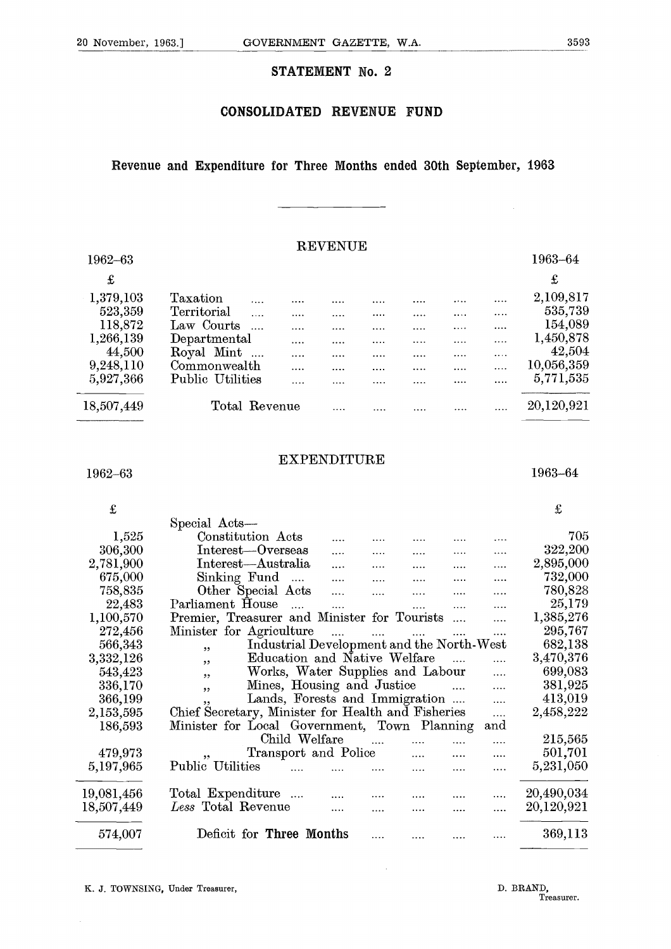#### **STATEMENT No. 2**

#### **CONSOLIDATED REVENUE FUND**

#### **Revenue and Expenditure for Three Months ended 30th September, 1963**

#### REVENUE

|                                                                                                |                                                                                                                                                              | <b>STATEMENT No. 2</b>                   |                                              |                           |                                  |                                |                                                                                                         |
|------------------------------------------------------------------------------------------------|--------------------------------------------------------------------------------------------------------------------------------------------------------------|------------------------------------------|----------------------------------------------|---------------------------|----------------------------------|--------------------------------|---------------------------------------------------------------------------------------------------------|
|                                                                                                |                                                                                                                                                              | <b>CONSOLIDATED</b>                      |                                              | <b>REVENUE</b>            | <b>FUND</b>                      |                                |                                                                                                         |
|                                                                                                | Revenue and Expenditure for Three Months ended 30th September, 1963                                                                                          |                                          |                                              |                           |                                  |                                |                                                                                                         |
| 1962-63                                                                                        |                                                                                                                                                              |                                          | <b>REVENUE</b>                               |                           |                                  |                                | 1963-64                                                                                                 |
| $\pounds$                                                                                      |                                                                                                                                                              |                                          |                                              |                           |                                  |                                | £                                                                                                       |
| 1,379,103<br>523,359<br>118,872<br>1,266,139<br>44,500<br>9,248,110<br>5,927,366<br>18,507,449 | Taxation<br>Territorial<br>$\cdots$<br>Law Courts<br>$\ldots$<br>Departmental<br>Royal Mint<br>$\ldots$<br>Commonwealth<br>Public Utilities<br>Total Revenue | <br>$\cdots$<br><br>$\cdots$<br>$\cdots$ | $\cdots$<br>$\cdots$<br>$\cdots$<br>$\cdots$ | $\cdots$<br>.<br>$\ldots$ | <br><br>$\cdots$<br>$\cdots$<br> | $\cdots$<br>.<br>$\cdots$<br>. | <br><br>2,109,817<br>535,739<br>154,089<br>1,450,878<br>42,504<br>10,056,359<br>5,771,535<br>20,120,921 |
| 1962-63                                                                                        |                                                                                                                                                              | <b>EXPENDITURE</b>                       |                                              |                           |                                  |                                | 1963-64                                                                                                 |
| £<br>1,525<br>306,300                                                                          | Special Acts-<br>Constitution Acts<br>Interest-Overseas                                                                                                      |                                          | $\cdots$                                     |                           | $\cdots$                         |                                | £<br>705<br>322,200                                                                                     |

#### EXPENDITURE

| <br>44,500 | so o poix existences.<br>Royal Mint                |                                           |          |          |          |          |          | 42,504     |
|------------|----------------------------------------------------|-------------------------------------------|----------|----------|----------|----------|----------|------------|
| 9,248,110  | Commonwealth                                       | $\cdots$                                  | $\cdots$ | $\cdots$ |          |          | $\cdots$ | 10,056,359 |
|            |                                                    | .                                         |          |          |          |          | $\cdots$ | 5,771,535  |
| 5,927,366  | Public Utilities                                   |                                           |          | .        | .        | .        | $\cdots$ |            |
| 18,507,449 | Total Revenue                                      |                                           |          |          |          | .        |          | 20,120,921 |
|            |                                                    | <b>EXPENDITURE</b>                        |          |          |          |          |          |            |
| 1962-63    |                                                    |                                           |          |          |          |          |          | 1963-64    |
| £          |                                                    |                                           |          |          |          |          |          | £          |
|            | Special Acts-                                      |                                           |          |          |          |          |          |            |
| 1,525      | Constitution Acts                                  |                                           | $\cdots$ |          | $\cdots$ | $\cdots$ | $\cdots$ | 705        |
| 306,300    | Interest-Overseas                                  |                                           | $\cdots$ | $\cdots$ | .        |          |          | 322,200    |
| 2,781,900  | Interest-Australia                                 |                                           | $\cdots$ | $\cdots$ | $\cdots$ | .        | $\cdots$ | 2,895,000  |
| 675,000    | Sinking Fund                                       | $\ddotsc$                                 | $\cdots$ | $\cdots$ |          |          |          | 732,000    |
| 758,835    | Other Special Acts                                 |                                           | $\cdots$ | .        | $\cdots$ |          |          | 780,828    |
| 22,483     | Parliament House                                   | $\ddotsc$                                 | $\cdots$ |          |          | .        |          | 25,179     |
| 1,100,570  | Premier, Treasurer and Minister for Tourists       |                                           |          |          |          | $\cdots$ |          | 1,385,276  |
| 272,456    | Minister for Agriculture                           |                                           |          |          |          |          |          | 295,767    |
| 566,343    | ,,                                                 | Industrial Development and the North-West |          |          |          |          |          | 682,138    |
| 3,332,126  | ,,                                                 | Education and Native Welfare              |          |          |          |          |          | 3,470,376  |
| 543,423    | ,,                                                 | Works, Water Supplies and Labour          |          |          |          |          | .        | 699,083    |
| 336,170    | ,,                                                 | Mines, Housing and Justice                |          |          |          | $\cdots$ | .        | 381,925    |
| 366,199    | ,,                                                 | Lands, Forests and Immigration            |          |          |          |          | .        | 413,019    |
| 2,153,595  | Chief Secretary, Minister for Health and Fisheries |                                           |          |          |          |          | .        | 2,458,222  |
| 186,593    | Minister for Local Government, Town Planning       |                                           |          |          |          |          | and      |            |
|            |                                                    | Child Welfare                             |          | $\cdots$ | $\cdots$ | .        |          | 215,565    |
| 479,973    |                                                    | Transport and Police                      |          |          |          |          |          | 501,701    |
| 5,197,965  | Public Utilities                                   |                                           |          |          |          |          |          | 5,231,050  |
| 19,081,456 | Total Expenditure                                  |                                           |          |          |          | .        |          | 20,490,034 |
| 18,507,449 | Less Total Revenue                                 |                                           | $\cdots$ | .        |          |          |          | 20,120,921 |
|            |                                                    |                                           |          |          |          |          |          |            |
| 574,007    | Deficit for Three Months                           |                                           |          | .        |          |          | .        | 369,113    |
|            | K. J. TOWNSING, Under Treasurer,                   |                                           |          |          |          |          |          | D. BRAND,  |
|            |                                                    |                                           |          |          |          |          |          | Treasurer. |
|            |                                                    |                                           |          |          |          |          |          |            |

 $\bar{\mathcal{A}}$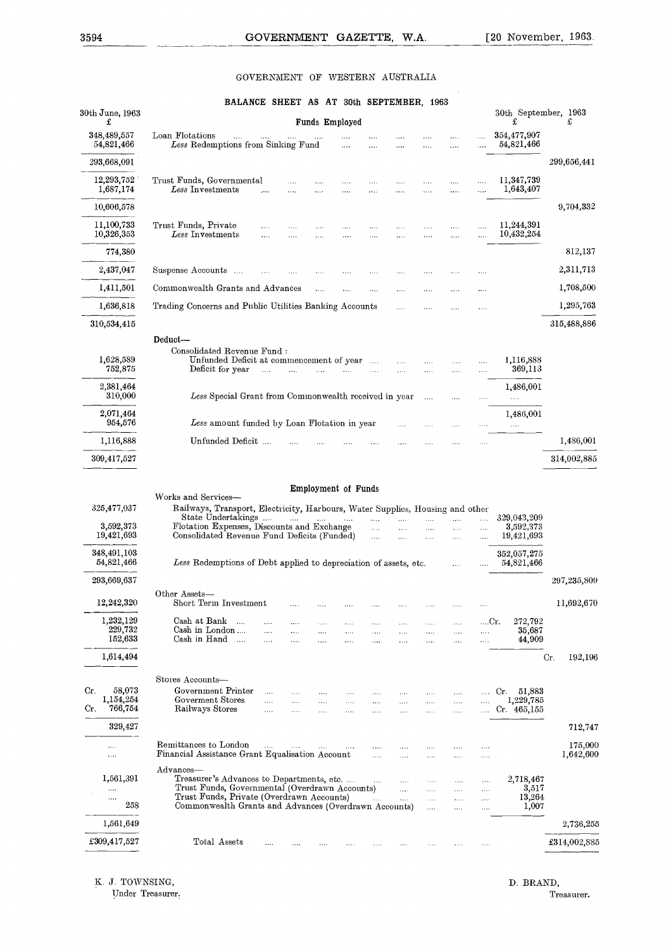#### GOVERNMENT OF WESTERN AUSTRALIA

| 3594                            | <b>GOVERNMENT</b><br>GAZETTE.<br>W.A.                                                                                                                                                                                                                                                    | [20 November, 1963.       |
|---------------------------------|------------------------------------------------------------------------------------------------------------------------------------------------------------------------------------------------------------------------------------------------------------------------------------------|---------------------------|
|                                 | WESTERN AUSTRALIA<br>GOVERNMENT OF                                                                                                                                                                                                                                                       |                           |
| $30\rm th$ June, 1963           | BALANCE SHEET AS AT 30th SEPTEMBER, 1963                                                                                                                                                                                                                                                 |                           |
| £                               | Funds Employed<br>£                                                                                                                                                                                                                                                                      | 30th September, 1963<br>£ |
| 348,489,557<br>54,821,466       | Loan Flotations<br>Less Redemptions from Sinking Fund<br>.                                                                                                                                                                                                                               | 354,477,907<br>54,821,466 |
| 293,668,091                     |                                                                                                                                                                                                                                                                                          | 299,656,441               |
| 12,293,752<br>1,687,174         | Trust Funds, Governmental<br>$\cdots$<br>.<br>.<br>.<br>$\cdots$<br>.<br><br>Less Investments<br>$\cdots$<br>$\cdots$<br>$\cdots$<br>$\cdots$<br>.<br>$\cdots$<br><br>$\cdots$<br>.                                                                                                      | 11,347,739<br>1,643,407   |
| 10,606,578                      |                                                                                                                                                                                                                                                                                          | 9,704,332                 |
| 11,100,733<br>10,326,353        | Trust Funds, Private<br>$\cdots$<br>Less Investments                                                                                                                                                                                                                                     | 11,244,391<br>10,432,254  |
| 774,380                         | .<br>.<br>$\cdots$<br>$\cdots$<br><br>.<br>$\cdots$                                                                                                                                                                                                                                      | 812,137                   |
| 2,437,047                       | Suspense Accounts<br><br><br>$\cdots$<br>.<br>$\cdots$                                                                                                                                                                                                                                   | 2,311,713                 |
| 1,411,501                       | Commonwealth Grants and Advances<br>$\cdots$<br>.<br>$\cdots$<br><br>                                                                                                                                                                                                                    | 1,708,500                 |
| 1,636,818                       | Trading Concerns and Public Utilities Banking Accounts<br>$\cdots$                                                                                                                                                                                                                       | 1,295,763                 |
| 310,534,415                     |                                                                                                                                                                                                                                                                                          | 315,488,886               |
|                                 | Deduct-<br>Consolidated Revenue Fund:                                                                                                                                                                                                                                                    |                           |
| 1,628,589<br>752,875            | Unfunded Deficit at commencement of year<br>$\ldots$<br>$\cdots$<br>$\cdots$<br>$\cdots$<br>$\cdots$<br>Deficit for year<br>$\cdots$<br>$\cdots$<br>$\mathcal{L}_{\mathbf{a}}$ , $\mathcal{L}_{\mathbf{a}}$<br>$\cdots$<br>.<br><br>                                                     | 1,116,888<br>369,113      |
| 2,381,464<br>310,000            |                                                                                                                                                                                                                                                                                          | 1,486,001                 |
| 2,071,464                       | Less Special Grant from Commonwealth received in year<br>$\ldots$<br>$\cdots$<br>.                                                                                                                                                                                                       | 1,486,001                 |
| 954,576                         | Less amount funded by Loan Flotation in year<br><br>.<br>.                                                                                                                                                                                                                               |                           |
| 1,116,888                       | Unfunded Deficit<br>$\cdots$                                                                                                                                                                                                                                                             | 1,486,001                 |
| 309,417,527                     |                                                                                                                                                                                                                                                                                          | 314,002,885               |
|                                 | Employment of Funds<br>Works and Services-                                                                                                                                                                                                                                               |                           |
| 325,477,037                     | Railways, Transport, Electricity, Harbours, Water Supplies, Housing and other<br>State Undertakings                                                                                                                                                                                      | 329,043,209               |
| 3,592,373<br>19,421,693         | $\cdots$<br><br>$\ddotsc$<br>$\sim$ 1000 $\sim$<br>$\cdots$<br>.<br>.<br>$\ldots$<br>Flotation Expenses, Discounts and Exchange<br><br><br>$\cdots$<br>$\cdots$<br>.<br>Consolidated Revenue Fund Deficits (Funded)<br>$\cdots$<br>$\cdots$<br>$\cdots$<br>$\cdots$<br>$\cdots$          | 3,592,373<br>19,421,693   |
| 348,491,103                     |                                                                                                                                                                                                                                                                                          | 352,057,275               |
| 54,821,466                      | Less Redemptions of Debt applied to depreciation of assets, etc.<br>$\cdots$                                                                                                                                                                                                             | 54,821,466                |
| 293,669,637                     | Other Assets-                                                                                                                                                                                                                                                                            | 297,235,809               |
| 12,242,320                      | Short Term Investment<br>$\cdots$<br>$\cdots$<br>$\cdots$<br>$\cdots$<br>$\cdots$<br>1.1.1<br>.                                                                                                                                                                                          | 11,692,670                |
| 1,232,129<br>229,732<br>152,633 | Cash at Bank<br>$\sim$<br>Cr.<br><br>$\ldots$<br>$\cdots$<br>$\cdots$<br>$\cdots$<br>$\cdots$<br>Cash in London<br>$\cdots$<br>.<br>.<br>$\cdots$<br>$\cdots$<br>$\ldots$<br>$\cdots$<br>$\cdots$<br>$\cdots$<br>Cash in Hand                                                            | 272,792<br>35,687         |
| 1,614,494                       | $\ddotsc$<br>$\cdots$<br>$\cdots$<br>$\cdots$<br>$\cdots$<br>$\ddotsc$<br>$\cdots$<br><br>.                                                                                                                                                                                              | 44,909<br>Cr.<br>192,196  |
|                                 | Stores Accounts-                                                                                                                                                                                                                                                                         |                           |
| 58,073<br>Cr.<br>1,154,254      | Government Printer<br>Cr.<br>$\cdots$<br>.<br>$\cdots$<br>$\cdots$<br>$\cdots$<br>$\cdots$<br>$\cdots$<br>$\cdots$                                                                                                                                                                       | 51,883                    |
| 766,754<br>Cr.                  | Goverment Stores<br>$\cdots$<br>.<br>$\cdots$<br>.<br>$\cdots$<br>$\cdots$<br>$\cdots$<br>$\cdots$<br>$\cdots$<br>Railways Stores<br>$\cdots$<br>$\cdots$<br>$\cdots$<br>$\cdots$<br><br>$\cdots$                                                                                        | 1,229,785<br>Cr.465,155   |
| 329,427                         |                                                                                                                                                                                                                                                                                          | 712,747                   |
| <br>.                           | Remittances to London<br>$\mathbf{L}_{\mathbf{A}}$<br>$\cdots$<br>$\sim 100$<br>$\cdots$<br>$\cdots$<br>1.1.1<br>$\cdots$<br>$\cdots$<br>Financial Assistance Grant Equalisation Account<br>$\cdots$<br>$\ldots$<br>$\cdots$<br>$\cdots$<br>$\cdots$                                     | 175,000<br>1,642,600      |
| 1,561,391                       | Advances-<br>Treasurer's Advances to Departments, etc.                                                                                                                                                                                                                                   | 2,718,467                 |
| <br>                            | $\mathbf{1},\mathbf{1},\mathbf{1}$<br>$\cdots$<br>$\cdots$<br>$\ldots$<br>$\cdots$<br>Trust Funds, Governmental (Overdrawn Accounts)<br>$\ddotsc$<br>$\cdots$<br>$\ldots$<br>$\cdots$<br>Trust Funds, Private (Overdrawn Accounts)<br>$\sim$<br>$\mathbf{L}$<br>$\cdots$<br><br>$\ldots$ | 3,517<br>13,264           |
| 258                             | Commonwealth Grants and Advances (Overdrawn Accounts)<br>$\cdots$<br>$\cdots$<br>$\cdots$                                                                                                                                                                                                | 1,007                     |
| 1,561,649                       |                                                                                                                                                                                                                                                                                          | 2,736,255                 |
| £309,417,527                    | Total Assets<br>$\cdots$<br>$\cdots$<br><br>$\ldots$<br>$\ldots$<br>.<br>$\cdots$<br>$\cdots$<br>$\ldots$                                                                                                                                                                                | £314,002,885              |

Under Treasurer.

K. J. TOWNSING, D. BRAND, D. BRAND, D. BRAND, Treasurer.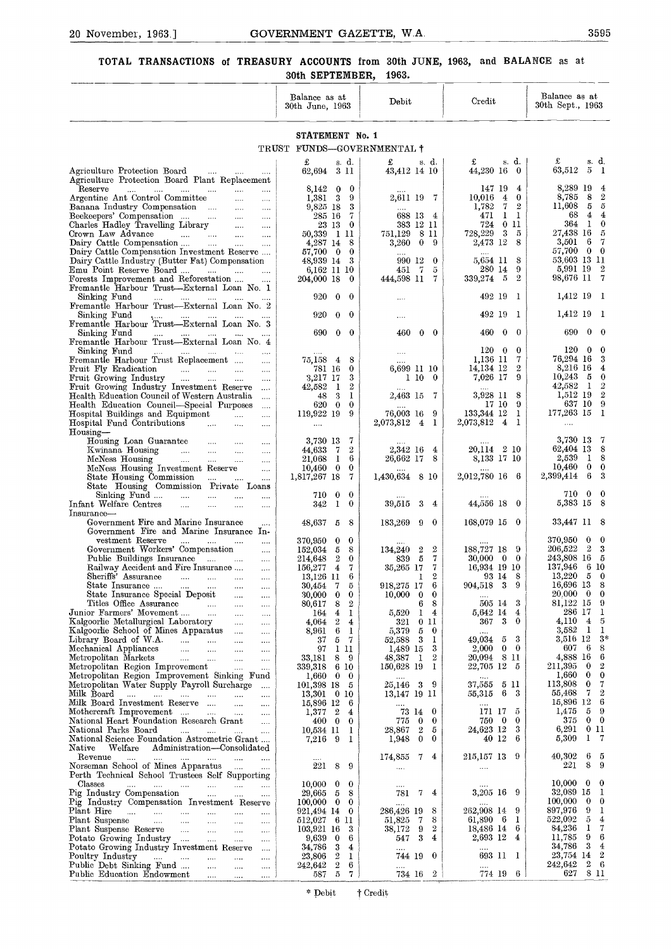## $\frac{1}{2}$ GOVERNMENT GAZETTE, W.A. 3595<br>EASURY ACCOUNTS from 30th JUNE, 1963, and BALANCE as at **TOTAL TRANSACTIONS of TREASURY ACCOUNTS from 30th JUNE, 1963, and BALANCE as at 30th SEPTEMBER, 1963.**

| TOTAL TRANSACTIONS of TREASURY ACCOUNTS from 30th JUNE, 1963, and BALANCE as at                                              | 30th SEPTEMBER.                                                         | 1963.                                                                |                                                                      |                                                                                                         |
|------------------------------------------------------------------------------------------------------------------------------|-------------------------------------------------------------------------|----------------------------------------------------------------------|----------------------------------------------------------------------|---------------------------------------------------------------------------------------------------------|
|                                                                                                                              | Balance as at<br>30th June, 1963                                        | Debit                                                                | $C_{\text{redit}}$                                                   | Balance as at<br>30th Sept., 1963                                                                       |
|                                                                                                                              | STATEMENT No. 1                                                         |                                                                      |                                                                      |                                                                                                         |
|                                                                                                                              | TRUST FUNDS-GOVERNMENTAL †                                              |                                                                      |                                                                      |                                                                                                         |
| Agriculture Protection Board<br>التبدي المتدادي<br>$\ldots$ .                                                                | £<br>s d<br>62,694 3 11                                                 | £<br>s. d.<br>43,412 14 10                                           | s. d.<br>£<br>44,230 16 0                                            | £<br>s d.<br>63,512 5<br>- 1                                                                            |
| Agriculture Protection Board Plant Replacement<br>Reserve<br>المتناد المتناد المتناد المتناد<br><b>Contractor</b><br>$\sim$  | 8,142 0 0                                                               |                                                                      | 147 19 4                                                             | 8,289 19<br>$\overline{4}$                                                                              |
| Argentine Ant Control Committee<br>$\cdots$<br>Banana Industry Compensation<br>$\sim 100$                                    | $1,381 \quad 3$<br>-9<br>9,825 18<br>3                                  | 2,611 19 7                                                           | $10,016$ 4<br>$\bf{0}$<br>1,782<br>$7\phantom{.0}$<br>$\overline{2}$ | $\mathbf{2}$<br>8,785 8<br>$11,608$ 5 5                                                                 |
| Beekeepers' Compensation<br>$\ldots$<br>Charles Hadley Travelling Library<br>$\ldots$                                        | -7<br>285 16<br>23 13<br>$\bf{0}$                                       | 688 13 4<br>383 12 11                                                | 471<br>$1\quad$<br>011<br>724                                        | 68 4<br>$\overline{4}$<br>364 1 0                                                                       |
| Crown Law Advance<br>المتقارب المتناد المتقاربات<br>$\sim$<br>Dairy Cattle Compensation                                      | 50,339 1 11<br>4,287 14 8                                               | 751,129<br>-811<br>3,260<br>$\bf{0}$<br>-9                           | $3 -$<br>728,229<br>5<br>2,473 12<br>8                               | 27,438 16 5<br>3,501 6 7                                                                                |
| Dairy Cattle Compensation Investment Reserve                                                                                 | 57,700 0<br>$\bf{0}$                                                    | 990 12 0                                                             | 5,654 11 8                                                           | 57,700 0 0<br>53.603 13 11                                                                              |
| Dairy Cattle Industry (Butter Fat) Compensation<br>Emu Point Reserve Board                                                   | 48,939 14 3<br>6,162 11 10                                              | $\tau$<br>451<br>5                                                   | 280 14<br>9                                                          | $\mathbf{2}$<br>5,991 19                                                                                |
| Forests Improvement and Reforestation<br>Fremantle Harbour Trust-External Loan No. 1                                         | 204,000 18<br>$\bf{0}$                                                  | 444,598 11<br>7                                                      | $\overline{2}$<br>339,274 5                                          | 98,676 11 7                                                                                             |
| Sinking Fund<br>التبيان المتنادي التبيان التبيان<br>Fremantle Harbour Trust-External Loan No. 2                              | 920<br>$\bf{0}$<br>$\bf{0}$                                             |                                                                      | 492 19<br>- 1                                                        | 1,412 19 1                                                                                              |
| Sinking Fund<br>المستحدث السندان السندان السنو<br>Fremantle Harbour Trust-External Loan No. 3                                | $\bf{0}$<br>920<br>$\bf{0}$                                             | .                                                                    | 492 19<br>- 1                                                        | 1,412 19<br>- 1                                                                                         |
| Sinking Fund<br><b>Contractor</b><br>and the same of the                                                                     | 690<br>$0\quad 0$                                                       | 460<br>$0\quad 0$                                                    | 460<br>$\mathbf{0}$<br>$\theta$                                      | 690<br>$\bf{0}$<br>- 0                                                                                  |
| Fremantle Harbour Trust-External Loan No. 4<br>Sinking Fund<br>المتبعون والمتناور والمتناور والمتناور<br>$\sim$              |                                                                         | .                                                                    | $120\quad 0$<br>$\bf{0}$                                             | $120\quad 0$<br>- 0                                                                                     |
| Fremantle Harbour Trust Replacement<br>$\cdots$<br>Fruit Fly Eradication<br>$\cdots$                                         | 75,158 4<br>8<br>781 16<br>$\bf{0}$                                     | 6,699 11 10                                                          | 1.136 11<br>7<br>$\mathbf{2}$<br>14,134 12                           | 76,294 16<br>- 3<br>8,216 16<br>$\overline{4}$                                                          |
| Fruit Growing Industry<br>$\cdots$<br>Fruit Growing Industry Investment Reserve<br>$\ldots$                                  | 3<br>3,217 17<br>$\overline{2}$<br>42,582<br>- 1                        | $1\,10$<br>- 0                                                       | 7,026 17<br>9                                                        | $10,243$ 5<br>$\mathbf{0}$<br>42,582 1 2                                                                |
| Health Education Council of Western Australia<br>$\cdots$                                                                    | -3<br>1<br>48                                                           | 2,463 15 7                                                           | 3,928 11<br>8<br>17 10<br>-9                                         | 1,512 19 2<br>637 10 9                                                                                  |
| Health Education Council-Special Purposes<br>$\ldots$<br>Hospital Buildings and Equipment<br>$\sim$<br>$\cdots$              | 620 0<br>0<br>119,922 19<br>9                                           | 76,003 16<br>-9                                                      | 133,344 12 1                                                         | $177,263$ 15 1                                                                                          |
| Hospital Fund Contributions<br>$\cdots$<br>$\cdots$<br>Housing-                                                              | $\cdots$                                                                | 2,073,812 4 1                                                        | 2,073,812 4 1                                                        | .                                                                                                       |
| Housing Loan Guarantee<br>$\sim$ $\sim$ $\sim$<br>.<br>$\cdots$<br>Kwinana Housing<br>$\cdots$<br>$\cdots$                   | 3,730 13<br>7<br>$\boldsymbol{2}$<br>44,633 7                           | 2,342 16<br>$\overline{4}$                                           | 20,114 2 10                                                          | 3,730 13<br>-7<br>62,404 13 8                                                                           |
| McNess Housing<br>$\sim$ 1000 $\mu$<br>and the company<br>$\ldots$<br>McNess Housing Investment Reserve                      | 6<br>21,068<br>$\mathbf{1}$<br>0                                        | 26,662 17<br>8                                                       | 8,133 17 10                                                          | 2,539<br>18<br>$10,460$ 0 0                                                                             |
| $\cdots$<br>State Housing Commission<br>$\cdots$                                                                             | $10,460$ 0<br>1,817,267 18<br>7                                         | 1,430,634 8 10                                                       | 2,012,780 16 6                                                       | 2,399,414<br>- 6<br>-3                                                                                  |
| State Housing Commission Private Loans<br>Sinking Fund<br>and the same states<br>$\cdots$                                    | 0<br>710.<br>$\mathbf{0}$                                               |                                                                      |                                                                      | 710 0<br>$\bf{0}$                                                                                       |
| Infant Welfare Centres<br>$\ldots$ . The set of $\mathbb{R}^n$<br>$\cdots$<br><br>Insurance-                                 | 342<br>-1<br>$\bf{0}$                                                   | 39,515<br>-3<br>$\overline{4}$                                       | 44,556 18 0                                                          | 5,383 15<br>- 8                                                                                         |
| Government Fire and Marine Insurance<br>Government Fire and Marine Insurance In-                                             | 48,637 5 8                                                              | 183,269 9<br>$\bf{0}$                                                | $168.079$ 15 0                                                       | 33,447 11 8                                                                                             |
| vestment Reserve<br>$\ldots$ $\ldots$ $\ldots$<br>$\cdots$                                                                   | 370,950<br>$\bf{0}$<br>$\bf{0}$                                         |                                                                      |                                                                      | 370,950<br>$\bf{0}$<br>$\bf{0}$<br>$\overline{2}$                                                       |
| Government Workers' Compensation<br>$\cdots$<br>Public Buildings Insurance<br>$\sim 100$                                     | 5<br>8<br>152,034<br>214,648<br>$\boldsymbol{2}$<br>$\bf{0}$            | $\boldsymbol{2}$<br>134,240<br>$\overline{2}$<br>- 5<br>7<br>839     | 188,727 18 9<br>$30,000 \quad 0 \quad 0$                             | 206,522<br>3<br>243,808 16 5                                                                            |
| Railway Accident and Fire Insurance<br>$\sim$<br>Sheriffs' Assurance<br>المتناد المتناد المتنادر<br>$\sim$                   | 156,277 4<br>7<br>13,126 11<br>6                                        | 35,265 17<br>-7<br>$\overline{2}$<br>1                               | 16,934 19 10<br>93 14<br>8                                           | 137,946<br>6 10<br>13,220<br>$\bf{0}$<br>- 5                                                            |
| State Insurance<br>$\sim$ 1000 $\mu$<br>$\ldots$ .<br>State Insurance Special Deposit<br>$\sim 100$ km s $^{-1}$<br>$\ldots$ | 30,454<br>7<br>5<br>30,000<br>$\bf{0}$<br>$\bf{0}$                      | 918,275 17<br>6<br>10,000<br>$\bf{0}$<br>$\bf{0}$                    | 904,518 3<br>9<br>$\cdots$                                           | 16,696 13<br>-8<br>20.000<br>$\overline{0}$<br>$\bf{0}$                                                 |
| Titles Office Assurance Junior Farmers' Movement<br>$\ldots$                                                                 | 8<br>$\boldsymbol{2}$<br>80,617                                         | 8<br>6                                                               | 3<br>505 14<br>$\overline{4}$                                        | 81,122 15<br>-9<br>286 17<br>$\mathbf{1}$                                                               |
| $\ldots$<br>Kalgoorlie Metallurgical Laboratory<br>$\ldots$                                                                  | $\overline{4}$<br>164<br>1<br>$2^{\circ}$<br>4,064<br>$\overline{4}$    | 5,520<br>$\mathbf{1}$<br>4<br>321<br>011                             | 5,642 14<br>367 3<br>$\bf{0}$                                        | 4,110<br>$\overline{4}$<br>-5                                                                           |
| Kalgoorlie School of Mines Apparatus<br>$\cdots$<br>Library Board of W.A.<br>$\cdots$                                        | 6 <sup>1</sup><br>8,961<br>-1<br>5 7<br>37                              | 5<br>5,379<br>$\bf{0}$<br>-3<br>-1<br>52,588                         | 3<br>49.034 5                                                        | 3,582<br>$\mathbf{1}$<br>-1<br>3,516 12<br>$3*$                                                         |
| Mechanical Appliances<br>Metropolitan Markets<br>$\ldots$<br>$\sim$                                                          | 97 1 11<br>33,181<br>89                                                 | 1,489 15<br>3<br>$\overline{2}$<br>48,387<br>1                       | $\mathbf{0}$<br>$\bf{0}$<br>$2{,}000$<br>20,094 8 11                 | - 6<br>607<br>8<br>4,888 16<br>6                                                                        |
| Metropolitan Region Improvement<br>$\cdots$<br>Metropolitan Region Improvement Sinking Fund                                  | 339,318 6 10                                                            | 150,628 19<br>- 1                                                    | 22,705 12 5                                                          | $\boldsymbol{2}$<br>211,395<br>$\overline{\phantom{0}}$<br>$\ddot{\mathbf{0}}$<br>1,660<br>$\mathbf{0}$ |
| Metropolitan Water Supply Payroll Surcharge<br>$\cdots$                                                                      | $1,660$ 0<br>$\bf{0}$<br>101,398 18 5                                   | $\sim$<br>25,146 3<br>- 9                                            | $\dots$ .<br>37,555 5 11                                             | 113,808<br>7<br>$\bf{0}$                                                                                |
| Milk Board<br>$\sim$<br>Milk Board Investment Reserve                                                                        | 13,301 0 10<br>15,896 12<br>6                                           | 13,147 19 11<br>$\ldots$                                             | 55,315 6 3<br>$\ldots$ .                                             | $\boldsymbol{2}$<br>$\mathbf{7}$<br>55,468<br>- 6<br>15,896 12                                          |
| Mothercraft Improvement<br>National Heart Foundation Research Grant<br>$\sim 100$                                            | $1,377$ 2<br>4<br>$400 \t 0$<br>$\bf{0}$                                | 73 14 0<br>$\bf{0}$<br>775<br>$\bf{0}$                               | 171 17<br>5<br>750 0<br>$\bf{0}$                                     | 1,475<br>59<br>37500                                                                                    |
| National Parks Board<br>National Science Foundation Astrometric Grant                                                        | 10,534 11<br>1<br>- 9<br>7,216<br>1                                     | $\overline{2}$<br>28,867<br>- 5<br>1,948<br>$\mathbf{0}$<br>$\bf{0}$ | 24,623 12<br>3<br>40 12<br>6                                         | 6,291<br>011<br>5,309<br>1<br>- 7                                                                       |
| Native Welfare Administration-Consolidated                                                                                   |                                                                         |                                                                      |                                                                      |                                                                                                         |
| Revenue<br>المتوارث المتوارث المتوارث المتوارث المتوارث المتوار<br>Norseman School of Mines Apparatus                        | $\cdots$<br>221<br>89                                                   | 174,855<br>7<br>$\overline{4}$<br>$\ldots$                           | 215,157 13 9<br>$\sim$ $\sim$                                        | 40,302<br>6<br>- 5<br>8<br>221<br>9                                                                     |
| Perth Technical School Trustees Self Supporting<br>Classes<br>المتوارث المتوارث المتوارث المتوارث المتوارث المتوارث          | 10,000<br>$\bf{0}$<br>$\bf{0}$                                          | $\cdots$                                                             | $\cdots$                                                             | 10,000<br>$\overline{0}$<br>$\bf{0}$                                                                    |
| Pig Industry Compensation<br>$\cdots$<br>Pig Industry Compensation Investment Reserve                                        | 29,665<br>$5\overline{5}$<br>8<br>100,000<br>$\overline{0}$<br>$\bf{0}$ | 781<br>7<br>4<br>1.1.1                                               | 3,205 16 9                                                           | 32,089 15<br>-1<br>100,000<br>$\bf{0}$<br>$\bf{0}$                                                      |
| Plant Hire                                                                                                                   | 921,494 14<br>$\bf{0}$                                                  | 8<br>286,426 19<br>8                                                 | 262,908 14 9<br>61,890 6<br>1                                        | 897,976<br>-9<br>1<br>522,092<br>5<br>$\overline{4}$                                                    |
| Plant Suspense<br>$\cdots$<br>Plant Suspense Reserve<br>$\ldots$ .                                                           | 512,027 6 11<br>103,921 16<br>3                                         | 51,825<br>- 7<br>$\sqrt{2}$<br>38,172<br>9                           | 18,486 14<br>6                                                       | 84,236<br>$\mathbf{I}$<br>7                                                                             |
| Potato Growing Industry<br>$\cdots$<br>Potato Growing Industry Investment Reserve<br>$\ldots$                                | 9,639<br>$\bf{0}$<br>6<br>$\mathbf{3}$<br>34,786<br>4                   | $\sqrt{3}$<br>4<br>547                                               | 2,693 12 4                                                           | 9<br>6<br>11,785<br>$\overline{\mathbf{3}}$<br>34,786<br>$\overline{4}$                                 |
| Poultry Industry<br>المسارة السنارة السبارة أأسترار<br>$\cdots$<br>$\cdots$                                                  | $\overline{2}$<br>1<br>23,806<br>$\,2\,$<br>242,642<br>$6\phantom{.}6$  | 744 19 0<br>$\ldots$                                                 | 693 II I<br>$\cdots$                                                 | 23,754 14 2<br>$2\quad 6$<br>242,642                                                                    |
| المنبذ                                                                                                                       | $5\quad7$<br>587                                                        | 734 16 2                                                             | 774 19 6                                                             | 8 11<br>627                                                                                             |
|                                                                                                                              | * Debit                                                                 | † Credit                                                             |                                                                      |                                                                                                         |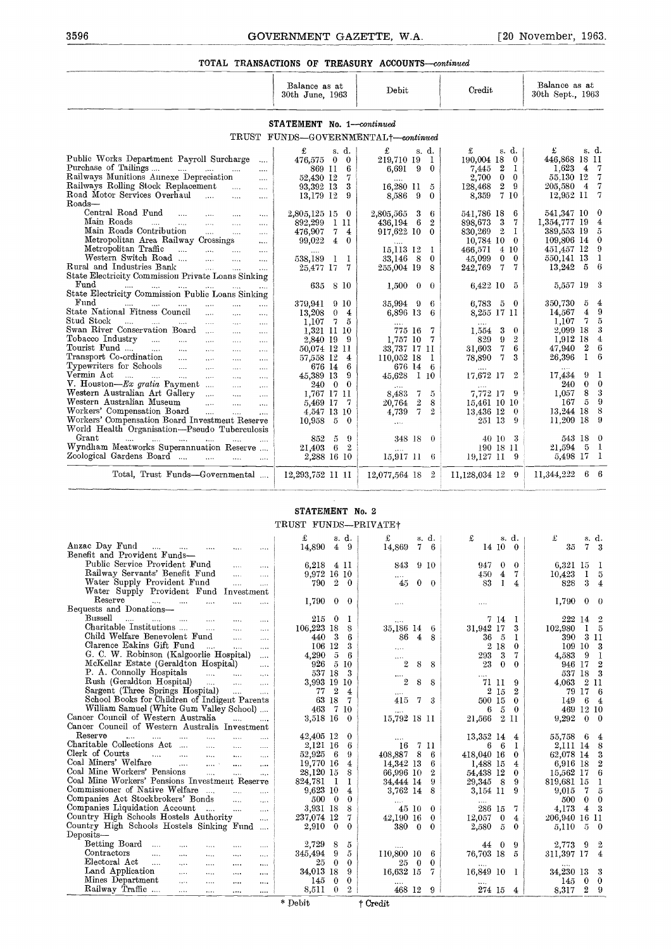#### **TOTAL TRANSACTIONS OF TREASURY ACCOUNTS-continued**

| TOTAL TRANSACTIONS OF TREASURY ACCOUNTS—continued |                                                                                                                                                                                                                                                                                                                                                                    |                                                                                                                                                                                                                                                                                     |
|---------------------------------------------------|--------------------------------------------------------------------------------------------------------------------------------------------------------------------------------------------------------------------------------------------------------------------------------------------------------------------------------------------------------------------|-------------------------------------------------------------------------------------------------------------------------------------------------------------------------------------------------------------------------------------------------------------------------------------|
|                                                   |                                                                                                                                                                                                                                                                                                                                                                    |                                                                                                                                                                                                                                                                                     |
| Debit                                             | Credit                                                                                                                                                                                                                                                                                                                                                             | Balance as at<br>30th Sept., 1963                                                                                                                                                                                                                                                   |
|                                                   |                                                                                                                                                                                                                                                                                                                                                                    |                                                                                                                                                                                                                                                                                     |
|                                                   |                                                                                                                                                                                                                                                                                                                                                                    |                                                                                                                                                                                                                                                                                     |
| 219,710 19<br>-1                                  | $190.004$ 18 0                                                                                                                                                                                                                                                                                                                                                     | s. d.<br>£<br>446,868 18 11<br>1.623<br>$\overline{4}$<br>- 7                                                                                                                                                                                                                       |
|                                                   | $2{,}700$<br>0<br>- 0                                                                                                                                                                                                                                                                                                                                              | 55,130 12<br>- 7                                                                                                                                                                                                                                                                    |
| -5                                                | 128,468                                                                                                                                                                                                                                                                                                                                                            | $\overline{7}$<br>205,580<br>4<br>-7<br>12,952 11                                                                                                                                                                                                                                   |
|                                                   |                                                                                                                                                                                                                                                                                                                                                                    |                                                                                                                                                                                                                                                                                     |
| - 6<br>$\boldsymbol{2}$                           | 3<br>7                                                                                                                                                                                                                                                                                                                                                             | 541,347 10<br>- 0<br>4<br>1,354,777 19                                                                                                                                                                                                                                              |
| 917,622 10<br>$\bf{0}$                            | $\overline{2}$<br>830,269<br>-1                                                                                                                                                                                                                                                                                                                                    | $\tilde{\upsilon}$<br>389,553 19                                                                                                                                                                                                                                                    |
| $\cdots$<br>15,113 12<br>- 1                      | 4 10<br>466,571                                                                                                                                                                                                                                                                                                                                                    | 109,806 14 0<br>451,457 12<br>- 9                                                                                                                                                                                                                                                   |
| 33,146 8<br>$\bf{0}$                              | 0<br>$\bf{0}$<br>45,099                                                                                                                                                                                                                                                                                                                                            | -1<br>550,141 13<br>- 6<br>13,242<br>5                                                                                                                                                                                                                                              |
|                                                   |                                                                                                                                                                                                                                                                                                                                                                    |                                                                                                                                                                                                                                                                                     |
| $1,500 \quad 0$<br>$\bf{0}$                       |                                                                                                                                                                                                                                                                                                                                                                    | 5,557 19<br>- 3                                                                                                                                                                                                                                                                     |
| 35,994 9<br>-6                                    | $6{,}783$<br>$5\quad 0$                                                                                                                                                                                                                                                                                                                                            | 350,730<br>5<br>$\overline{4}$                                                                                                                                                                                                                                                      |
| 6                                                 |                                                                                                                                                                                                                                                                                                                                                                    | 9<br>4<br>14,567<br>$7 -$<br>5<br>1,107                                                                                                                                                                                                                                             |
| 775 16<br>-7                                      | 3<br>$\theta$<br>1,554                                                                                                                                                                                                                                                                                                                                             | 3<br>2,099 18                                                                                                                                                                                                                                                                       |
|                                                   |                                                                                                                                                                                                                                                                                                                                                                    | $\bf{4}$<br>1,912 18<br>- 6<br>2<br>47,940                                                                                                                                                                                                                                          |
| 110,052 18<br>- 1                                 | 78,890<br>7<br>3                                                                                                                                                                                                                                                                                                                                                   | 26,396<br>1<br>- 6                                                                                                                                                                                                                                                                  |
|                                                   | $\boldsymbol{2}$                                                                                                                                                                                                                                                                                                                                                   | 9 1<br>17.434                                                                                                                                                                                                                                                                       |
| $\ldots$                                          |                                                                                                                                                                                                                                                                                                                                                                    | $0\quad 0$<br>240                                                                                                                                                                                                                                                                   |
| 20,764<br>8                                       | 15,461 10 10                                                                                                                                                                                                                                                                                                                                                       | 8 3<br>1,057<br>$5\quad 9$<br>167                                                                                                                                                                                                                                                   |
| $\overline{7}$<br>4,739<br>$\overline{2}$         | 13,436 12<br>$\mathbf{0}$                                                                                                                                                                                                                                                                                                                                          | 13,244 18 8<br>11,209 18 9                                                                                                                                                                                                                                                          |
|                                                   |                                                                                                                                                                                                                                                                                                                                                                    |                                                                                                                                                                                                                                                                                     |
|                                                   | 40 10 3                                                                                                                                                                                                                                                                                                                                                            | 543 18 0<br>$21,594$ 5 1                                                                                                                                                                                                                                                            |
| 15,917 11<br>-6                                   | 19,127 II<br>- 9                                                                                                                                                                                                                                                                                                                                                   | 5,498 17 1                                                                                                                                                                                                                                                                          |
|                                                   |                                                                                                                                                                                                                                                                                                                                                                    |                                                                                                                                                                                                                                                                                     |
|                                                   | STATEMENT No. 1-continued<br>TRUST FUNDS-GOVERNMENTAL+-continued<br>£<br>s. d.<br>6,691<br>- 9<br>$\bf{0}$<br>16,280 11<br>8,586<br>- 9<br>$\bf{0}$<br>2,805,565 3<br>-6<br>436,194<br>255,004 19<br>8<br>6,896 13<br>$\cdots$<br>- 7<br>1,757 10<br>33,737 17 11<br>676 14 6<br>45,628 1 10<br>8,483<br>$\mathbf{7}$<br>- 5<br>$\sqrt{2}$<br>$\ldots$<br>348 18 0 | s. d.<br>£<br>2<br>- 1<br>7,445<br>2<br>9<br>7 10<br>8,359<br>541,786 18<br>6<br>898,673<br>$10,784$ 10 0<br>242,769<br>7<br>-7<br>6,422 10 5<br>8,255 17 11<br>$\cdots$<br>$\overline{2}$<br>829<br>9.<br>7<br>6<br>31,603<br>17.672 17<br>7,772 17 9<br>251 13<br>-9<br>190 18 11 |

#### **STATEMENT** No. 2 TRUST FUNDS-PRIVATEt

| workers compensation noard<br>Workers' Compensation Board Investment Reserve<br>World Health Organisation-Pseudo Tuberculosis | $4.041$ 19 10<br>$10,958$ 5 0           | 4,105<br>$\ldots$              | ∸                 | 10,400 14 V<br>251 13<br>9                               | $10,222$ 10 0<br>11,209 18 9     |
|-------------------------------------------------------------------------------------------------------------------------------|-----------------------------------------|--------------------------------|-------------------|----------------------------------------------------------|----------------------------------|
| $Grant$<br>and the control of the control and<br><b>Security</b>                                                              | 852<br>5                                | -9                             | 348 18 0          | 40 10<br>-3                                              | 543 18 0                         |
| Wyndliam Meatworks Superannuation Reserve                                                                                     | 21,403<br>6 2                           |                                |                   | 190 18 11                                                | 5 <sub>1</sub><br>21,594         |
| Zoological Gardens Board                                                                                                      | 2,288 16 10                             | $15,917$ 11 6                  |                   | 19,127 11<br>- 9                                         | 5,498 17 1                       |
| Total, Trust Funds-Governmental                                                                                               | 12,293,752 11 11                        | 12,077,564 18 2                |                   | 11,128,034 12 9                                          | $6\quad 6$<br>11,344,222         |
|                                                                                                                               |                                         |                                |                   |                                                          |                                  |
|                                                                                                                               | STATEMENT No. 2<br>TRUST FUNDS-PRIVATE+ |                                |                   |                                                          |                                  |
|                                                                                                                               | £<br>s. d.                              | £                              |                   |                                                          | £                                |
| Anzac Day Fund<br>المتداري المتداري المتدار<br>$\cdots$<br>$\cdots$                                                           | 14,890<br>$4 \quad 9$                   | 14,869                         | s. d.<br>76       | £<br>s. d.<br>14 10<br>$\Omega$                          | s. d.<br>35<br>7 <sup>3</sup>    |
| Benefit and Provident Funds-                                                                                                  |                                         |                                |                   |                                                          |                                  |
| Public Service Provident Fund<br>$\sim$<br>$\cdots$                                                                           | 6,218 4 11                              | 843                            | 9 10              | 947<br>$\theta$<br>$\bf{0}$                              | 6,321 15 1                       |
| Railway Servants' Benefit Fund<br>$\ldots$<br>$\cdots$                                                                        | 9,972 16 10                             |                                |                   | 450<br>$\overline{4}$<br>7                               | $\bf{I}$<br>10,423<br>- 5        |
| Water Supply Provident Fund<br>$\ldots$ .<br>$\cdots$                                                                         | 790<br>$\overline{2}$                   | $\bf{0}$<br>45                 | $0 \quad 0$       | 83<br>-1<br>$\overline{4}$                               | 828<br>3<br>$\overline{4}$       |
| Water Supply Provident Fund Investment                                                                                        |                                         |                                |                   |                                                          |                                  |
| Reserve<br><b>Contractor</b><br>$\ddotsc$<br>$\sim$<br>$\ldots$<br>$\cdots$                                                   | 1,790<br>$\bf{0}$                       | $\bf{0}$<br>$\dots$            |                   | $\ldots$                                                 | $0 \quad 0$<br>1,790             |
| Bequests and Donations-                                                                                                       |                                         |                                |                   |                                                          |                                  |
| Bussell<br>$\mathbf{r}$<br><b>Contract</b><br>$\cdots$<br>$\sim$ 1000 $\mu$<br>$\cdots$<br>$\ldots$                           | 215 0                                   | -1<br>$\ddotsc$                |                   | 714<br>- 1                                               | $\overline{2}$<br>222 14         |
| Charitable Institutions<br>$\cdots$<br>$\ldots$                                                                               | 106,223 18                              | 8<br>35,186 14 6               |                   | 31,942 17<br>3                                           | 102,980<br>15                    |
| Child Welfare Benevolent Fund<br>$\ldots$<br>$\cdots$                                                                         | 440 3                                   | 6                              | 86 4 8            | 36 5<br>-1                                               | 390 3 11                         |
| Clarence Eakins Gift Fund<br>$\sim 100$<br><b>County</b><br>$\cdots$                                                          | 106 12                                  | 3<br>$\ldots$                  |                   | 2 18<br>$\bf{0}$                                         | 109 10 3                         |
| G. C. W. Robinson (Kalgoorlie Hospital)<br>$\mathbf{r}$                                                                       | 4,290<br>$-\overline{5}$                | - 6<br>$\cdots$                |                   | 293<br>-3<br>7                                           | 9 <sub>1</sub><br>4,583          |
| McKellar Estate (Geraldton Hospital)<br>$\cdots$                                                                              | 926 5 10                                | $\overline{2}$                 | 8<br>8            | 23<br>$\bf{0}$<br>$\bf{0}$                               | 946 17 2                         |
| P. A. Connolly Hospitals<br>المنبات المنبات<br>$\ldots$                                                                       | 537 18                                  | -3<br>$\cdots$                 |                   |                                                          | 537 18 3                         |
| Rush (Geraldton Hospital)<br>$\sim$<br>$\cdots$                                                                               | 3,993 19 10                             | $\overline{2}$                 | 8<br>8            | 71 11<br>9                                               | 4.063 2 11                       |
| Sargent (Three Springs Hospital)<br>$\sim$ 1000 $\sim$<br>$\cdots$                                                            | 77 2                                    | $\overline{4}$<br>$\cdots$     |                   | $2\,15$<br>$\mathbf{2}$                                  | 79 17 6                          |
| School Books for Children of Indigent Parents                                                                                 | 63 18                                   | $\mathbf 7$<br>415             | $\mathbf{7}$<br>3 | 500 15<br>$\bf{0}$                                       | 64<br>149                        |
| William Samuel (White Gum Valley School)<br>Cancer Council of Western Australia                                               | 463 7 10                                | $\cdots$                       |                   | $5 -$<br>6<br>$\bf{0}$                                   | 469 12 10                        |
| $\mathbf{1}$<br>$\cdots$<br>Cancer Council of Western Australia Investment                                                    | 3,518 16                                | $\theta$<br>15,792 18 11       |                   | 21,566 2 11                                              | 9,292<br>$0\quad 0$              |
| Reserve                                                                                                                       |                                         |                                |                   |                                                          |                                  |
| $\sim$ . $\sim$<br><b>Allen College</b><br>$\cdots$<br>$\sim$<br>$\ldots$<br>$\cdots$<br>Charitable Collections Act<br>$\sim$ | 42,405 12<br>2,121 16                   | $\bf{0}$<br>$\cdots$<br>6      |                   | 13,352 14<br>$\overline{4}$<br>- 6<br>$\mathbf{I}$<br>6. | 55,758 6 4<br>2,111 14 8         |
| $\ddotsc$<br>$\cdots$<br>Clerk of Courts<br>$\mathcal{L} = \{1, 2, \ldots, n\}$<br>$\sim 100$ km $^{-1}$                      | 52,925 6                                | 408,887 8 6<br>9               | 16 7 11           | 418,040 16<br>$\bf{0}$                                   | 62,078 14 3                      |
| $\cdots$<br>$\ldots$<br>Coal Miners' Welfare<br>الحسوب السواد<br>$\cdots$<br>$\cdots$                                         | 19,770 16                               | 14,342 13<br>4                 | 6                 | 1,488 15<br>$\overline{4}$                               | $\boldsymbol{2}$<br>6,916 18     |
| Coal Mine Workers' Pensions<br><b>Contract Contract</b><br>$\sim$ . $\sim$<br>$\ddotsc$                                       | 28,120 15                               | 8<br>66,996 10                 | $\mathbf{2}$      | 54,438 12<br>$\bf{0}$                                    | 15,562 17 6                      |
| Coal Mine Workers' Pensions Investment Reserve                                                                                | 824,781<br>$\mathbf{I}$                 | 1<br>34,444 14                 | 9                 | 29,345 8<br>-9                                           | 819,681 15<br>-1                 |
| Commissioner of Native Welfare<br>$\cdots$                                                                                    | 9,623 10                                | $\overline{4}$<br>3,762 14     | 8                 | 3,154 11<br>9                                            | 9,015<br>7<br>$\tilde{\upsilon}$ |
| Companies Act Stockbrokers' Bonds<br>$\sim$ $\sim$<br>$\ldots$                                                                | 500 0                                   | $\bf{0}$                       |                   |                                                          | 500<br>$0 \quad 0$               |
| Companies Liquidation Account<br>$\cdots$                                                                                     | 3,931 18                                | 8                              | 45 10 0           | 286 15<br>7                                              | $4 \quad 3$<br>4,173             |
| Country High Schools Hostels Authority<br>$\cdots$                                                                            | 237.074 12                              | 7<br>42,190 16                 | $\bf{0}$          | 12,057<br>$\bf{0}$<br>$\overline{4}$                     | 206,940 16 11                    |
| Country High Schools Hostels Sinking Fund                                                                                     | $2,910 \quad 0$                         | 380 0<br>$\Omega$              | $\bf{0}$          | 2,580<br>$\tilde{D}$<br>$\bf{0}$                         | 5,110<br>$5\quad 0$              |
| $Deposits-$                                                                                                                   |                                         |                                |                   |                                                          |                                  |
| Betting Board<br>$\ldots$<br>$\ldots$<br>$\cdots$<br>$\ldots$                                                                 | 2,729<br>8                              | 5                              |                   | 9<br>44<br>$\theta$                                      | $9\quad 2$<br>2,773              |
| Contractors<br>$\sim 100$<br>$\sim 100$<br>$\ldots$<br>$\cdots$<br>$\ldots$ .                                                 | - 9<br>345,494                          | $\tilde{\sigma}$<br>110,800 10 | 6                 | 76,703 18<br>$\tilde{\sigma}$                            | 311,397 17 4                     |
| Electoral Act<br>$\sim$<br>$\cdots$<br>$\ldots$<br>$\ldots$                                                                   | 2500                                    | $\bf{0}$<br>250                | $\bf{0}$          |                                                          |                                  |
| Land Application<br>$\mathcal{L}_{\text{max}}$ .<br>$\ldots$<br>$\sim$<br>$\cdots$                                            | 34,013 18                               | 9<br>16,632 15 7               |                   | 16,849 10<br>$\mathbf{I}$                                | 34,230 13 3                      |
| Mines Department<br>$\sim 100$<br>$\cdots$<br>$\cdots$<br>$\ldots$                                                            | 145<br>$\bf{0}$                         | $\bf{0}$                       |                   |                                                          | 145<br>$0\quad 0$                |
| Railway Traffic<br>$\cdots$<br>$\sim$ .<br>$\ldots$<br>$\cdots$                                                               | 8,511<br>$\theta$                       | 2 <sup>1</sup>                 | 468 12 9          | 274 15<br>$\overline{4}$                                 | 8,317<br>$2\quad 9$              |
|                                                                                                                               | * Debit                                 | † Credit                       |                   |                                                          |                                  |
|                                                                                                                               |                                         |                                |                   |                                                          |                                  |
|                                                                                                                               |                                         |                                |                   |                                                          |                                  |
|                                                                                                                               |                                         |                                |                   |                                                          |                                  |
|                                                                                                                               |                                         |                                |                   |                                                          |                                  |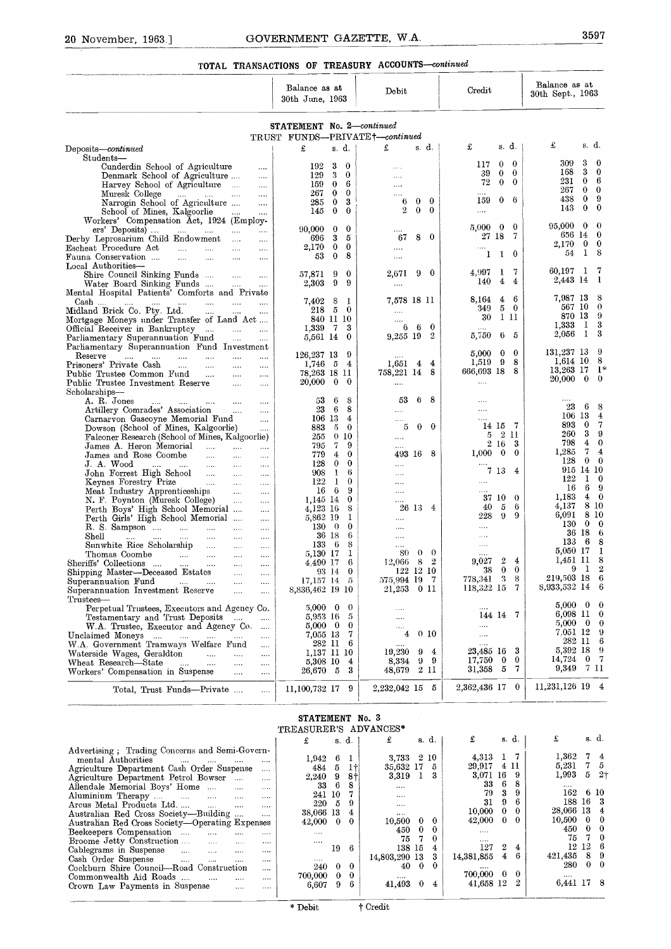# GOVERNMENT GAZETTE, W.A. TOTAL TRANSACTIONS OF TREASURY ACCOUNTS-continued

| 20 November, 1963.]<br>TOTAL TRANSACTIONS OF TREASURY ACCOUNTS-continued                                                                    |                                          |                                       |                      |                             |                   |                  |                                                       |                                       |                        |                              |
|---------------------------------------------------------------------------------------------------------------------------------------------|------------------------------------------|---------------------------------------|----------------------|-----------------------------|-------------------|------------------|-------------------------------------------------------|---------------------------------------|------------------------|------------------------------|
|                                                                                                                                             | Balance as at<br>30th June, 1963         |                                       |                      | Debit                       |                   |                  | Credit                                                | Balance as at<br>30th Sept., 1963     |                        |                              |
|                                                                                                                                             | STATEMENT No. 2-continued                |                                       |                      |                             |                   |                  |                                                       |                                       |                        |                              |
|                                                                                                                                             | TRUST FUNDS-PRIVATE+-continued           | s. d.                                 |                      | £                           | s.d.              |                  | s.d.<br>£                                             | £                                     |                        | s d.                         |
| Deposits-continued<br>Students-                                                                                                             | £                                        |                                       |                      |                             |                   |                  | $\bf{0}$                                              | 309                                   | 3                      | $\bf{0}$                     |
| Cunderdin School of Agriculture<br>$\sim 100$<br>Denmark School of Agriculture<br>$\sim 100$                                                | 192<br>129                               | 3<br>$\bf{0}$<br>3<br>$\bf{0}$        |                      | $\cdots$<br>$\cdots$        |                   |                  | 0<br>117<br>$\bf{0}$<br>39<br>$\mathbf{0}$            | 168                                   | 3                      | $\bf{0}$                     |
| Harvey School of Agriculture<br>$\cdots$                                                                                                    | 159<br>267                               | 6<br>$\bf{0}$<br>$\bf{0}$<br>$\theta$ |                      | $\cdots$                    |                   |                  | 72<br>$\mathbf{0}$<br>$\bf{0}$                        | 231<br>267                            | $\theta$               | - 6<br>$0\quad 0$            |
| Muresk College<br>المتداح المتداح المتد<br>$\ldots$<br>Narrogin School of Agriculture<br>$\cdots$                                           | 285                                      | $\bf{0}$<br>3                         |                      | $\cdots$<br>6               | $\bf{0}$          | $\bf{0}$         | 159<br>$0\quad 6$                                     | 438<br>143                            | $\bf{0}$<br>$\theta$   | -9<br>$\bf{0}$               |
| School of Mines, Kalgoorlie<br>$\sim 100$<br>$\cdots$<br>Workers' Compensation Act, 1924 (Employ-                                           | 145                                      | $\bf{0}$<br>$\bf{0}$                  |                      | $\mathbf{2}$                | $\bf{0}$          | $\bf{0}$         | $\cdots$                                              |                                       |                        |                              |
| ers' Deposits) $\qquad \dots \qquad \dots \qquad \dots$<br>$\sim 100$<br>Derby Leprosarium Child Endowment                                  | 90,000<br>696                            | $\bf{0}$<br>$\bf{0}$<br>3<br>5        |                      | $\cdots$<br>67              | 80                |                  | 5,000<br>$\bf{0}$<br>0<br>27 18<br>-7                 | 95,000                                | $\bf{0}$<br>656 14 0   | - 0                          |
| $\cdots$<br>Escheat Procedure Act<br>and the state<br><b>County</b><br>$\sim$                                                               | 2,170                                    | $\bf{0}$<br>$\bf{0}$                  |                      | $\cdots$                    |                   |                  | $\cdots$                                              | 2.170<br>54                           | $\mathbf{1}$           | $0\quad 0$<br>- 8            |
| Fauna Conservation<br>and the<br>$\ldots$ .<br>$\sim$ $\sim$<br>$\cdots$<br>Local Authorities-                                              | 53                                       | $\bf{0}$<br>8                         |                      | $\cdots$                    |                   |                  | $\mathbf{1}$<br>$\bf{0}$<br>1                         |                                       |                        |                              |
| Shire Council Sinking Funds<br>$\sim$ . $\sim$<br>$\sim$ . $\sim$                                                                           | 57.871<br>2,303                          | 9<br>$\bf{0}$<br>9<br>9               |                      | 2,671                       | 90                |                  | 7<br>1<br>4.997<br>4<br>4<br>140                      | 60,197<br>2,443 14                    | $\mathbf{I}$           | -7<br>- 1                    |
| Water Board Sinking Funds<br>$\sim$<br>Mental Hospital Patients' Comforts and Private                                                       |                                          |                                       |                      | $\cdots$                    |                   |                  | 4<br>6                                                | 7,987 13                              |                        | - 8                          |
| $Cash$<br>and the same<br>$\sim$ $\sim$ $\sim$<br>$\cdots$<br>$\cdots$<br>Midland Brick Co. Pty. Ltd.<br>$\cdots$<br>assault of<br>$\cdots$ | 7.402<br>218 5                           | 8<br>1<br>$\bf{0}$                    |                      | 7,578 18 11<br>$\cdots$     |                   |                  | 8,164<br>$5\quad 0$<br>349                            |                                       | 567 10                 | $\theta$                     |
| Mortgage Moneys under Transfer of Land Act<br>Official Receiver in Bankruptcy                                                               | 1.339                                    | 840 11 10<br>3<br>$\overline{7}$      |                      |                             | $6\quad 6\quad 0$ |                  | 111<br>30                                             | 1,333                                 | 870 13<br>$\mathbf{1}$ | - 9<br>- 3                   |
| <b>Second</b><br>$\cdots$<br>Parliamentary Superannuation Fund<br>$\mathcal{L}_{\mathbf{r}}(\mathbf{r},\mathbf{r})$ .<br>$\cdots$           | 5,561 14                                 | $\bf{0}$                              |                      | 9,255 19 2                  |                   |                  | 5,750<br>6 5                                          | 2,056                                 | $\mathbf{1}$           | -3                           |
| Parhamentary Superannuation Fund Investment<br>Reserve<br>$\cdots$<br>in i<br>$\ldots$<br>$\cdots$<br>$\sim 100$<br>$\cdots$                | 126,237 13                               | 9                                     |                      |                             |                   |                  | $\bf{0}$<br>$\theta$<br>5,000                         | 131,237 13                            |                        | -9                           |
| Prisoners' Private Cash<br><b>Second</b><br>$\sim$<br>$\sim 100$<br>$\cdots$<br>Public Trustee Common Fund<br>$\sim$<br>$\ldots$            | $1,746$ 5<br>78,263 18 11                | $\overline{4}$                        |                      | $1,651$ 4 4<br>758,221 14 8 |                   |                  | 9<br>1,519<br>8<br>666,693 18 8                       | $1,614$ 10<br>13,263 17               |                        | - 8<br>_1*                   |
| $\ldots$<br>Public Trustee Investment Reserve<br>$\sim 100$<br>$\cdots$                                                                     | 20,000                                   | $\bf{0}$<br>$\bf{0}$                  |                      | $\cdots$                    |                   |                  | $\cdots$                                              | 20,000                                |                        | $0\quad 0$                   |
| Scholarships-<br>A. R. Jones<br>$\sim 100$<br>$\sim 100$ and $\sim 100$                                                                     | 53                                       | 6<br>8                                |                      | 53                          | 68                |                  |                                                       |                                       |                        |                              |
| Artillery Comrades' Association<br>$\sim$ 100 $\sim$<br>$\cdots$<br>Carnarvon Gascoyne Memorial Fund<br>$\sim$                              | 23<br>106 13                             | 6                                     | 8<br>4               | .<br>$\cdots$               |                   |                  | .<br>.                                                | 23                                    | 6<br>106 13            | 8<br>$\overline{4}$          |
| Dowson (School of Mines, Kalgoorlie)                                                                                                        | 883                                      | -5<br>$\bf{0}$                        |                      | 5                           | $0\quad 0$        |                  | 14 15 7<br>- 2 11<br>5                                | 893<br>260                            | $\bf{0}$<br>3          | $\overline{7}$<br>-9         |
| Falconer Research (School of Mines, Kalgoorlie)<br>James A. Heron Memorial<br>$\cdots$                                                      | 255<br>795                               | $\theta$<br>10<br>7                   | 9                    | $\cdots$<br>$\cdots$        |                   |                  | 2 16<br>3                                             | 798                                   | $\overline{4}$         | $\theta$                     |
| James and Rose Coombe<br>$\cdots$<br>$\ldots$<br>J.A. Wood<br>$\cdots$<br>$\ldots$<br>$\ldots$ .<br>$\cdots$                                | 779<br>128                               | 4<br>$\bf{0}$                         | $\bf{0}$<br>$\bf{0}$ | 493 16 8<br>                |                   |                  | $\bf{0}$<br>1.000<br>$\bf{0}$                         | 1,285<br>128                          | $7\phantom{.}$         | $\overline{4}$<br>$0\quad 0$ |
| John Forrest High School<br>$\cdots$<br>$\ldots$                                                                                            | 908                                      | 1                                     | 6                    | $\cdots$                    |                   |                  | 7 13<br>4                                             | 122                                   | 915 14 10              | $1 \quad 0$                  |
| Keynes Forestry Prize<br>$\cdots$<br>$\ldots$<br>$\ldots$<br>Meat Industry Apprenticeships<br>$\sim$ 1000 $\pm$<br>$\cdots$                 | 122<br>16                                | -1<br>6                               | $\mathbf{0}$<br>9    | <br>                        |                   |                  | $\cdots$<br>                                          | 16                                    |                        | 6 9                          |
| N. F. Poynton (Muresk College)<br>Perth Boys' High School Memorial<br>$\cdots$                                                              | 1,145 14<br>4,123 16                     |                                       | 0<br>8               |                             | 26 13 4           |                  | 37 10<br>$\theta$<br>6<br>40<br>5                     | 1,183<br>4,137                        | $\overline{4}$         | $\mathbf{0}$<br>8 10         |
| Perth Girls' High School Memorial<br>$\ldots$ .                                                                                             | 5,862 19                                 |                                       | 1                    | $\cdots$                    |                   |                  | 9<br>228<br>9                                         | 6,091<br>130                          |                        | 8 10<br>$0\quad 0$           |
| R. S. Sampson<br>$\sim 100$<br>$\sim$ $\sim$<br>$\ldots$<br>Shell<br>$\cdots$<br>$\ldots$<br>                                               | $130\quad 0$                             | 36 18                                 | 0<br>6               | $\cdots$<br>$\cdots$        |                   |                  | <br>                                                  |                                       | 36 18 6                |                              |
| Sunwhite Rice Scholarship<br>$\cdots$<br>$\cdots$<br>$\cdots$<br>Thomas Coombe<br><b>Contact</b><br>$\sim$<br>$\cdots$<br>$\cdots$          | 5,130 17                                 | 133 6                                 | 8<br>1               | $\cdots$<br>80.             | $\mathbf{0}$      | $\bf{0}$         | $\cdots$<br>                                          | 133<br>5,050 17                       |                        | 68<br>-1                     |
| Sheriffs' Collections<br>$\ldots$<br>$\cdots$<br>$\cdots$                                                                                   | 4.490 17                                 |                                       | 6<br>$\bf{0}$        | 12,066                      | -8<br>122 12 10   | $\boldsymbol{2}$ | $\boldsymbol{2}$<br>4<br>9,027<br>$\bf{0}$<br>0<br>38 | 1,451 11                              | 9<br>$\mathbf{I}$      | - 8<br>$\boldsymbol{2}$      |
| Shipping Master-Deceased Estates<br>$\ddotsc$<br>$\cdots$<br>Superannuation Fund<br><b>Contractor</b><br>$\ldots$<br>$\sim$<br>             | 17.157 14                                | 93 14<br>- 5                          |                      | 575,994 19                  |                   | - 7              | 3<br>8<br>778,341                                     | 219,503 18                            |                        | - 6                          |
| Superannuation Investment Reserve<br>$\cdots$<br>$\cdots$<br>Trustees-                                                                      | 8,836,462 19 10                          |                                       |                      | 21,253                      | 011               |                  | 118,322 15<br>7                                       | 8,933,532 14 6                        |                        |                              |
| Perpetual Trustees, Executors and Agency Co.                                                                                                | $5,000 \quad 0$<br>5,953 16              |                                       | 0<br>5               | $\cdots$                    |                   |                  | <br>144 14 7                                          | $5,000 \quad 0 \quad 0$<br>6,098 11 0 |                        |                              |
| Testamentary and Trust Deposits<br>$\sim$<br>$\cdots$<br>W.A. Trustee, Executor and Agency Co.<br>$\ldots$                                  | $5,000 \quad 0$                          |                                       | $\bf{0}$             | <br>$\cdots$                |                   |                  |                                                       | $5,000 \quad 0 \quad 0$               |                        |                              |
| Unclaimed Moneys<br>$\sim$<br>$\ldots$<br>$\sim$ 0.000 $\sim$<br>W.A. Government Tramways Welfare Fund<br>$\cdots$                          | 7,055 13                                 | 282 11                                | 7<br>6               | 4<br>                       | 0 <sub>10</sub>   |                  | $\cdots$<br>$\cdots$                                  | 7.051 12 9                            | 282 11 6               |                              |
| Waterside Wages, Geraldton<br>$\ddotsc$<br>$\cdots$<br>$\sim$                                                                               | 5,308 10                                 | 1,137 11 10                           | 4                    | 19,230<br>8,334             | 9<br>99           | 4                | 3<br>23,485 16<br>0<br>17,750<br>$\bf{0}$             | 5,392 18 9<br>14,724 0 7              |                        |                              |
| Wheat Research-State<br>$\cdots$<br>$\cdots$<br>$\cdots$<br>$\cdots$<br>Workers' Compensation in Suspense<br>$\cdots$<br>$\sim$ . $\sim$    | 26,670 5                                 |                                       | 3                    | 48,679                      | 2 11              |                  | 7<br>31,358<br>5                                      | 9,349 7 11                            |                        |                              |
| Total, Trust Funds—Private<br>$\mathbf{1}$                                                                                                  | 11,100,732 17                            |                                       | 9                    | 2,232,042 15 5              |                   |                  | $\mathbf{0}$<br>2,362,436 17                          | 11,231,126 19 4                       |                        |                              |
|                                                                                                                                             | STATEMENT No. 3<br>TREASURER'S ADVANCES* |                                       |                      |                             |                   |                  |                                                       |                                       |                        |                              |
|                                                                                                                                             | £                                        | s d.                                  |                      | £                           | s d.              |                  | £<br>s d.                                             | £                                     |                        | s d.                         |
| Advertising, Trading Concerns and Semi-Govern-<br>mental Authorities<br>and the company of the company of<br>$\cdots$<br>$\cdots$           | 1,942                                    | -6                                    | 1                    | 3,733 2 10                  |                   |                  | $1 \quad 7$<br>4,313                                  | 1,362                                 |                        | 74                           |
| Agriculture Department Cash Order Suspense<br>$\cdots$<br>Agriculture Department Petrol Bowser<br>$\ldots$                                  | 484<br>2,240                             | 5<br>9                                | -11<br>-81           | 35,632 17<br>3,319          | $\mathbf{1}$      | 5<br>3           | 4 11<br>29,917<br>3,071 16<br>-9                      | 5,231<br>1,993                        | 5                      | 75<br>21                     |
| Allendale Memorial Boys' Home<br>$\cdots$<br>$\cdots$                                                                                       | 33                                       | - 6<br>241 10                         | 8<br>7               | $\ldots$ .                  |                   |                  | 6<br>8<br>33<br>3<br>79<br>9                          | 162                                   |                        | -6-10                        |
| Aluminium Therapy<br>$\cdots$<br>$\ldots$ .<br>Arcus Metal Products Ltd<br>and the<br>$\cdots$<br>$\cdots$                                  | 220                                      | - 5                                   | 9                    | $\cdots$<br>                |                   |                  | 31<br>6<br>9                                          |                                       | 188 16 3               |                              |
| Australian Red Cross Society—Building<br>$\cdots$                                                                                           | 38,066 13                                |                                       | $\overline{4}$       |                             |                   |                  | 10,000<br>$\bf{0}$<br>$\bf{0}$                        | 28,066 13 4                           |                        |                              |

| STATEMENT No. 3       |  |
|-----------------------|--|
| TREASURER'S ADVANCES* |  |

| W.A. Trustee, Executor and Agency Co.<br>$\cdots$<br>Unclaimed Moneys<br>the company of the company<br><b>Service</b> Contractor<br>$\cdots$<br>$\cdots$<br>W.A. Government Tramways Welfare Fund<br>$\cdots$<br>Waterside Wages, Geraldton<br>$\ddotsc$<br>$\mathbf{1}$<br>$\cdots$<br>Wheat Research-State<br>$\mathbf{r}$ and $\mathbf{r}$ are all $\mathbf{r}$<br>$\cdots$<br>$\cdots$<br>Workers' Compensation in Suspense<br>$\sim$ $\sim$<br>$\cdots$<br>Total, Trust Funds—Private<br>$\cdots$                                                                                                                                                                                                                                                                                                                                  | $5,000 \quad 0 \quad 0$<br>7,055 13<br>282 11<br>1,137 11 10<br>5,308 10<br>26,670 5<br>11,100,732 17              |                                                                       | 7<br>6<br>$\overline{4}$<br>3<br>-9                                               | $\cdots$<br>4<br><br>19,230<br>8,334<br>48,679<br>2,232,042 15                                                         | -9<br>9                                                           | 010<br>$\overline{4}$<br>-9<br>211<br>-5                                               | <br><br>$\cdots$<br>23,485 16<br>17,750<br>31,358<br>2,362,436 17 0                                                         | $\bf{0}$<br>5                                                               | 3<br>$\bf{0}$<br>7                                                                           | $.9,000$ 0 0<br>7.051 12 9<br>282 11 6<br>5,392 18<br>$14,724$ 0<br>9,349<br>11,231,126 19 4                                                | 7 11                                                   | - 9<br>- 7                                                                                                     |
|-----------------------------------------------------------------------------------------------------------------------------------------------------------------------------------------------------------------------------------------------------------------------------------------------------------------------------------------------------------------------------------------------------------------------------------------------------------------------------------------------------------------------------------------------------------------------------------------------------------------------------------------------------------------------------------------------------------------------------------------------------------------------------------------------------------------------------------------|--------------------------------------------------------------------------------------------------------------------|-----------------------------------------------------------------------|-----------------------------------------------------------------------------------|------------------------------------------------------------------------------------------------------------------------|-------------------------------------------------------------------|----------------------------------------------------------------------------------------|-----------------------------------------------------------------------------------------------------------------------------|-----------------------------------------------------------------------------|----------------------------------------------------------------------------------------------|---------------------------------------------------------------------------------------------------------------------------------------------|--------------------------------------------------------|----------------------------------------------------------------------------------------------------------------|
|                                                                                                                                                                                                                                                                                                                                                                                                                                                                                                                                                                                                                                                                                                                                                                                                                                         | <b>STATEMENT No. 3</b>                                                                                             |                                                                       |                                                                                   |                                                                                                                        |                                                                   |                                                                                        |                                                                                                                             |                                                                             |                                                                                              |                                                                                                                                             |                                                        |                                                                                                                |
|                                                                                                                                                                                                                                                                                                                                                                                                                                                                                                                                                                                                                                                                                                                                                                                                                                         | TREASURER'S ADVANCES*                                                                                              |                                                                       |                                                                                   |                                                                                                                        |                                                                   |                                                                                        |                                                                                                                             |                                                                             |                                                                                              |                                                                                                                                             |                                                        |                                                                                                                |
|                                                                                                                                                                                                                                                                                                                                                                                                                                                                                                                                                                                                                                                                                                                                                                                                                                         | £                                                                                                                  |                                                                       | s d.                                                                              | £                                                                                                                      |                                                                   | s d.                                                                                   | £                                                                                                                           |                                                                             | s d.                                                                                         | £                                                                                                                                           |                                                        | s. d.                                                                                                          |
| Advertising, Trading Concerns and Semi-Govern-<br>mental Authorities<br>$\cdots$ $\cdots$<br>Agriculture Department Cash Order Suspense<br>$\cdots$<br>Agriculture Department Petrol Bowser<br>$\cdots$<br>Allendale Memorial Boys' Home<br>$\cdots$<br>Aluminium Therapy<br>$\cdots$<br>Arcus Metal Products Ltd.<br>$\cdots$<br>Australian Red Cross Society—Building<br><br>Austrahan Red Cross Society-Operating Expenses<br>Beekeepers Compensation<br>$\mathbf{r}$<br>$\cdots$<br>Broome Jetty Construction<br>$\cdots$<br>$\cdots$<br>Cablegrams in Suspense<br>$\sim$ $\sim$ $\sim$<br>$\cdots$<br>Cash Order Suspense<br>$\dddotsc$<br>$\cdots$<br>Cockburn Shire Council-Road Construction<br>$\cdots$<br>Commonwealth Aid Roads<br>$\cdots$<br>$\cdots$<br>$\cdots$<br>Crown Law Payments in Suspense<br>$\dots$<br>$\cdots$ | 1,942<br>484<br>2,240<br>33<br>241 10<br>220<br>38,066 13<br>42,000<br>$\cdots$<br><br><br>240<br>700,000<br>6,607 | 6<br>5<br>9<br>6<br>-5<br>$\bf{0}$<br>19<br>$\bf{0}$<br>$\bf{0}$<br>9 | 1<br>1†<br>$8+$<br>8<br>7<br>9<br>4<br>$\Omega$<br>6<br>$\theta$<br>$\bf{0}$<br>6 | 3,733 2 10<br>35,632 17<br>3,319<br><br><br><br><br>10,500<br>450<br>75<br>138 15<br>14,803,290 13<br>40<br><br>41,493 | $\mathbf{I}$<br>$\bf{0}$<br>$\bf{0}$<br>7<br>$\theta$<br>$\bf{0}$ | - 5<br>- 3<br>$\bf{0}$<br>$\bf{0}$<br>$\bf{0}$<br>4<br>3<br>$\Omega$<br>$\overline{4}$ | 4.313<br>29,917<br>3,071<br>33<br>79<br>31<br>10,000<br>42,000<br>$\cdots$<br><br>127<br>14,381,855<br>700,000<br>41,658 12 | 16<br>6<br>3<br>9<br>0<br>0<br>$\overline{2}$<br>$\overline{4}$<br>$\bf{0}$ | 7<br>411<br>9<br>8<br>9<br>6<br>$\bf{0}$<br>$\bf{0}$<br>$\overline{4}$<br>6<br>$\bf{0}$<br>2 | 1,362<br>5,231<br>1,993<br>1.11<br>162<br>188 16 3<br>28,066 13<br>10,500<br>450<br>75<br>$12 \t12 \t6$<br>421,435<br>280<br><br>6,441 17 8 | 7.<br>$\overline{7}$<br>5<br>$\bf{0}$<br>$\bf{0}$<br>7 | 4<br>5<br>2 <sub>1</sub><br>6 10<br>$\overline{4}$<br>$\bf{0}$<br>$\mathbf{0}$<br>$\Omega$<br>89<br>$0\quad 0$ |
|                                                                                                                                                                                                                                                                                                                                                                                                                                                                                                                                                                                                                                                                                                                                                                                                                                         | * Debit                                                                                                            |                                                                       |                                                                                   | † Credit                                                                                                               |                                                                   |                                                                                        |                                                                                                                             |                                                                             |                                                                                              |                                                                                                                                             |                                                        |                                                                                                                |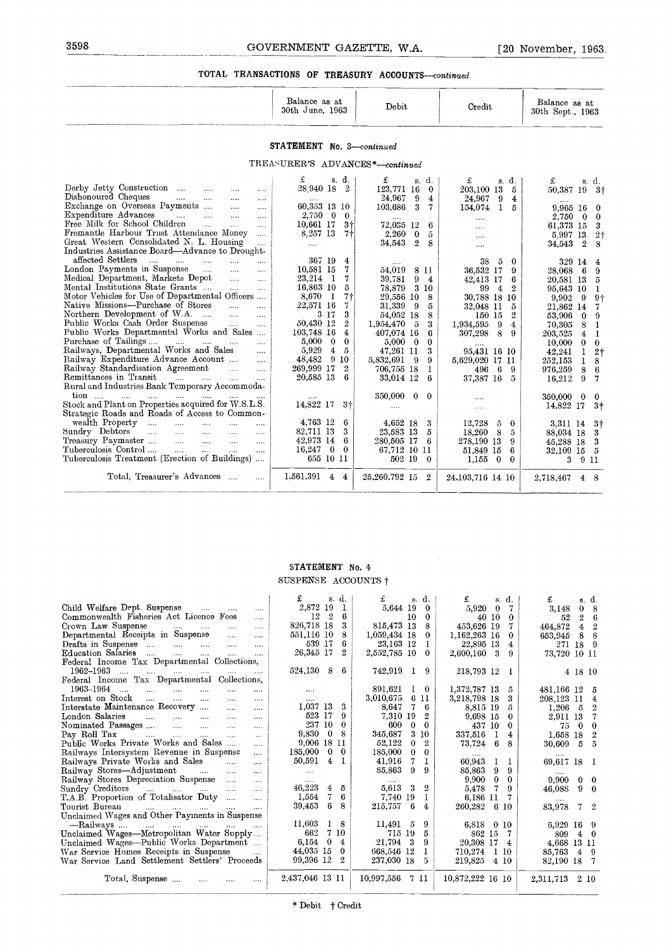# 3598<br>
GOVERNMENT GAZETTE, W.A. [20 November, 1963.]<br>
TOTAL TRANSACTIONS OF TREASURY ACCOUNTS—continued TOTAL TRANSACTIONS OF TREASURY ACCOUNTS-continued

| Balance as at<br>30th June,<br>1963 | Debit | Credit | Balance as at<br>30th Sept., 1963 |
|-------------------------------------|-------|--------|-----------------------------------|
|                                     |       |        |                                   |

#### STATEMENT No. *3-continued*

#### TREASURER'S ADVANCES *\*--continued*

| 3598                                                                                                                                                                                                                                                                                                                                                                                                                                                                                                                                                                                                                                                                                                                                                                                                                                                                                                                                                                                                                                                                                                                                                                                                                                                                                                                                                                                                                                                                                                                                                                                                                                                                                                                                                                                                                                                     | GOVERNMENT GAZETTE, W.A.                                                                                                                                                                                                                                                                                                                                                                                                                                                                                                                      |                                                                                                                                                                                                                                                                                                                                                                                                                                                                                                                                                                                                         |                                                                                                                                                                                                                                                                                                                                                                                                                                                                                                                       | [20 November, 1963]                                                                                                                                                                                                                                                                                                                                                                                                                                                                                                                                                                                                                                                                                                |
|----------------------------------------------------------------------------------------------------------------------------------------------------------------------------------------------------------------------------------------------------------------------------------------------------------------------------------------------------------------------------------------------------------------------------------------------------------------------------------------------------------------------------------------------------------------------------------------------------------------------------------------------------------------------------------------------------------------------------------------------------------------------------------------------------------------------------------------------------------------------------------------------------------------------------------------------------------------------------------------------------------------------------------------------------------------------------------------------------------------------------------------------------------------------------------------------------------------------------------------------------------------------------------------------------------------------------------------------------------------------------------------------------------------------------------------------------------------------------------------------------------------------------------------------------------------------------------------------------------------------------------------------------------------------------------------------------------------------------------------------------------------------------------------------------------------------------------------------------------|-----------------------------------------------------------------------------------------------------------------------------------------------------------------------------------------------------------------------------------------------------------------------------------------------------------------------------------------------------------------------------------------------------------------------------------------------------------------------------------------------------------------------------------------------|---------------------------------------------------------------------------------------------------------------------------------------------------------------------------------------------------------------------------------------------------------------------------------------------------------------------------------------------------------------------------------------------------------------------------------------------------------------------------------------------------------------------------------------------------------------------------------------------------------|-----------------------------------------------------------------------------------------------------------------------------------------------------------------------------------------------------------------------------------------------------------------------------------------------------------------------------------------------------------------------------------------------------------------------------------------------------------------------------------------------------------------------|--------------------------------------------------------------------------------------------------------------------------------------------------------------------------------------------------------------------------------------------------------------------------------------------------------------------------------------------------------------------------------------------------------------------------------------------------------------------------------------------------------------------------------------------------------------------------------------------------------------------------------------------------------------------------------------------------------------------|
|                                                                                                                                                                                                                                                                                                                                                                                                                                                                                                                                                                                                                                                                                                                                                                                                                                                                                                                                                                                                                                                                                                                                                                                                                                                                                                                                                                                                                                                                                                                                                                                                                                                                                                                                                                                                                                                          | TOTAL TRANSACTIONS OF TREASURY ACCOUNTS-continued                                                                                                                                                                                                                                                                                                                                                                                                                                                                                             |                                                                                                                                                                                                                                                                                                                                                                                                                                                                                                                                                                                                         |                                                                                                                                                                                                                                                                                                                                                                                                                                                                                                                       |                                                                                                                                                                                                                                                                                                                                                                                                                                                                                                                                                                                                                                                                                                                    |
|                                                                                                                                                                                                                                                                                                                                                                                                                                                                                                                                                                                                                                                                                                                                                                                                                                                                                                                                                                                                                                                                                                                                                                                                                                                                                                                                                                                                                                                                                                                                                                                                                                                                                                                                                                                                                                                          | Balance as at<br>30th June, 1963                                                                                                                                                                                                                                                                                                                                                                                                                                                                                                              | Debit                                                                                                                                                                                                                                                                                                                                                                                                                                                                                                                                                                                                   | Credit                                                                                                                                                                                                                                                                                                                                                                                                                                                                                                                | Balance as at<br>30th Sept., 1963                                                                                                                                                                                                                                                                                                                                                                                                                                                                                                                                                                                                                                                                                  |
|                                                                                                                                                                                                                                                                                                                                                                                                                                                                                                                                                                                                                                                                                                                                                                                                                                                                                                                                                                                                                                                                                                                                                                                                                                                                                                                                                                                                                                                                                                                                                                                                                                                                                                                                                                                                                                                          | STATEMENT No. 3-continued                                                                                                                                                                                                                                                                                                                                                                                                                                                                                                                     |                                                                                                                                                                                                                                                                                                                                                                                                                                                                                                                                                                                                         |                                                                                                                                                                                                                                                                                                                                                                                                                                                                                                                       |                                                                                                                                                                                                                                                                                                                                                                                                                                                                                                                                                                                                                                                                                                                    |
|                                                                                                                                                                                                                                                                                                                                                                                                                                                                                                                                                                                                                                                                                                                                                                                                                                                                                                                                                                                                                                                                                                                                                                                                                                                                                                                                                                                                                                                                                                                                                                                                                                                                                                                                                                                                                                                          | TREASURER'S ADVANCES*-continued                                                                                                                                                                                                                                                                                                                                                                                                                                                                                                               |                                                                                                                                                                                                                                                                                                                                                                                                                                                                                                                                                                                                         |                                                                                                                                                                                                                                                                                                                                                                                                                                                                                                                       |                                                                                                                                                                                                                                                                                                                                                                                                                                                                                                                                                                                                                                                                                                                    |
| Derby Jetty Construction<br>$\cdots$<br>Dishonoured Cheques<br>$\sim$ $\sim$ $\sim$ $\sim$ $\sim$<br>$\cdots$<br>Exchange on Overseas Payments<br>$\cdots$<br>$\cdots$<br>Expenditure Advances<br>$\sim 100$<br>$\cdots$<br>$\cdots$<br>$\sim 100$<br>Free Milk for School Children<br>$\cdots$<br>$\cdots$<br>$\cdots$<br>Fremantle Harbour Trust Attendance Money<br>$\cdots$<br>Great Western Consolidated N. L. Housing<br><br>Industries Assistance Board—Advance to Drought-<br>affected Settlers<br><b>Contract Contract Contract</b><br>$\cdots$<br>$\cdots$<br>$\cdots$<br>London Payments in Suspense<br>$\cdots$<br>$\cdots$<br>Medical Department, Markets Depot<br>$\cdots$<br>$\cdots$<br>Mental Institutions State Grants<br>$\ldots$<br>$\cdots$<br>Motor Vehicles for Use of Departmental Officers<br>Native Missions—Purchase of Stores<br>$\ddotsc$<br>$\cdots$<br>Northern Development of W.A.<br>$\cdots$<br>$\ddotsc$<br>$\cdots$<br>Public Works Cash Order Suspense<br>$\mathbf{r}$<br>$\cdots$<br>Public Works Departmental Works and Sales<br>Purchase of Tailings<br><b>Service</b><br>$\mathbf{1}$<br>$\cdots$<br>$\cdots$<br>Railways, Departmental Works and Sales<br>$\cdots$<br>Railway Expenditure Advance Account<br>$\ldots$<br>Railway Standardisation Agreement<br>$\cdots$<br>$\cdots$<br>Remittances in Transit<br>$\mathbf{r}$ and $\mathbf{r}$ are the set of $\mathbf{r}$<br>$\ddotsc$<br>$\cdots$<br>Rural and Industries Bank Temporary Accommoda-<br>tion<br>Stock and Plant on Properties acquired for W.S.L.S.<br>Strategic Roads and Roads of Access to Common-<br>wealth Property<br>$\cdots$<br>$\sim$ 100 $\mu$ and 100 $\mu$<br>$\cdots$<br>Sundry Debtors<br>$\mathbf{1}$<br>$\mathbf{1}$<br>$\cdots$<br>$\cdots$<br>$\cdots$<br>Treasury Paymaster<br>$\ldots$<br>$\cdots$<br>$\cdots$<br>$\cdots$ | s. d.<br>£<br>28.940 18 2<br>60,353 13 10<br>2,750 0<br>$\bf{0}$<br>$3+$<br>10,661 17<br>8.257 13<br>7†<br>$\cdots$<br>367 19<br>4<br>10.581 15<br>7<br>23,214 1<br>7<br>16,863 10<br>5<br>8,670<br>$\mathbf{I}$<br>7†<br>22.571 16<br>7<br>3 17<br>3<br>$\overline{2}$<br>50.430 12<br>103,748 16<br>4<br>5,000<br>$\bf{0}$<br>$\bf{0}$<br>5,929<br>$\overline{4}$<br>5<br>9 <sub>10</sub><br>48,482<br>269,999 17<br>$\overline{2}$<br>20,585 13<br>6<br>$\cdots$<br>14,822 17<br>$3+$<br>4,763 12<br>6<br>82.711 13<br>3<br>42,973 14<br>6 | £<br>s. d.<br>123,771 16<br>$\bf{0}$<br>24,967<br>9<br>4<br>103,686<br>$\mathbf{3}$<br>7<br>72.035 12<br>6<br>2.260<br>$\bf{0}$<br>5<br>34.543<br>$\mathbf{2}$<br>8<br>54.019<br>8 11<br>39,781<br>9<br>$\overline{4}$<br>78,879<br>3 10<br>29,556 10<br>8<br>31.339<br>-9<br>5<br>54,052 18<br>8<br>1,954,470<br>- 5<br>3<br>407.074 16<br>6<br>5.000<br>$\overline{\phantom{0}}$<br>$\bf{0}$<br>47,261 11<br>3<br>5,832,691<br>9<br>- 9<br>706,755 18<br>1<br>33,014 12<br>$\boldsymbol{\kappa}$<br>350,000<br>$\bf{0}$<br>$\bf{0}$<br>$\cdots$<br>4,652 18<br>3<br>23.583 13<br>5<br>280,505 17<br>6 | £<br>s. d.<br>203.100 13<br>5<br>24,967<br>9<br>4<br>154,074<br>1.<br>5<br>$\cdots$<br>$\cdots$<br>$\cdots$<br>$\cdots$<br>38<br>5<br>$\bf{0}$<br>36.532 17<br>9<br>42,413 17<br>6<br>$\mathbf{2}$<br>99<br>$\overline{4}$<br>30,788 18 10<br>32,048 11<br>5<br>$\boldsymbol{2}$<br>150 15<br>1,934,595<br>9<br>4<br>307,298<br>8<br>9<br>95,431 16 10<br>5.629,020 17 11<br>- 6<br>9<br>496<br>37,387 16<br>5<br>$\cdots$<br>$\cdots$<br>12,728<br>5<br>$\bf{0}$<br>8<br>18.260<br>$\overline{5}$<br>278,190 13<br>9 | £<br>s. d.<br>50,387 19<br>- 3†<br>9,965 16<br>$\bf{0}$<br>2,750<br>- 0<br>$\bf{0}$<br>61.373 15<br>$\boldsymbol{\mathcal{S}}$<br>2 <sub>1</sub><br>5.997 13<br>34.543<br>$\mathbf{2}$<br>8<br>329 14<br>4<br>28,068<br>-6<br>-9<br>20.581 13<br>$\tilde{v}$<br>95,643 10<br>-1<br>9 <sub>1</sub><br>9.902<br>- 9<br>21,862 14<br>$\overline{7}$<br>53,906<br>9<br>$\bf{0}$<br>70,305<br>8<br>$\mathbf{1}$<br>203.525<br>$\overline{4}$<br>-1<br>10,000<br>$\mathbf{0}$<br>$\bf{0}$<br>2 <sub>1</sub><br>42,241<br>1<br>252.153<br>8<br>1<br>976,259<br>8<br>6<br>9<br>16,212<br>7<br>350,000<br>$\bf{0}$<br>$\Omega$<br>14,822 17<br>$3\dagger$<br>3,311 14<br>3 <sup>†</sup><br>88,034 18<br>3<br>3<br>45,288 18 |
| Tuberculosis Control<br><b>Contract Contract Contract</b><br>$\cdots$<br>$\ddotsc$<br>$\cdots$<br>Tuberculosis Treatment (Erection of Buildings)                                                                                                                                                                                                                                                                                                                                                                                                                                                                                                                                                                                                                                                                                                                                                                                                                                                                                                                                                                                                                                                                                                                                                                                                                                                                                                                                                                                                                                                                                                                                                                                                                                                                                                         | 16.247<br>$\bf{0}$<br>$\bf{0}$<br>655 10 11                                                                                                                                                                                                                                                                                                                                                                                                                                                                                                   | 67,712 10 11<br>502 19<br>$\bf{0}$                                                                                                                                                                                                                                                                                                                                                                                                                                                                                                                                                                      | 51.849 15<br>6<br>1,15500<br>$\theta$                                                                                                                                                                                                                                                                                                                                                                                                                                                                                 | - 5<br>32,109 15<br>$\mathbf{3}$<br>9 11                                                                                                                                                                                                                                                                                                                                                                                                                                                                                                                                                                                                                                                                           |
| Total, Treasurer's Advances<br>                                                                                                                                                                                                                                                                                                                                                                                                                                                                                                                                                                                                                                                                                                                                                                                                                                                                                                                                                                                                                                                                                                                                                                                                                                                                                                                                                                                                                                                                                                                                                                                                                                                                                                                                                                                                                          | 1.561.391 4 4                                                                                                                                                                                                                                                                                                                                                                                                                                                                                                                                 | 25,260,792 15<br>$\overline{2}$                                                                                                                                                                                                                                                                                                                                                                                                                                                                                                                                                                         | 24.103,716 14 10                                                                                                                                                                                                                                                                                                                                                                                                                                                                                                      | 2,718,467<br>$4 \quad 8$                                                                                                                                                                                                                                                                                                                                                                                                                                                                                                                                                                                                                                                                                           |

#### STATEMENT No. 4 SUSPENSE ACCOUNTS f

| Total, Treasurer's Advances<br>$\cdots$                                                                                                                                                                                                                                                 | 1.561,391 4 4       |                            | 25.260.792 15 2 |                                             | 24.103,716 14 10                       | 2,718,467<br>8<br>4                          |
|-----------------------------------------------------------------------------------------------------------------------------------------------------------------------------------------------------------------------------------------------------------------------------------------|---------------------|----------------------------|-----------------|---------------------------------------------|----------------------------------------|----------------------------------------------|
|                                                                                                                                                                                                                                                                                         |                     |                            |                 |                                             |                                        |                                              |
|                                                                                                                                                                                                                                                                                         |                     |                            |                 |                                             |                                        |                                              |
|                                                                                                                                                                                                                                                                                         | STATEMENT No. 4     |                            |                 |                                             |                                        |                                              |
|                                                                                                                                                                                                                                                                                         | SUSPENSE ACCOUNTS + |                            |                 |                                             |                                        |                                              |
|                                                                                                                                                                                                                                                                                         | £                   | s. d.                      | £               | s. d.                                       | s. d.<br>£                             | £<br>s d.                                    |
| Child Welfare Dept. Suspense<br><b>Contract</b><br>$\ldots$ .                                                                                                                                                                                                                           | 2,872 19            | 1                          |                 | 5,644 19 0                                  | 5.920<br>$\bf{0}$<br>-7                | 3,148<br>$\bf{0}$<br>-8                      |
| Commonwealth Fisheries Act Licence Fees                                                                                                                                                                                                                                                 | $12\quad 2$         | 6                          |                 | 10<br>- 0                                   | 40 10<br>$\theta$                      | $\overline{2}$<br>52<br>-6                   |
| Crown Law Suspense<br>$\cdots$                                                                                                                                                                                                                                                          | 826,718 18          | 3                          | 815,473 13      | 8                                           | 453.626 19<br>7                        | $\overline{4}$<br>$\overline{2}$<br>464,872  |
| Departmental Receipts in Suspense<br>$\ldots$<br>is is                                                                                                                                                                                                                                  | 551,116 10          | 8                          | 1,059,434 18    | $\bf{0}$                                    | 1,162,263 16<br>$\bf{0}$               | 653,945<br>8<br>8                            |
| Drafts in Suspense<br>$\cdots$<br>$\cdots$                                                                                                                                                                                                                                              | 539 17              | 6                          | 23,163 12       | 1                                           | 22,895 13<br>$\overline{4}$            | 271 18 9                                     |
| Education Salaries<br><b>County</b> Contract<br>$\cdots$<br>$\sim 100$<br>$\sim$ $\sim$<br>$\cdots$                                                                                                                                                                                     | 26,345 17           | $\boldsymbol{2}$           | 2,552,785 10    | $\bf{0}$                                    | 2,600,160<br>-3<br>9                   | 73,720 10 11                                 |
| Federal Income Tax Departmental Collections,                                                                                                                                                                                                                                            |                     |                            |                 |                                             |                                        |                                              |
| $1962 - 1963$<br>$\cdots$<br>$\sim 100$<br>$\sim$<br>Federal Income Tax Departmental<br>Collections.                                                                                                                                                                                    | 524,130             | 8<br>-6                    | 742,919         | 19                                          | 218,793 12<br>1                        | $4\,$ 18 $\,$ 10 $\,$                        |
| 1963-1964<br>$\cdots$<br>$\ldots$<br>$\cdots$<br>$\cdots$                                                                                                                                                                                                                               |                     |                            | 891,621         | $\mathbf{0}$                                |                                        |                                              |
| $\sim$<br>$\cdots$<br>Interest on Stock<br>$\cdots$<br>$\cdots$                                                                                                                                                                                                                         | $\cdots$            |                            | 3,010,675       | 1<br>6 11                                   | 1,372,787 13<br>5<br>3,218,798 18<br>3 | 481,166 12 5<br>208,123 11<br>$\overline{4}$ |
| $\cdots$<br><br>Interstate Maintenance Recovery<br><br>                                                                                                                                                                                                                                 | 1,037 13            | 3                          | 8,647           | $\bf 7$<br>6                                | 5<br>8,815 19                          | $\,2$<br>$1,206$ 5                           |
| London Salaries<br>$\cdots$<br>$\cdots$<br>$\cdots$<br><br>$\cdots$                                                                                                                                                                                                                     | 523 17              | 9                          | 7,310 19        | $\mathbf{2}$                                | 9,698 15<br>0                          | 7<br>2,911 13                                |
| Nominated Passages<br>$\cdots$<br>$\cdots$<br><br>$\cdots$                                                                                                                                                                                                                              | 237 10              | 0                          | 600             | $\bf{0}$<br>$\bf{0}$                        | 437 10<br>$\bf{0}$                     | $0\quad 0$<br>75                             |
| Pay Roll Tax<br>$\cdots$<br>$\cdots$<br>$\cdots$<br><br>$\cdots$                                                                                                                                                                                                                        | 9,830               | $\bf{0}$<br>8              | 345,687         | 3 10                                        | 337,516<br>1<br>4                      | $\overline{2}$<br>1,658 18                   |
| Public Works Private Works and Sales<br>                                                                                                                                                                                                                                                | 9,006 18 11         |                            | 52,122          | $\boldsymbol{2}$<br>$\mathbf{0}$            | 73,724<br>8<br>6                       | - 5<br>5<br>30,609                           |
| Railways Intersystem Revenue in Suspense<br>$\cdots$                                                                                                                                                                                                                                    | 185,000             | 0<br>$\bf{0}$              | 185,000         | $\mathbf{0}$<br>$\mathbf{0}$                |                                        |                                              |
| Railways Private Works and Sales<br>$\cdots$                                                                                                                                                                                                                                            | 50.591              | 4<br>-1                    | 41,916          | 7<br>1                                      | 60,943<br>1<br>1                       | 69,617 18 1                                  |
| Railway Stores-Adjustment<br>$\ldots$<br>$\sim$ $\sim$<br>$\cdots$                                                                                                                                                                                                                      | $\sim 100$          |                            | 85,863          | 9<br>9                                      | 85,863<br>9<br>9                       |                                              |
| Railway Stores Depreciation Suspense<br>$\sim$<br>$\cdots$                                                                                                                                                                                                                              | $\cdots$            |                            |                 |                                             | 9,900<br>$\bf{0}$<br>$\bf{0}$          | 9,900<br>$0\quad 0$                          |
| Sundry Creditors<br>$\mathbf{1}_{\mathbf{1}_{\mathbf{2}}\mathbf{3}_{\mathbf{3}}\mathbf{4}_{\mathbf{4}}\mathbf{5}_{\mathbf{5}_{\mathbf{5}}\mathbf{6}_{\mathbf{6}}\mathbf{6}_{\mathbf{7}}\mathbf{6}_{\mathbf{8}}$<br>$\cdots$<br><b>Contractor</b><br>$\cdots$<br>$\sim 100$ km s $^{-1}$ | 46,223              | 5<br>4                     | 5,613           | $\boldsymbol{2}$<br>$\overline{\mathbf{3}}$ | 7<br>9<br>5,478                        | 46,088<br>90                                 |
| T.A.B. Proportion of Totalisator Duty<br>$\cdots$                                                                                                                                                                                                                                       | 1,554               | 7<br>6                     | 7,740 19        | 1                                           | 6,186 11<br>7                          |                                              |
| Tourist Bureau<br>المستنا البليل<br>$\ldots$                                                                                                                                                                                                                                            | 39,453              | 6<br>8                     | 215,757         | - 6<br>4                                    | 260,282<br>6 10                        | 83,978<br>$7\,$<br>$\overline{2}$            |
| Unclaimed Wages and Other Payments in Suspense                                                                                                                                                                                                                                          |                     |                            |                 |                                             |                                        |                                              |
| -Railways                                                                                                                                                                                                                                                                               | 11,603              | -8<br>1                    | 11,491          | 9<br>- 5                                    | 6,818 0 10                             | 6,929 16 9                                   |
| Unclaimed Wages—Metropolitan Water Supply                                                                                                                                                                                                                                               | 662                 | 7 10                       | 715 19          | - 5                                         | 862 15<br>-7                           | 809<br>$4\quad 0$                            |
| Unclaimed Wages-Public Works Department                                                                                                                                                                                                                                                 | 6,154               | $\bf{0}$<br>4              | 21,794 3        | -9                                          | 20,308 17 4                            | 4,668 13 11                                  |
| War Service Homes Receipts in Suspense<br>$\cdots$                                                                                                                                                                                                                                      | 44,035 15           | $\bf{0}$<br>$\overline{2}$ | 668,546 12      | 1                                           | 710,274<br>1 10                        | 49<br>85,763                                 |
| War Service Land Settlement Settlers' Proceeds                                                                                                                                                                                                                                          | 99,396 12           |                            | 237,030 18      | 5                                           | 219,825<br>410                         | 82,190 18 7                                  |
| Total, Suspense                                                                                                                                                                                                                                                                         | 2,437,046 13 11     |                            | 10,997,556 7 11 |                                             | 10,872,222 16 10                       | 2,311,713 2 10                               |
|                                                                                                                                                                                                                                                                                         | * Debit † Credit    |                            |                 |                                             |                                        |                                              |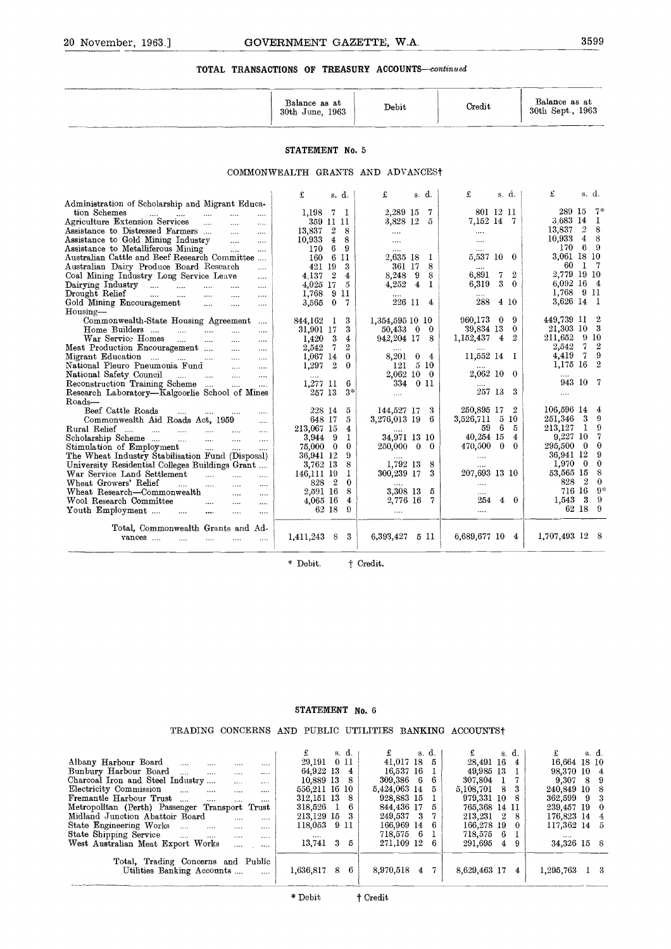# GOVERNMENT GAZETTE, W.A. 3599 **TOTAL TRANSACTIONS OF TREASURY ACCOUNTS-continued**

| Balance as at<br>1963<br>30th June. | Debit | Credit | Balance as at<br>30th Sept., 1963 |
|-------------------------------------|-------|--------|-----------------------------------|
|                                     |       |        |                                   |

#### **STATEMENT** No. 5

#### COMMONWEALTH GRANTS AND ADVANCESt

|                                                                                                                                                                                                                                                                                    | Balance as at<br>30th June, 1963                                                                     | Debit                                                                               | Credit                                                                                                        | Balance as at<br>30th Sept., 1963                                                                                                      |
|------------------------------------------------------------------------------------------------------------------------------------------------------------------------------------------------------------------------------------------------------------------------------------|------------------------------------------------------------------------------------------------------|-------------------------------------------------------------------------------------|---------------------------------------------------------------------------------------------------------------|----------------------------------------------------------------------------------------------------------------------------------------|
|                                                                                                                                                                                                                                                                                    | STATEMENT No. 5                                                                                      |                                                                                     |                                                                                                               |                                                                                                                                        |
|                                                                                                                                                                                                                                                                                    | COMMONWEALTH GRANTS AND ADVANCEST                                                                    |                                                                                     |                                                                                                               |                                                                                                                                        |
| Administration of Scholarship and Migrant Educa-<br>tion Schemes<br>$\ldots$<br>المنتاب<br>$\mathbf{r}$ and $\mathbf{r}$ are all $\mathbf{r}$<br>$\ldots$                                                                                                                          | £<br>s. d.<br>1,198 7 1                                                                              | £<br>s. d.<br>2,289 15 7                                                            | £<br>s. $d.$<br>801 12 11                                                                                     | £<br>s.d.<br>289 15<br>$7*$                                                                                                            |
| Agriculture Extension Services<br>$\cdots$<br>$\ldots$<br>Assistance to Distressed Farmers<br>$\sim$<br>$\cdots$<br>Assistance to Gold Mining Industry<br>$\sim$<br>$\cdots$                                                                                                       | 359 11 11<br>13,837 2<br>8<br>$10,933 \quad 4$<br>8                                                  | 3,828 12<br>5<br>$\cdots$<br>$\ldots$                                               | 7,152 14 7<br>$\ldots$ .<br>$\cdots$                                                                          | 3.683 14<br>-1<br>$\overline{2}$<br>8<br>13,837<br>10,933 4 8                                                                          |
| Assistance to Metalliferous Mining<br>$\mathbf{r}$<br>$\cdots$<br>Australian Cattle and Beef Research Committee<br>Australian Dairy Produce Board Research<br>$\cdots$                                                                                                             | 170 6<br>9<br>160 6 11<br>421 19<br>3                                                                | 2,635 18<br>- 1<br>361 17<br>8                                                      | $\cdots$<br>5,537 10 0                                                                                        | 170 6 9<br>3,061 18 10<br>60 1 7                                                                                                       |
| Coal Mining Industry Long Service Leave<br>$\ldots$<br>Dairying Industry $\dots$ $\dots$ $\dots$<br>$\sim$<br>$\cdots$<br>Drought Relief<br>$\cdots$<br>$\ddotsc$<br>$\ldots$<br>$\cdots$<br>Gold Mining Encouragement<br>$\ldots$<br>$\cdots$                                     | $4.137 \quad 2$<br>$\overline{4}$<br>4,025 17<br>-5<br>1,768 9 11<br>$\bf{0}$<br>3,565<br>-7         | 8,248 9<br>8<br>4,252<br>$\overline{4}$<br>$\mathbf{1}$<br>226 11<br>$\overline{4}$ | 6,891<br>7<br>$\overline{2}$<br>6,319<br>3<br>$\theta$<br>288<br>4 10                                         | 2,779 19 10<br>6.092 16 4<br>1,768 9 11<br>3,626 14<br>- 1                                                                             |
| Housing-<br>Commonwealth-State Housing Agreement<br>$\cdots$<br>Home Builders<br>$\cdots$<br>War Service Homes<br>المنتب<br>$\sim$<br>$\cdots$<br>$\cdots$<br>Meat Production Encouragement<br>$\ldots$                                                                            | 844,162 1<br>3<br>31,901 17<br>3<br>$1.420 \quad 3$<br>$\overline{4}$<br>$\overline{2}$<br>2,542 7   | 1,354,595 10 10<br>$50,433$ 0<br>$\mathbf{0}$<br>942, 204 17 8<br>$\cdots$          | 960,173 0<br>-9<br>39,834 13<br>$\Omega$<br>$1,152,437$ 4<br>$\overline{2}$<br>$\cdots$                       | 449,739 11<br>$\overline{2}$<br>21,303 10 3<br>211,652<br>-9-10<br>2,542<br>$\overline{7}$<br>$\overline{2}$<br>-9                     |
| Migrant Education<br>$\ldots$<br>National Pleuro Pneumonia Fund<br>$\sim$ $\sim$<br>$\cdots$<br>National Safety Council<br>المندار المندران<br>$\cdots$<br>$\cdots$<br>Reconstruction Training Scheme<br>$\sim$ $\sim$<br><br>Research Laboratory-Kalgoorlie School of Mines       | $\bf{0}$<br>$1,067$ 14<br>$1,297$ 2<br>$\bf{0}$<br>6<br>1,277 11<br>257 13<br>$3*$                   | 8,201 0 4<br>121 5 10<br>2,062 10 0<br>334 0 11<br>$\cdots$                         | 11,552 14 1<br>2,062 10 0<br>257 13 3                                                                         | 4,419 7<br>$\overline{2}$<br>1,175 16<br>943 10 7<br>$\cdots$                                                                          |
| Roads-<br>Beef Cattle Roads<br>$\overline{a}$<br>$\cdots$<br>$\cdots$<br>$\cdots$<br>Commonwealth Aid Roads Act, 1959<br>$\cdots$<br>Rural Relief<br>$\cdots$<br>Scholarship Scheme<br>$\sim$<br>$\sim 100$<br>$\sim 100$<br>$\cdots$<br>Stimulation of Employment<br>$\mathbf{r}$ | 228 14<br>5<br>648 17<br>5<br>213,067 15<br>$\overline{\mathbf{4}}$<br>3,944 9<br>1<br>75,000 0<br>0 | 144,527 17<br>-3<br>3,276,013 19 6<br>34,971 13 10<br>250,000 0 0                   | 250,895 17 2<br>3,526,711 5 10<br>59 6<br>- 5<br>40,254 15<br>$\overline{4}$<br>$470,500 \quad 0$<br>$\bf{0}$ | 106,596 14<br>$\overline{4}$<br>251,346<br>-3<br>- 9<br>- 9<br>213,127<br>$\mathbf{1}$<br>9,227,10<br>- 7<br>295,500 0<br>$\mathbf{0}$ |
| The Wheat Industry Stabilisation Fund (Disposal)<br>University Residential Colleges Buildings Grant<br>War Service Land Settlement<br>الملبان أنامست<br>$\cdots$<br>Wheat Growers' Relief<br>$\sim 10^{-1}$<br>$\mathbf{r}$<br>$\cdots$<br>$\cdots$                                | 9<br>36,941 12<br>3,762 13<br>8<br>146,111 19<br>1.<br>828 2<br>$\bf{0}$                             | 1,792 13<br>-8<br>300,239 17<br>3                                                   | $\cdots$<br>207,693 13 10<br>$\cdots$                                                                         | 36.941 12<br>- 9<br>$1,970$ 0<br>$\overline{\phantom{0}}$<br>53,565 15<br>- 8<br>828 2<br>$\bf{0}$                                     |
| Wheat Research—Commonwealth<br>$\sim$<br>$\ldots$ .<br>Wool Research Committee<br>$\sim$<br>$\cdots$<br>Youth Employment<br>المنتبات<br>$\ddotsc$<br>$\cdots$<br>$\cdots$                                                                                                          | 2,591 16<br>8<br>4.065 16<br>$\overline{4}$<br>62 18<br>$\Omega$                                     | 3,308 13<br>5<br>2,776 16<br>- 7<br>$\cdots$                                        | <br>254 4 0<br>$\cdots$                                                                                       | 716 16 9*<br>- 9<br>1,543 3<br>62 18 9                                                                                                 |
| Total, Commonwealth Grants and Ad-<br>vances<br>$\ldots$ . $\ldots$ . $\ldots$ . $\ldots$<br>$\cdots$                                                                                                                                                                              | $1,411,243$ 8 3                                                                                      | $6,393,427$ 5 11                                                                    | 6,689,677 10 4                                                                                                | 1,707,493 12 8                                                                                                                         |

#### **STATEMENT No.** 6

#### TRADING CONCERNS AND PUBLIC UTILITIES BANKING ACCOUNTSt

|                                                                                                                                                                                                                                                                                                                                                                                                                                                                                                                                                                                                                                                                     | STATEMENT No. 6                                                                                                                                                                      |                                                                                                                                                                                                                  |                                                                                                                                                                                                                                                                      |                                                                                                                                                                                                                |
|---------------------------------------------------------------------------------------------------------------------------------------------------------------------------------------------------------------------------------------------------------------------------------------------------------------------------------------------------------------------------------------------------------------------------------------------------------------------------------------------------------------------------------------------------------------------------------------------------------------------------------------------------------------------|--------------------------------------------------------------------------------------------------------------------------------------------------------------------------------------|------------------------------------------------------------------------------------------------------------------------------------------------------------------------------------------------------------------|----------------------------------------------------------------------------------------------------------------------------------------------------------------------------------------------------------------------------------------------------------------------|----------------------------------------------------------------------------------------------------------------------------------------------------------------------------------------------------------------|
| TRADING CONCERNS AND PUBLIC UTILITIES BANKING ACCOUNTS+                                                                                                                                                                                                                                                                                                                                                                                                                                                                                                                                                                                                             |                                                                                                                                                                                      |                                                                                                                                                                                                                  |                                                                                                                                                                                                                                                                      |                                                                                                                                                                                                                |
| Albany Harbour Board<br><b>Sales Company</b><br><br>Bunbury Harbour Board<br>$\cdots$<br>$\dddotsc$<br><br>Charcoal Iron and Steel Industry<br>$\mathbf{r}$<br>$\mathbf{1}$<br>Electricity Commission<br>$\cdots$<br>$\cdots$<br>$\mathbf{r}$<br>$\cdots$<br>Fremantle Harbour Trust<br>$\overline{\phantom{a}}$<br>$\cdots$<br>$\ddotsc$<br><br>Metropolitan (Perth) Passenger Transport Trust<br>Midland Junction Abattoir Board<br>$\mathbf{r}$<br><br>State Engineering Works<br>$\cdots$<br>$\ddotsc$<br>$\cdots$<br>$\cdots$<br>State Shipping Service<br>$\cdots$<br>$\cdots$<br>$\cdots$<br><br>West Australian Meat Export Works<br>$\dddotsc$<br>$\cdots$ | £<br>s. d.<br>011<br>29.191<br>64,922 13 4<br>10,889 13<br>- 8<br>556,211 16 10<br>312,151 13<br>- 8<br>318,526<br>6<br>1<br>3<br>213,129 15<br>118,053<br>911<br>13,741<br>3<br>- 5 | £<br>s. d.<br>41,017 18<br>- 5<br>16,537 16<br>- 1<br>309,386 6<br>- 6<br>5,424,063 14<br>- 5<br>928,883 15<br>- 1<br>844,436 17<br>5<br>249,537 3<br>7<br>166,969 14<br>6<br>718,575 6<br>-1<br>271,109 12<br>6 | £<br>s. d.<br>28,491 16<br>$\overline{4}$<br>49,985 13<br>1<br>307,804<br>$\mathbf{1}$<br>7<br>3<br>5,108,701<br>8<br>979,331 10<br>8<br>765,368 14 11<br>213,231<br>$\boldsymbol{2}$<br>8<br>166,278 19<br>$\overline{0}$<br>6<br>1<br>718,575<br>291,695<br>9<br>4 | £<br>s. d.<br>16,664 18 10<br>98,370 10 4<br>- 9<br>9,307<br>8<br>8<br>240,849 10<br>$\boldsymbol{3}$<br>362,599<br>9<br>239,457 19<br>$\bf{0}$<br>176,823 14<br>$\overline{4}$<br>117,362 14 5<br>34,326 15 8 |
| Total, Trading Concerns and Public<br>Utilities Banking Accounts<br>$\dddot{\phantom{0}}$                                                                                                                                                                                                                                                                                                                                                                                                                                                                                                                                                                           | 1,636,817 8<br>-6                                                                                                                                                                    | 8,970,518<br>$\overline{4}$<br>-7                                                                                                                                                                                | 8,629,463 17<br>4                                                                                                                                                                                                                                                    | $1,295,763 \quad 1 \quad 3$                                                                                                                                                                                    |
|                                                                                                                                                                                                                                                                                                                                                                                                                                                                                                                                                                                                                                                                     | * Debit                                                                                                                                                                              | † Credit                                                                                                                                                                                                         |                                                                                                                                                                                                                                                                      |                                                                                                                                                                                                                |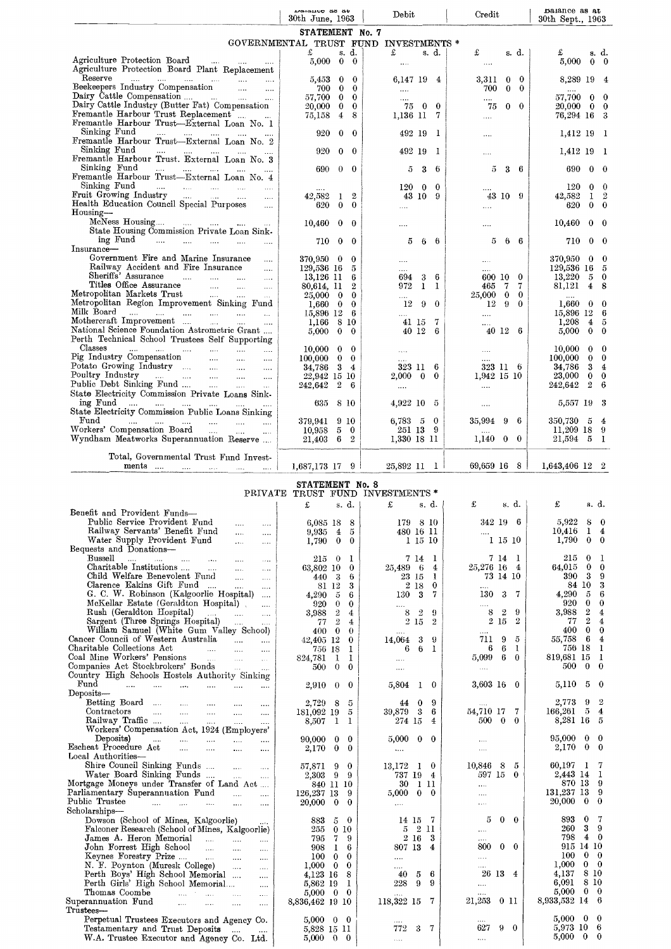|                                                                                                                                                                                                                                                                                                                                                                                                                                                                                                                                                                                                | Datation as an<br>30th June, 1963                                 |                                                             | Debit                                          | Credit                                                        | Balance as at<br>30th Sept., 1963                              |
|------------------------------------------------------------------------------------------------------------------------------------------------------------------------------------------------------------------------------------------------------------------------------------------------------------------------------------------------------------------------------------------------------------------------------------------------------------------------------------------------------------------------------------------------------------------------------------------------|-------------------------------------------------------------------|-------------------------------------------------------------|------------------------------------------------|---------------------------------------------------------------|----------------------------------------------------------------|
|                                                                                                                                                                                                                                                                                                                                                                                                                                                                                                                                                                                                | STATEMENT No. 7                                                   |                                                             | GOVERNMENTAL TRUST FUND INVESTMENTS *          |                                                               |                                                                |
| Agriculture Protection Board                                                                                                                                                                                                                                                                                                                                                                                                                                                                                                                                                                   | $\mathbf f$<br>$5{,}000$                                          | s. d.<br>$\bf{0}$<br>$\bf{0}$                               | £<br>s. d.                                     | £<br>s. d.                                                    | £<br>s. d.<br>5,000<br>$0\quad 0$                              |
| Agriculture Protection Board Plant Replacement                                                                                                                                                                                                                                                                                                                                                                                                                                                                                                                                                 |                                                                   |                                                             | $\cdots$                                       | $\ldots$                                                      |                                                                |
| <b>Reserve</b> <sup>-</sup><br>Beekeepers Industry Compensation                                                                                                                                                                                                                                                                                                                                                                                                                                                                                                                                | 5,453<br>700                                                      | $\bf{0}$<br>$\bf{0}$<br>$\bf{0}$<br>$\bf{0}$                | 6,147 19 4<br>$\ldots$ .                       | 3.311<br>$\mathbf{0}$<br>$\bf{0}$<br>700<br>$\mathbf{0}$<br>0 | 8,289 19<br>4                                                  |
| Dairy Cattle Compensation<br>Dairy Cattle Industry (Butter Fat) Compensation                                                                                                                                                                                                                                                                                                                                                                                                                                                                                                                   | 57,700<br>20,000                                                  | $\bf{0}$<br>$\Omega$<br>$\bf{0}$<br>$\overline{\mathbf{0}}$ | $\cdots$<br>75 0 0                             | $0\quad 0$<br>75                                              | 57,700<br>$\bf{0}$<br>0<br>$20,\!000$<br>$\mathbf{0}$<br>0     |
| Fremantle Harbour Trust Replacement<br>Fremantle Harbour Trust-External Loan No. 1                                                                                                                                                                                                                                                                                                                                                                                                                                                                                                             | 75,158                                                            | 8<br>$\overline{4}$                                         | 1,136 11 7                                     | $\cdots$                                                      | 76,294 16 3                                                    |
| Sinking Fund<br>المتوارد المتوارد المتوارد المتوارد المتوارد<br>Fremantle Harbour Trust-External Loan No. 2                                                                                                                                                                                                                                                                                                                                                                                                                                                                                    | 920                                                               | $\bf{0}$<br>$\theta$                                        | 492 19<br>-1                                   | $\ldots$                                                      | 1,412 19 1                                                     |
| Sinking Fund<br>المتوارث المتناء المتناء المتناء المتعارف<br>Fremantle Harbour Trust. External Loan No. 3                                                                                                                                                                                                                                                                                                                                                                                                                                                                                      | 920                                                               | $\bf{0}$<br>$\bf{0}$                                        | 492 19<br>-1                                   | $\ldots$                                                      | 1,412 19 1                                                     |
| Sinking Fund<br>المنور المنتقل المنتقل المتنور المحتفرات                                                                                                                                                                                                                                                                                                                                                                                                                                                                                                                                       | 690                                                               | 0<br>$\theta$                                               | 3<br>6<br>5                                    | 5<br>3<br>- 6                                                 | 690<br>$0\quad 0$                                              |
| Fremantle Harbour Trust-External Loan No. 4<br>Sinking Fund<br>المتوارث التقويات المتقربات المتعارف المتعارف                                                                                                                                                                                                                                                                                                                                                                                                                                                                                   | $\cdots$                                                          |                                                             | $120\quad 0$<br>$\bf{0}$                       |                                                               | 120<br>$\Omega$<br>0                                           |
| Fruit Growing Industry<br>Health Education Council Special Purposes                                                                                                                                                                                                                                                                                                                                                                                                                                                                                                                            | 42,582<br>620                                                     | $\boldsymbol{2}$<br>1<br>$\bf{0}$<br>$\bf{0}$               | 43 10 9<br>$\cdots$                            | 43 10 9<br>$\cdots$                                           | $\overline{2}$<br>42,582<br>1<br>620<br>$0\quad 0$             |
| $H_0$ ousing —<br>McNess Housing                                                                                                                                                                                                                                                                                                                                                                                                                                                                                                                                                               | 10,460                                                            | 0<br>0                                                      |                                                | $\cdots$                                                      | 10,460<br>$0\quad 0$                                           |
| State Housing Commission Private Loan Sink-<br>$\text{ing Fund}$<br>$\sim 100$                                                                                                                                                                                                                                                                                                                                                                                                                                                                                                                 | 710                                                               | $0\quad 0$                                                  | <br>5<br>66                                    | 5<br>66                                                       | 710<br>$0\quad 0$                                              |
| Insurance-<br>Government Fire and Marine Insurance                                                                                                                                                                                                                                                                                                                                                                                                                                                                                                                                             |                                                                   |                                                             |                                                |                                                               |                                                                |
| $\cdots$<br>Railway Accident and Fire Insurance<br>$\sim$                                                                                                                                                                                                                                                                                                                                                                                                                                                                                                                                      | 370,950 0 0<br>129,536 16 5                                       |                                                             | <br>.                                          | $\cdots$<br>                                                  | 370,950<br>$0\quad 0$<br>129,536 16 5                          |
| Sheriffs' Assurance<br>$\sim$<br>Titles Office Assurance<br>Metropolitan Markets Trust<br>$\ldots$                                                                                                                                                                                                                                                                                                                                                                                                                                                                                             | 13,126 11<br>80,614, 11                                           | 6<br>$\overline{2}$                                         | 6<br>694<br>3<br>972<br>1<br>-1                | 600 10 0<br>7<br>465<br>- 7                                   | 13,220<br>$5\quad 0$<br>81,121<br>4 8                          |
| Metropolitan Region Improvement Sinking Fund                                                                                                                                                                                                                                                                                                                                                                                                                                                                                                                                                   | $25,000 \quad 0$<br>$1,660 \quad 0 \quad 0$                       | $\bf{0}$                                                    | $\ldots$<br>-9<br>$\theta$<br>12               | $25,000 \quad 0$<br>0<br>$12 \quad 9$<br>$\bf{0}$             | $\dots$ .<br>$1,660 \quad 0 \quad 0$                           |
| Milk Board<br>Mothercraft Improvement                                                                                                                                                                                                                                                                                                                                                                                                                                                                                                                                                          | 15,896 12 6<br>$1,166$ 8 10                                       |                                                             | .<br>-7<br>41 15                               | $\cdots$<br>$\cdots$                                          | 15,896 12 6<br>1,208<br>$4\quad 5$                             |
| National Science Foundation Astrometric Grant<br>Perth Technical School Trustees Self Supporting                                                                                                                                                                                                                                                                                                                                                                                                                                                                                               | 5.000                                                             | $\overline{0}$<br>$\bf{0}$                                  | 40 12 6                                        | 40126                                                         | 5,000<br>$0\quad 0$                                            |
| Classes<br>التبيان التبين المتناورة التميز المتناورة المناو<br>Pig Industry Compensation                                                                                                                                                                                                                                                                                                                                                                                                                                                                                                       | $10,000 \quad 0 \quad 0$<br>$100.000 \quad 0 \quad 0$             |                                                             | $\dots$                                        | $\cdots$                                                      | 10,000<br>$0\quad 0$<br>100,000<br>$0\quad 0$                  |
| Potato Growing Industry<br>$\sim 100$                                                                                                                                                                                                                                                                                                                                                                                                                                                                                                                                                          | 34,786 3 4                                                        |                                                             | .<br>323 11<br>- 6                             | 323 11 6                                                      | 34,786<br>$3\quad 4$                                           |
| Poultry Industry<br>$\sim 100$<br>Public Debt Sinking Fund                                                                                                                                                                                                                                                                                                                                                                                                                                                                                                                                     | 22,942 15 10<br>242,642                                           | $\overline{2}$<br>- 6                                       | $2,000 \quad 0$<br>$\bf{0}$<br>$\cdots$        | 1,942 15 10<br>$\cdots$                                       | 23,000<br>$\mathbf{0}$<br>$\bf{0}$<br>$2\quad 6$<br>242,642    |
| State Electricity Commission Private Loans Sink-<br>ing Fund                                                                                                                                                                                                                                                                                                                                                                                                                                                                                                                                   | 635 8 10                                                          |                                                             | $4.922$ 10 5                                   | $\cdots$                                                      | 5,557 19 3                                                     |
| State Electricity Commission Public Loans Sinking<br>Fund<br>$\langle \ldots \rangle^{\otimes n}$<br>المتناد المتناد الممار<br>$\sim$                                                                                                                                                                                                                                                                                                                                                                                                                                                          | 379,941                                                           | 9 10                                                        | $6,783 \quad 5 \quad 0$                        | 35,994 9<br>- 6                                               | 350,730 5 4                                                    |
| Workers' Compensation Board<br>Wyndham Meatworks Superannuation Reserve                                                                                                                                                                                                                                                                                                                                                                                                                                                                                                                        | 10,958<br>21,403                                                  | $5\quad 0$<br>$6\quad 2$                                    | 251 13 9<br>1,330 18 11                        | $\ldots$<br>$1,140 \quad 0 \quad 0$                           | $11,209$ 18 9<br>21,594 5 1                                    |
| Total, Governmental Trust Fund Invest-                                                                                                                                                                                                                                                                                                                                                                                                                                                                                                                                                         |                                                                   |                                                             |                                                |                                                               |                                                                |
| ments<br>المسامي السباب المتبادي المسامر                                                                                                                                                                                                                                                                                                                                                                                                                                                                                                                                                       | $1,687,173$ 17 9<br>STATEMENT No. 8                               |                                                             | $25,892$ 11 1                                  | $69,659$ 16 8                                                 | $1,643,406$ 12 2                                               |
|                                                                                                                                                                                                                                                                                                                                                                                                                                                                                                                                                                                                | £                                                                 | s. d.                                                       | PRIVATE TRUST FUND INVESTMENTS *<br>£<br>s. d. | £<br>s. d.                                                    | £<br>s. d.                                                     |
| Benefit and Provident Funds-<br>Public Service Provident Fund<br>$\cdots$<br>$\cdots$                                                                                                                                                                                                                                                                                                                                                                                                                                                                                                          | $6,085$ 18 8                                                      |                                                             | 179 8 10                                       | 342196                                                        | 5,922<br>$8\quad0$                                             |
| Railway Servants' Benefit Fund<br>$\cdots$<br>$\cdots$                                                                                                                                                                                                                                                                                                                                                                                                                                                                                                                                         | $9,935 \quad 4$                                                   | 5                                                           | 480 16 11                                      |                                                               |                                                                |
|                                                                                                                                                                                                                                                                                                                                                                                                                                                                                                                                                                                                |                                                                   |                                                             |                                                | $\cdots$                                                      | $1 \quad 4$<br>10,416                                          |
| Water Supply Provident Fund<br>$\sim$<br>$\cdots$                                                                                                                                                                                                                                                                                                                                                                                                                                                                                                                                              | $1,790 \quad 0$                                                   | $\bf{0}$                                                    | 1 15 10                                        | 1 15 10                                                       | 1,790<br>$0\quad 0$                                            |
| التبيات المتفاد المبيدات المتداد المتداد<br>Bussell<br>$\cdots$<br>$\ldots$ .                                                                                                                                                                                                                                                                                                                                                                                                                                                                                                                  | $215$ 0 1<br>63,802 10 0                                          |                                                             | 7141<br>25,489 6 4                             | 7 14 I<br>25,276 16 4                                         | 215<br>$\mathbf{0}$<br>- 1<br>$0 \quad 0$<br>64,015            |
| Child Welfare Benevolent Fund<br><b>College</b><br>$\ldots$<br>Clarence Eakins Gift Fund<br>$\sim 10^{-1}$<br>$\ldots$                                                                                                                                                                                                                                                                                                                                                                                                                                                                         | 440 3<br>81 12                                                    | 6<br>3                                                      | 23 15<br>-1<br>2 18<br>$\bf{0}$                | 73 14 10<br>$\cdots$                                          | $3 \quad 9$<br>390<br>84 10 3                                  |
| G. C. W. Robinson (Kalgoorlie Hospital)<br>$\ldots$ .<br>McKellar Estate (Geraldton Hospital)<br>$\cdots$                                                                                                                                                                                                                                                                                                                                                                                                                                                                                      | $4,290\quad 5$<br>$920 \quad 0$                                   | 6<br>$\bf{0}$                                               | 130 3<br>7<br>$\cdots$                         | 130<br>3<br>- 7<br>$\cdots$                                   | 4,290<br>$5\quad 6$<br>920<br>$\bf{0}$<br>$\mathbf{0}$         |
| Rush (Geraldton Hospital)<br><b>Contractor</b><br>$\cdots$                                                                                                                                                                                                                                                                                                                                                                                                                                                                                                                                     | 3.988 2                                                           | 4<br>4                                                      | $8\quad 2$<br>-9<br>$\overline{2}$             | - 9<br>$8\quad 2$<br>$2\,15\,2$                               | 3,988 2<br>$\overline{4}$<br>24<br>77                          |
| Sargent (Three Springs Hospital)<br>$\sim$ $\sim$ $\sim$<br>William Samuel (White Gum Valley School)                                                                                                                                                                                                                                                                                                                                                                                                                                                                                           | $77\quad 2$<br>$400 \quad 0$                                      | $\Omega$                                                    | $2\,$ $15$<br>$\sim 100$ km s $^{-1}$          | $\cdots$                                                      | $0\quad 0$<br>400                                              |
| <b>Contractor</b><br>$\sim$<br>and the state of the state of<br>$\sim$ $\sim$                                                                                                                                                                                                                                                                                                                                                                                                                                                                                                                  | $42,405$ 12 0<br>756 18                                           | - 1                                                         | $14,064$ 3 9<br>6 6 1                          | 711 9<br>- 5<br>6<br>-6<br>-1                                 | 55,758 6 4<br>756 18 1                                         |
| <b>Contractor</b><br>$\sim$<br>التقليل المتعادلات                                                                                                                                                                                                                                                                                                                                                                                                                                                                                                                                              | 824,781<br>$\mathbf{1}$<br>$\theta$<br>500                        | 1<br>$\bf{0}$                                               | $\cdots$<br>$\cdots$                           | 5,099 6 0<br>$\dots$ .                                        | 819,681 15 1<br>500<br>$\bf{0}$<br>$\mathbf{0}$                |
| Fund<br>المستورد المساري المقربات المساري المقررات<br>$\sim 100$                                                                                                                                                                                                                                                                                                                                                                                                                                                                                                                               | 2,910<br>$\theta$                                                 | $\bf{0}$                                                    | 5,804 1 0                                      | $3,603$ 16 0                                                  | 5,110<br>5<br>$\mathbf{0}$                                     |
| Betting Board<br>$\cdots$                                                                                                                                                                                                                                                                                                                                                                                                                                                                                                                                                                      | 2,729 8                                                           | -5                                                          | 9<br>$\bf{0}$<br>44                            |                                                               | 2,773<br>9<br>$^{\circ}$                                       |
| Contractors<br>$\ldots$<br>$\cdots$                                                                                                                                                                                                                                                                                                                                                                                                                                                                                                                                                            | 181,092 19<br>$\mathbf{I}$                                        | - 5<br>1                                                    | 39,879 3<br>6<br>274 15<br>4                   | 54,710 17<br>7<br>500 0<br>$\bf{0}$                           | 166,261<br>$\overline{5}$<br>$\overline{4}$<br>8,281 16<br>- 5 |
| Railway Traffic<br>Workers' Compensation Act, 1924 (Employers'                                                                                                                                                                                                                                                                                                                                                                                                                                                                                                                                 | 8,507                                                             |                                                             |                                                |                                                               | $\bf{0}$<br>- 0                                                |
| Deposits)<br>وأدار أورود والمتنفس والمستعمل والمتناوب<br>$\cdots$<br>$\cdots$<br>$\ddotsc$                                                                                                                                                                                                                                                                                                                                                                                                                                                                                                     | $90,000 \quad 0$<br>2,170<br>$\bf{0}$                             | - 0<br>$\bf{0}$                                             | $5,000 \quad 0 \quad 0$<br>$\ldots$            | $\cdots$<br>$\ldots$                                          | 95,000<br>2,170<br>$\bf{0}$<br>$\bf{0}$                        |
| Shire Council Sinking Funds<br>$\sim 1000$ km $^{-1}$<br>$\cdots$                                                                                                                                                                                                                                                                                                                                                                                                                                                                                                                              | 57,871 9                                                          | $\bf{0}$                                                    | $13,172 \quad 1 \quad 0$                       | 10,846<br>- 8<br>5                                            | 60,197 1 7                                                     |
| Water Board Sinking Funds<br><b>Contractor</b><br>$\cdots$                                                                                                                                                                                                                                                                                                                                                                                                                                                                                                                                     | 2,303 9 9<br>840 11 10                                            |                                                             | 737 19 4<br>30 1 11                            | 597 15 0                                                      | 2,443 14 1<br>870 13<br>- 9                                    |
| $\cdots$<br>التقليل والمتنب والمتقارب التقليل والمراد<br>$\cdots$                                                                                                                                                                                                                                                                                                                                                                                                                                                                                                                              | 126,237 13<br>$20,000 \quad 0$                                    | -9<br>$\mathbf{0}$                                          | $5,000 \quad 0 \quad 0$<br>$\ldots$            | $\cdots$<br>$\ldots$                                          | 131,237 13<br>- 9<br>20,000<br>$\bf{0}$<br>$\bf{0}$            |
| Dowson (School of Mines, Kalgoorlie)                                                                                                                                                                                                                                                                                                                                                                                                                                                                                                                                                           | 883<br>- 5                                                        | $\bf{0}$                                                    | 14 15 7                                        | $0\quad 0$<br>5                                               | 893<br>$\bf{0}$<br>-7                                          |
| Falconer Research (School of Mines, Kalgoorlie)                                                                                                                                                                                                                                                                                                                                                                                                                                                                                                                                                | 255 0 10                                                          |                                                             | 5 2 11                                         | $\ldots$                                                      | -3<br>-9<br>260<br>798 4 0                                     |
| James A. Heron Memorial<br>$\sim 10^{-1}$<br>John Forrest High School<br>$\sim$                                                                                                                                                                                                                                                                                                                                                                                                                                                                                                                | 795 7 9<br>908 1 6                                                |                                                             | $2\,16$<br>3<br>807 13<br>$\overline{4}$       | $0\quad 0$<br>800                                             | 915 14 10                                                      |
| Keynes Forestry Prize<br>N. F. Poynton (Muresk College)<br>$\sim 100$<br>$\ldots$ .                                                                                                                                                                                                                                                                                                                                                                                                                                                                                                            | 100000<br>$1,000 \quad 0 \quad 0$                                 |                                                             | $\cdots$<br>$\cdots$                           | $\cdots$                                                      | $0\quad 0$<br>100<br>1,000<br>$0\quad 0$                       |
| Perth Boys' High School Memorial<br>$\cdots$<br>Perth Girls' High School Memorial<br>$\cdots$                                                                                                                                                                                                                                                                                                                                                                                                                                                                                                  | 4,123 16 8<br>5,862 19                                            | -1                                                          | 40<br>-6<br>5<br>228<br>9<br>-9                | 26 13 4<br>$\dots$                                            | 4,137 8 10<br>6,091<br>-8-10                                   |
| Thomas Coombe<br>المتراث المتركب للمراكب<br>$\cdots$<br>$\cdots$                                                                                                                                                                                                                                                                                                                                                                                                                                                                                                                               | $5,000 \quad 0$<br>8,836,462 19 10                                | $\mathbf{0}$                                                | 118,322 15 7                                   | 21,253<br>011                                                 | 5,000<br>$0\quad 0$<br>8,933,532 14 6                          |
|                                                                                                                                                                                                                                                                                                                                                                                                                                                                                                                                                                                                |                                                                   |                                                             |                                                |                                                               | $5,000 \quad 0 \quad 0$                                        |
| Bequests and Donations-<br>Cancer Council of Western Australia<br>Charitable Collections Act<br>Coal Mine Workers' Pensions<br>Companies Act Stockbrokers' Bonds<br>Country High Schools Hostels Authority Sinking<br>Deposits-<br>Escheat Procedure Act<br>Local Authorities-<br>Mortgage Moneys under Transfer of Land Act<br>Parliamentary Superannuation Fund<br>Public Trustee<br>Scholarships-<br>Superannuation Fund<br>${\rm Trustees}$ —<br>Perpetual Trustees Executors and Agency Co.<br>Testamentary and Trust Deposits<br>$\sim 100$<br>W.A. Trustee Executor and Agency Co. Ltd. | $5,000 \quad 0 \quad 0$<br>5,828 15 11<br>$5,000 \quad 0 \quad 0$ |                                                             | 772<br>3<br>7<br>$\ldots$                      | 627<br>9<br>$\bf{0}$<br>$\cdots$                              | 5,973 10<br>- 6<br>$\bf{0}$<br>$5{,}000$<br>$\bf{0}$           |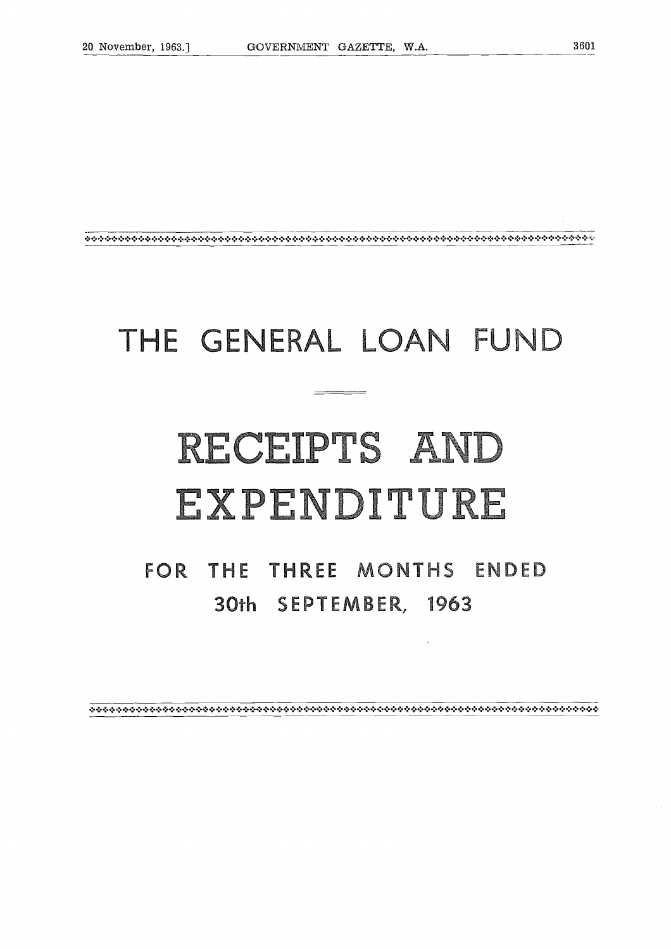### THE GENERAL LOAN FUND

### RECEIPTS AND EXPENDITURE

FOR THE THREE MONTHS ENDED **30th SEPTEMBER, 1963**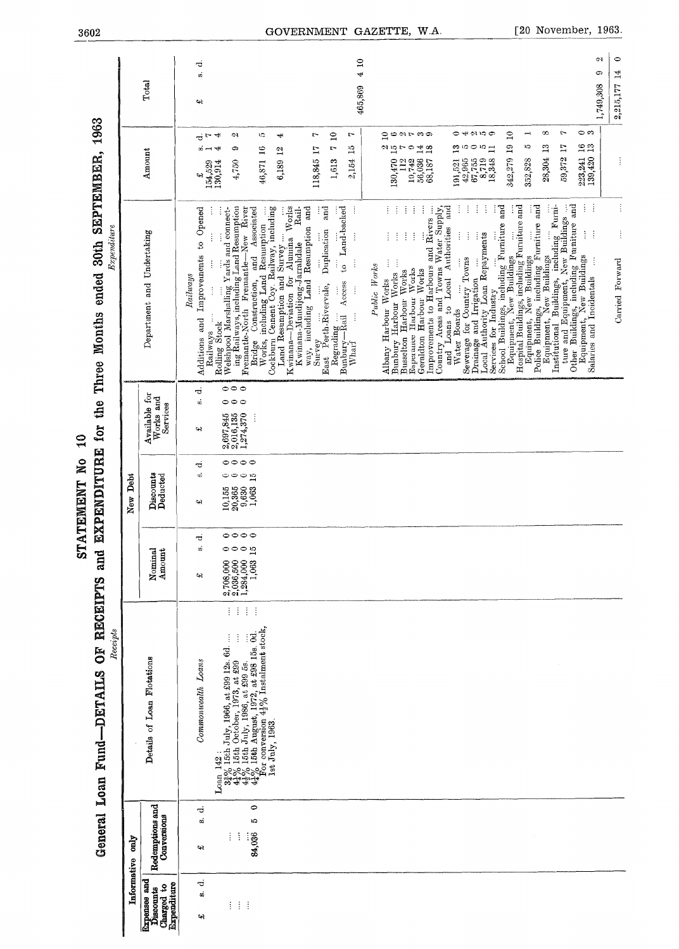| $\mathbf{Q}$        |                                                                    |
|---------------------|--------------------------------------------------------------------|
| <b>STATEMENT No</b> | O hardward and a margazinal e i i in a mine a hardwardwardwardward |
|                     |                                                                    |
|                     |                                                                    |

General Loan Fund-DETAILS OF RECEIPTS and EXPENDITURE for the Three Months ended 30th SEPTEMBER, 1963

|                    |             | Total                                                                | ಕ<br>တ်<br>43                                          |                                                                                                                                                                                                                                                                                                                           |                                                                                                                                                                      | $\Xi$<br>465,869                                                                                                                                                                                                                         | 4                                                                                                                                                                                                                                                                                                           |                                                                                                                                                                                                                   |                                                                                                                                                                                                                                                                                                     |                                                                                                                                 | $\subset$<br>0,<br>ග<br>$\frac{4}{3}$<br>1,749,308<br>2.215.177 |
|--------------------|-------------|----------------------------------------------------------------------|--------------------------------------------------------|---------------------------------------------------------------------------------------------------------------------------------------------------------------------------------------------------------------------------------------------------------------------------------------------------------------------------|----------------------------------------------------------------------------------------------------------------------------------------------------------------------|------------------------------------------------------------------------------------------------------------------------------------------------------------------------------------------------------------------------------------------|-------------------------------------------------------------------------------------------------------------------------------------------------------------------------------------------------------------------------------------------------------------------------------------------------------------|-------------------------------------------------------------------------------------------------------------------------------------------------------------------------------------------------------------------|-----------------------------------------------------------------------------------------------------------------------------------------------------------------------------------------------------------------------------------------------------------------------------------------------------|---------------------------------------------------------------------------------------------------------------------------------|-----------------------------------------------------------------|
|                    |             | Amount                                                               | $\vec{d}$ r $\vec{d}$<br>∞⊣<br>پ                       | CJ.<br>ං<br>ᅱ<br>4,750<br>154,529<br>130,914                                                                                                                                                                                                                                                                              | ĩ.<br>₹<br>46,871 16<br>$\mathbf{z}$<br>6,189                                                                                                                        | $\overline{a}$<br>r<br>r<br>$\mathbf{r}$<br>$\overline{10}$<br>118,845 17<br>2,154<br>1,613                                                                                                                                              | gourwo<br>$\frac{a}{10}r$<br>14<br>$^{28}$<br>Ģ<br>130,470<br>56,036<br>112<br>19,742<br>68,187                                                                                                                                                                                                             | <b>O 4 61 10 07</b><br>$\mathbf{E}$<br>$\frac{1}{2}$<br>ïО<br>$\circ$<br>191,521<br>$\begin{array}{c} 42,965 \\ 67,755 \\ 8,719 \\ 8,348 \end{array}$                                                             | $^{\circ}$<br>$\Omega$<br>$\rightarrow$<br>$\overline{a}$<br>$\mathbf{r}_2$<br>10<br>28,304<br>342,279<br>352,828                                                                                                                                                                                   | $\infty$<br>Ļ<br>223,241 16<br>139,420 13<br>$\overline{11}$<br>59,372                                                          |                                                                 |
| <b>Expenditure</b> |             | Department and Undertaking                                           | to Opened<br>Improvements<br>Raulways<br>Additions and | ing Railways, including Land Resumption<br>Fremantle-North Fremantle-New River<br>Associated<br>$\vdots$<br>ţ<br>Railways                                                                                                                                                                                                 | Cockburn Cement Coy. Railway, including<br>Kwinana-Deviation for Alunina Works<br>Bridge Construction, and Associative and Association<br>Land Resumption and Survey | ŧ<br>and<br>to Land-backed<br>way, including Land Resumption and<br>Rail.<br>Duplication<br>Ì<br>Kwinana-Mundijong-Jarrahdale<br>$\vdots$<br>Access<br>East Perth-Rivervale,<br>$\vdots$<br>Regrading<br>Bunbury—Rail<br>Wharf<br>Survey | ŧ,<br>ŧ<br>ŧ<br>$\vdots$<br>ŧ<br>İ<br>Country Areas and Towns Water Supply,<br>Improvements to Harbours and Rivers<br>ŧ<br>$\vdots$<br>ŧ<br>$\vdots$<br>Î<br>Bunbury Harbour Works<br>Public Works<br>Esperance Harbour Works<br>Geraldton Harbour Works<br>Busselton Harbour Works<br>Albany Harbour Works | j<br>İ<br>and<br>and<br>and Loans to Local Authorities<br>ł<br>$\vdots$<br>Local Authority Loan Repayments<br>Sewerage for Country Towns<br>÷<br>Drainage and Irrigation<br>Services for Industry<br>Water Boards | Equipment, New Buildings<br>Institutional Buildings, including Furniture and Equipment, New Buildings<br>School Buildings, including Furniture and Equipment, New Buildings<br>Hospital Buildings, including Furniture and<br>Equipment, New Buildings<br>Police Buildings, including Furniture and | $\frac{1}{4}$<br>Other Buildings, including Furniture and Equipment, New Buildings<br>$\vdots$<br>Í<br>Salaries and Incidentals | Punied Rorward                                                  |
|                    |             | Available for<br>Works and<br>Services                               | ಕ<br>á<br>42                                           | $\circ \circ \circ$<br>$\circ \circ \circ$<br>$2,697,845$<br>$2,016,135$<br>1,274,370<br>Ì                                                                                                                                                                                                                                |                                                                                                                                                                      |                                                                                                                                                                                                                                          |                                                                                                                                                                                                                                                                                                             |                                                                                                                                                                                                                   |                                                                                                                                                                                                                                                                                                     |                                                                                                                                 |                                                                 |
|                    | New Debt    | Discounts<br>Deducted                                                | ಸ<br>øί<br>47                                          | 0000<br>$\circ \circ \circ$<br>$\overline{10}$<br>$\begin{array}{c} 10,155 \\ 20,365 \\ 9,630 \\ 1,063 \end{array}$                                                                                                                                                                                                       |                                                                                                                                                                      |                                                                                                                                                                                                                                          |                                                                                                                                                                                                                                                                                                             |                                                                                                                                                                                                                   |                                                                                                                                                                                                                                                                                                     |                                                                                                                                 |                                                                 |
|                    |             | Amount<br>Nominal                                                    | ਚ<br>$\boldsymbol{v}$<br>વનર                           | 0000<br>$\overline{15}$<br>$\circ \circ \circ$<br>1,063<br>$\frac{2,708,000}{2,036,500}$<br>1,284,000                                                                                                                                                                                                                     |                                                                                                                                                                      |                                                                                                                                                                                                                                          |                                                                                                                                                                                                                                                                                                             |                                                                                                                                                                                                                   |                                                                                                                                                                                                                                                                                                     |                                                                                                                                 |                                                                 |
| Receipts           |             | Details of Loan Flotations                                           | Commonwealth Loans                                     | $\frac{1}{2}$<br>$\frac{1}{2}$<br>$\mathcal{A}$<br>Ť.<br>$3\frac{32}{3}$ 15th July, 1966, at £99 12s. 6d.<br>$4\frac{1}{2}$ % 15th October, 1973, at £99<br>$4\frac{1}{2}$ % 15th July, 1986, at £99 5s.<br>$4\frac{1}{2}$ % 15th August, 1972, at £98 15s. 0d.<br>$\frac{1}{2}$ for conversion $4\frac{1}{2$<br>Loan 142 | 1st July, 1963.                                                                                                                                                      |                                                                                                                                                                                                                                          |                                                                                                                                                                                                                                                                                                             |                                                                                                                                                                                                                   |                                                                                                                                                                                                                                                                                                     |                                                                                                                                 |                                                                 |
|                    | Σμο         | Redemptions and<br>Conversions                                       | ರ<br>w.<br>વર                                          | 0<br>10<br>ŧ<br>÷<br>84,036                                                                                                                                                                                                                                                                                               |                                                                                                                                                                      |                                                                                                                                                                                                                                          |                                                                                                                                                                                                                                                                                                             |                                                                                                                                                                                                                   |                                                                                                                                                                                                                                                                                                     |                                                                                                                                 |                                                                 |
|                    | Informative | <b>Expenses</b> and<br><b>Expenditure</b><br>Charged to<br>Discounts | ರ<br>ä<br>વન                                           | ŧ<br>$\vdots$<br>ŧ                                                                                                                                                                                                                                                                                                        |                                                                                                                                                                      |                                                                                                                                                                                                                                          |                                                                                                                                                                                                                                                                                                             |                                                                                                                                                                                                                   |                                                                                                                                                                                                                                                                                                     |                                                                                                                                 |                                                                 |